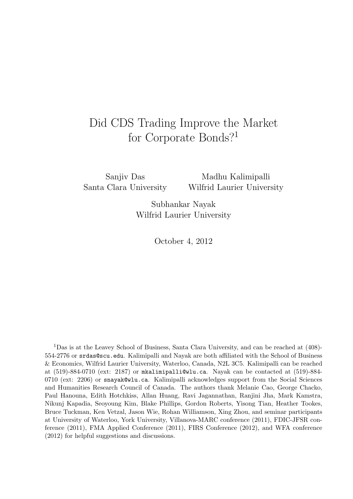### Did CDS Trading Improve the Market for Corporate Bonds?<sup>1</sup>

Sanjiv Das Santa Clara University

Madhu Kalimipalli Wilfrid Laurier University

Subhankar Nayak Wilfrid Laurier University

October 4, 2012

<sup>1</sup>Das is at the Leavey School of Business, Santa Clara University, and can be reached at (408)- 554-2776 or srdas@scu.edu. Kalimipalli and Nayak are both affiliated with the School of Business & Economics, Wilfrid Laurier University, Waterloo, Canada, N2L 3C5. Kalimipalli can be reached at (519)-884-0710 (ext: 2187) or mkalimipalli@wlu.ca. Nayak can be contacted at (519)-884- 0710 (ext: 2206) or snayak@wlu.ca. Kalimipalli acknowledges support from the Social Sciences and Humanities Research Council of Canada. The authors thank Melanie Cao, George Chacko, Paul Hanouna, Edith Hotchkiss, Allan Huang, Ravi Jagannathan, Ranjini Jha, Mark Kamstra, Nikunj Kapadia, Seoyoung Kim, Blake Phillips, Gordon Roberts, Yisong Tian, Heather Tookes, Bruce Tuckman, Ken Vetzal, Jason Wie, Rohan Williamson, Xing Zhou, and seminar participants at University of Waterloo, York University, Villanova-MARC conference (2011), FDIC-JFSR conference (2011), FMA Applied Conference (2011), FIRS Conference (2012), and WFA conference (2012) for helpful suggestions and discussions.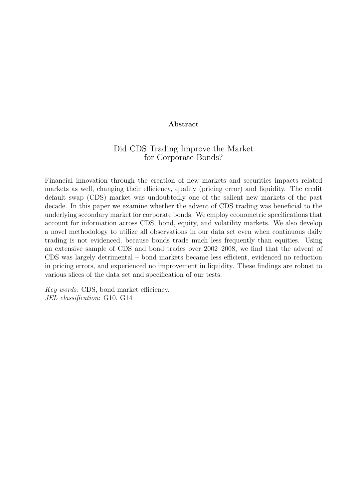### **Abstract**

### Did CDS Trading Improve the Market for Corporate Bonds?

Financial innovation through the creation of new markets and securities impacts related markets as well, changing their efficiency, quality (pricing error) and liquidity. The credit default swap (CDS) market was undoubtedly one of the salient new markets of the past decade. In this paper we examine whether the advent of CDS trading was beneficial to the underlying secondary market for corporate bonds. We employ econometric specifications that account for information across CDS, bond, equity, and volatility markets. We also develop a novel methodology to utilize all observations in our data set even when continuous daily trading is not evidenced, because bonds trade much less frequently than equities. Using an extensive sample of CDS and bond trades over 2002–2008, we find that the advent of CDS was largely detrimental – bond markets became less efficient, evidenced no reduction in pricing errors, and experienced no improvement in liquidity. These findings are robust to various slices of the data set and specification of our tests.

*Key words*: CDS, bond market efficiency. *JEL classification*: G10, G14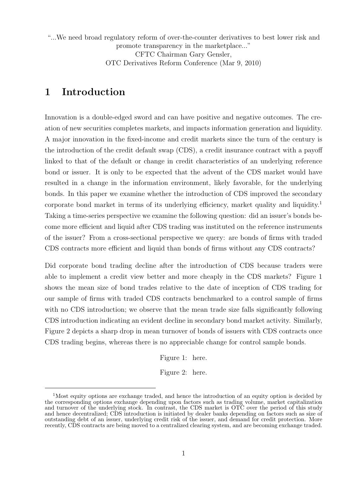"...We need broad regulatory reform of over-the-counter derivatives to best lower risk and promote transparency in the marketplace..." CFTC Chairman Gary Gensler, OTC Derivatives Reform Conference (Mar 9, 2010)

### **1 Introduction**

Innovation is a double-edged sword and can have positive and negative outcomes. The creation of new securities completes markets, and impacts information generation and liquidity. A major innovation in the fixed-income and credit markets since the turn of the century is the introduction of the credit default swap (CDS), a credit insurance contract with a payoff linked to that of the default or change in credit characteristics of an underlying reference bond or issuer. It is only to be expected that the advent of the CDS market would have resulted in a change in the information environment, likely favorable, for the underlying bonds. In this paper we examine whether the introduction of CDS improved the secondary corporate bond market in terms of its underlying efficiency, market quality and liquidity.<sup>1</sup> Taking a time-series perspective we examine the following question: did an issuer's bonds become more efficient and liquid after CDS trading was instituted on the reference instruments of the issuer? From a cross-sectional perspective we query: are bonds of firms with traded CDS contracts more efficient and liquid than bonds of firms without any CDS contracts?

Did corporate bond trading decline after the introduction of CDS because traders were able to implement a credit view better and more cheaply in the CDS markets? Figure 1 shows the mean size of bond trades relative to the date of inception of CDS trading for our sample of firms with traded CDS contracts benchmarked to a control sample of firms with no CDS introduction; we observe that the mean trade size falls significantly following CDS introduction indicating an evident decline in secondary bond market activity. Similarly, Figure 2 depicts a sharp drop in mean turnover of bonds of issuers with CDS contracts once CDS trading begins, whereas there is no appreciable change for control sample bonds.

Figure 1: here.

Figure 2: here.

<sup>&</sup>lt;sup>1</sup>Most equity options are exchange traded, and hence the introduction of an equity option is decided by the corresponding options exchange depending upon factors such as trading volume, market capitalization and turnover of the underlying stock. In contrast, the CDS market is OTC over the period of this study and hence decentralized; CDS introduction is initiated by dealer banks depending on factors such as size of outstanding debt of an issuer, underlying credit risk of the issuer, and demand for credit protection. More recently, CDS contracts are being moved to a centralized clearing system, and are becoming exchange traded.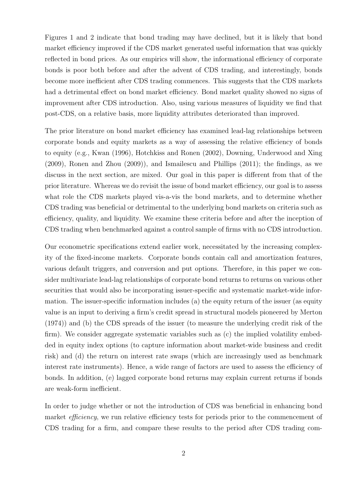Figures 1 and 2 indicate that bond trading may have declined, but it is likely that bond market efficiency improved if the CDS market generated useful information that was quickly reflected in bond prices. As our empirics will show, the informational efficiency of corporate bonds is poor both before and after the advent of CDS trading, and interestingly, bonds become more inefficient after CDS trading commences. This suggests that the CDS markets had a detrimental effect on bond market efficiency. Bond market quality showed no signs of improvement after CDS introduction. Also, using various measures of liquidity we find that post-CDS, on a relative basis, more liquidity attributes deteriorated than improved.

The prior literature on bond market efficiency has examined lead-lag relationships between corporate bonds and equity markets as a way of assessing the relative efficiency of bonds to equity (e.g., Kwan (1996), Hotchkiss and Ronen (2002), Downing, Underwood and Xing (2009), Ronen and Zhou (2009)), and Ismailescu and Phillips (2011); the findings, as we discuss in the next section, are mixed. Our goal in this paper is different from that of the prior literature. Whereas we do revisit the issue of bond market efficiency, our goal is to assess what role the CDS markets played vis-a-vis the bond markets, and to determine whether CDS trading was beneficial or detrimental to the underlying bond markets on criteria such as efficiency, quality, and liquidity. We examine these criteria before and after the inception of CDS trading when benchmarked against a control sample of firms with no CDS introduction.

Our econometric specifications extend earlier work, necessitated by the increasing complexity of the fixed-income markets. Corporate bonds contain call and amortization features, various default triggers, and conversion and put options. Therefore, in this paper we consider multivariate lead-lag relationships of corporate bond returns to returns on various other securities that would also be incorporating issuer-specific and systematic market-wide information. The issuer-specific information includes (a) the equity return of the issuer (as equity value is an input to deriving a firm's credit spread in structural models pioneered by Merton (1974)) and (b) the CDS spreads of the issuer (to measure the underlying credit risk of the firm). We consider aggregate systematic variables such as (c) the implied volatility embedded in equity index options (to capture information about market-wide business and credit risk) and (d) the return on interest rate swaps (which are increasingly used as benchmark interest rate instruments). Hence, a wide range of factors are used to assess the efficiency of bonds. In addition, (e) lagged corporate bond returns may explain current returns if bonds are weak-form inefficient.

In order to judge whether or not the introduction of CDS was beneficial in enhancing bond market *efficiency*, we run relative efficiency tests for periods prior to the commencement of CDS trading for a firm, and compare these results to the period after CDS trading com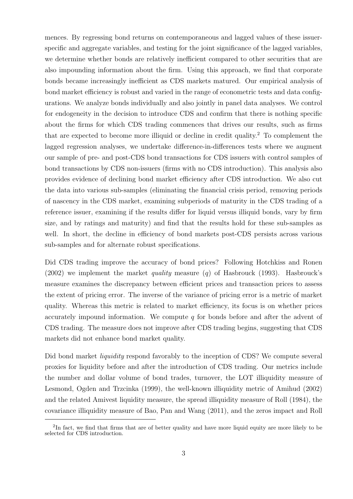mences. By regressing bond returns on contemporaneous and lagged values of these issuerspecific and aggregate variables, and testing for the joint significance of the lagged variables, we determine whether bonds are relatively inefficient compared to other securities that are also impounding information about the firm. Using this approach, we find that corporate bonds became increasingly inefficient as CDS markets matured. Our empirical analysis of bond market efficiency is robust and varied in the range of econometric tests and data configurations. We analyze bonds individually and also jointly in panel data analyses. We control for endogeneity in the decision to introduce CDS and confirm that there is nothing specific about the firms for which CDS trading commences that drives our results, such as firms that are expected to become more illiquid or decline in credit quality.<sup>2</sup> To complement the lagged regression analyses, we undertake difference-in-differences tests where we augment our sample of pre- and post-CDS bond transactions for CDS issuers with control samples of bond transactions by CDS non-issuers (firms with no CDS introduction). This analysis also provides evidence of declining bond market efficiency after CDS introduction. We also cut the data into various sub-samples (eliminating the financial crisis period, removing periods of nascency in the CDS market, examining subperiods of maturity in the CDS trading of a reference issuer, examining if the results differ for liquid versus illiquid bonds, vary by firm size, and by ratings and maturity) and find that the results hold for these sub-samples as well. In short, the decline in efficiency of bond markets post-CDS persists across various sub-samples and for alternate robust specifications.

Did CDS trading improve the accuracy of bond prices? Following Hotchkiss and Ronen (2002) we implement the market *quality* measure (*q*) of Hasbrouck (1993). Hasbrouck's measure examines the discrepancy between efficient prices and transaction prices to assess the extent of pricing error. The inverse of the variance of pricing error is a metric of market quality. Whereas this metric is related to market efficiency, its focus is on whether prices accurately impound information. We compute *q* for bonds before and after the advent of CDS trading. The measure does not improve after CDS trading begins, suggesting that CDS markets did not enhance bond market quality.

Did bond market *liquidity* respond favorably to the inception of CDS? We compute several proxies for liquidity before and after the introduction of CDS trading. Our metrics include the number and dollar volume of bond trades, turnover, the LOT illiquidity measure of Lesmond, Ogden and Trzcinka (1999), the well-known illiquidity metric of Amihud (2002) and the related Amivest liquidity measure, the spread illiquidity measure of Roll (1984), the covariance illiquidity measure of Bao, Pan and Wang (2011), and the zeros impact and Roll

<sup>&</sup>lt;sup>2</sup>In fact, we find that firms that are of better quality and have more liquid equity are more likely to be selected for CDS introduction.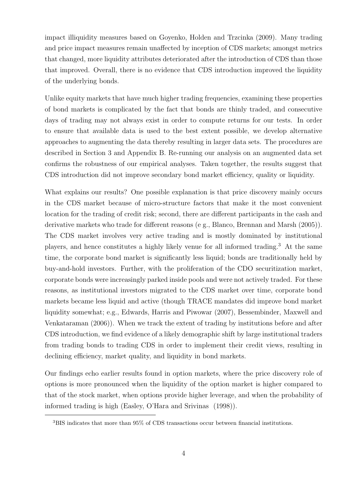impact illiquidity measures based on Goyenko, Holden and Trzcinka (2009). Many trading and price impact measures remain unaffected by inception of CDS markets; amongst metrics that changed, more liquidity attributes deteriorated after the introduction of CDS than those that improved. Overall, there is no evidence that CDS introduction improved the liquidity of the underlying bonds.

Unlike equity markets that have much higher trading frequencies, examining these properties of bond markets is complicated by the fact that bonds are thinly traded, and consecutive days of trading may not always exist in order to compute returns for our tests. In order to ensure that available data is used to the best extent possible, we develop alternative approaches to augmenting the data thereby resulting in larger data sets. The procedures are described in Section 3 and Appendix B. Re-running our analysis on an augmented data set confirms the robustness of our empirical analyses. Taken together, the results suggest that CDS introduction did not improve secondary bond market efficiency, quality or liquidity.

What explains our results? One possible explanation is that price discovery mainly occurs in the CDS market because of micro-structure factors that make it the most convenient location for the trading of credit risk; second, there are different participants in the cash and derivative markets who trade for different reasons (e g., Blanco, Brennan and Marsh (2005)). The CDS market involves very active trading and is mostly dominated by institutional players, and hence constitutes a highly likely venue for all informed trading.<sup>3</sup> At the same time, the corporate bond market is significantly less liquid; bonds are traditionally held by buy-and-hold investors. Further, with the proliferation of the CDO securitization market, corporate bonds were increasingly parked inside pools and were not actively traded. For these reasons, as institutional investors migrated to the CDS market over time, corporate bond markets became less liquid and active (though TRACE mandates did improve bond market liquidity somewhat; e.g., Edwards, Harris and Piwowar (2007), Bessembinder, Maxwell and Venkataraman (2006)). When we track the extent of trading by institutions before and after CDS introduction, we find evidence of a likely demographic shift by large institutional traders from trading bonds to trading CDS in order to implement their credit views, resulting in declining efficiency, market quality, and liquidity in bond markets.

Our findings echo earlier results found in option markets, where the price discovery role of options is more pronounced when the liquidity of the option market is higher compared to that of the stock market, when options provide higher leverage, and when the probability of informed trading is high (Easley, O'Hara and Srivinas (1998)).

<sup>3</sup>BIS indicates that more than 95% of CDS transactions occur between financial institutions.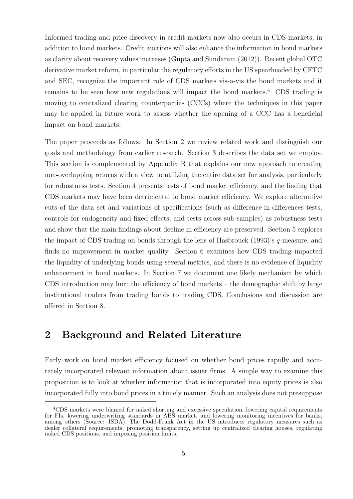Informed trading and price discovery in credit markets now also occurs in CDS markets, in addition to bond markets. Credit auctions will also enhance the information in bond markets as clarity about recovery values increases (Gupta and Sundaram (2012)). Recent global OTC derivative market reform, in particular the regulatory efforts in the US spearheaded by CFTC and SEC, recognize the important role of CDS markets vis-a-vis the bond markets and it remains to be seen how new regulations will impact the bond markets.<sup>4</sup> CDS trading is moving to centralized clearing counterparties (CCCs) where the techniques in this paper may be applied in future work to assess whether the opening of a CCC has a beneficial impact on bond markets.

The paper proceeds as follows. In Section 2 we review related work and distinguish our goals and methodology from earlier research. Section 3 describes the data set we employ. This section is complemented by Appendix B that explains our new approach to creating non-overlapping returns with a view to utilizing the entire data set for analysis, particularly for robustness tests. Section 4 presents tests of bond market efficiency, and the finding that CDS markets may have been detrimental to bond market efficiency. We explore alternative cuts of the data set and variations of specifications (such as difference-in-differences tests, controls for endogeneity and fixed effects, and tests across sub-samples) as robustness tests and show that the main findings about decline in efficiency are preserved. Section 5 explores the impact of CDS trading on bonds through the lens of Hasbrouck (1993)'s *q*-measure, and finds no improvement in market quality. Section 6 examines how CDS trading impacted the liquidity of underlying bonds using several metrics, and there is no evidence of liquidity enhancement in bond markets. In Section 7 we document one likely mechanism by which CDS introduction may hurt the efficiency of bond markets – the demographic shift by large institutional traders from trading bonds to trading CDS. Conclusions and discussion are offered in Section 8.

### **2 Background and Related Literature**

Early work on bond market efficiency focused on whether bond prices rapidly and accurately incorporated relevant information about issuer firms. A simple way to examine this proposition is to look at whether information that is incorporated into equity prices is also incorporated fully into bond prices in a timely manner. Such an analysis does not presuppose

<sup>4</sup>CDS markets were blamed for naked shorting and excessive speculation, lowering capital requirements for FIs, lowering underwriting standards in ABS market, and lowering monitoring incentives for banks, among others (Source: ISDA). The Dodd-Frank Act in the US introduces regulatory measures such as dealer collateral requirements, promoting transparency, setting up centralized clearing houses, regulating naked CDS positions, and imposing position limits.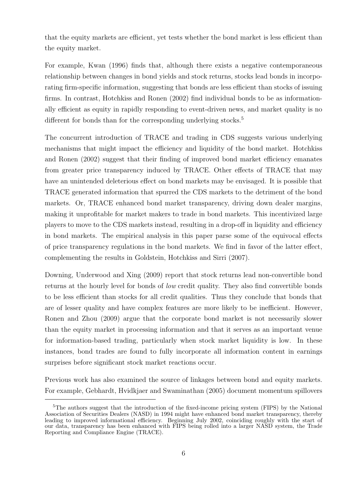that the equity markets are efficient, yet tests whether the bond market is less efficient than the equity market.

For example, Kwan (1996) finds that, although there exists a negative contemporaneous relationship between changes in bond yields and stock returns, stocks lead bonds in incorporating firm-specific information, suggesting that bonds are less efficient than stocks of issuing firms. In contrast, Hotchkiss and Ronen (2002) find individual bonds to be as informationally efficient as equity in rapidly responding to event-driven news, and market quality is no different for bonds than for the corresponding underlying stocks.<sup>5</sup>

The concurrent introduction of TRACE and trading in CDS suggests various underlying mechanisms that might impact the efficiency and liquidity of the bond market. Hotchkiss and Ronen (2002) suggest that their finding of improved bond market efficiency emanates from greater price transparency induced by TRACE. Other effects of TRACE that may have an unintended deleterious effect on bond markets may be envisaged. It is possible that TRACE generated information that spurred the CDS markets to the detriment of the bond markets. Or, TRACE enhanced bond market transparency, driving down dealer margins, making it unprofitable for market makers to trade in bond markets. This incentivized large players to move to the CDS markets instead, resulting in a drop-off in liquidity and efficiency in bond markets. The empirical analysis in this paper parse some of the equivocal effects of price transparency regulations in the bond markets. We find in favor of the latter effect, complementing the results in Goldstein, Hotchkiss and Sirri (2007).

Downing, Underwood and Xing (2009) report that stock returns lead non-convertible bond returns at the hourly level for bonds of *low* credit quality. They also find convertible bonds to be less efficient than stocks for all credit qualities. Thus they conclude that bonds that are of lesser quality and have complex features are more likely to be inefficient. However, Ronen and Zhou (2009) argue that the corporate bond market is not necessarily slower than the equity market in processing information and that it serves as an important venue for information-based trading, particularly when stock market liquidity is low. In these instances, bond trades are found to fully incorporate all information content in earnings surprises before significant stock market reactions occur.

Previous work has also examined the source of linkages between bond and equity markets. For example, Gebhardt, Hvidkjaer and Swaminathan (2005) document momentum spillovers

<sup>&</sup>lt;sup>5</sup>The authors suggest that the introduction of the fixed-income pricing system (FIPS) by the National Association of Securities Dealers (NASD) in 1994 might have enhanced bond market transparency, thereby leading to improved informational efficiency. Beginning July 2002, coinciding roughly with the start of our data, transparency has been enhanced with FIPS being rolled into a larger NASD system, the Trade Reporting and Compliance Engine (TRACE).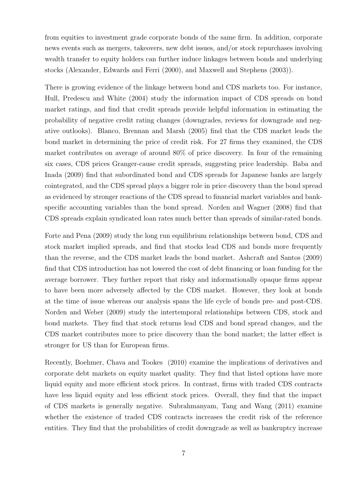from equities to investment grade corporate bonds of the same firm. In addition, corporate news events such as mergers, takeovers, new debt issues, and/or stock repurchases involving wealth transfer to equity holders can further induce linkages between bonds and underlying stocks (Alexander, Edwards and Ferri (2000), and Maxwell and Stephens (2003)).

There is growing evidence of the linkage between bond and CDS markets too. For instance, Hull, Predescu and White (2004) study the information impact of CDS spreads on bond market ratings, and find that credit spreads provide helpful information in estimating the probability of negative credit rating changes (downgrades, reviews for downgrade and negative outlooks). Blanco, Brennan and Marsh (2005) find that the CDS market leads the bond market in determining the price of credit risk. For 27 firms they examined, the CDS market contributes on average of around 80% of price discovery. In four of the remaining six cases, CDS prices Granger-cause credit spreads, suggesting price leadership. Baba and Inada (2009) find that subordinated bond and CDS spreads for Japanese banks are largely cointegrated, and the CDS spread plays a bigger role in price discovery than the bond spread as evidenced by stronger reactions of the CDS spread to financial market variables and bankspecific accounting variables than the bond spread. Norden and Wagner (2008) find that CDS spreads explain syndicated loan rates much better than spreads of similar-rated bonds.

Forte and Pena (2009) study the long run equilibrium relationships between bond, CDS and stock market implied spreads, and find that stocks lead CDS and bonds more frequently than the reverse, and the CDS market leads the bond market. Ashcraft and Santos (2009) find that CDS introduction has not lowered the cost of debt financing or loan funding for the average borrower. They further report that risky and informationally opaque firms appear to have been more adversely affected by the CDS market. However, they look at bonds at the time of issue whereas our analysis spans the life cycle of bonds pre- and post-CDS. Norden and Weber (2009) study the intertemporal relationships between CDS, stock and bond markets. They find that stock returns lead CDS and bond spread changes, and the CDS market contributes more to price discovery than the bond market; the latter effect is stronger for US than for European firms.

Recently, Boehmer, Chava and Tookes (2010) examine the implications of derivatives and corporate debt markets on equity market quality. They find that listed options have more liquid equity and more efficient stock prices. In contrast, firms with traded CDS contracts have less liquid equity and less efficient stock prices. Overall, they find that the impact of CDS markets is generally negative. Subrahmanyam, Tang and Wang (2011) examine whether the existence of traded CDS contracts increases the credit risk of the reference entities. They find that the probabilities of credit downgrade as well as bankruptcy increase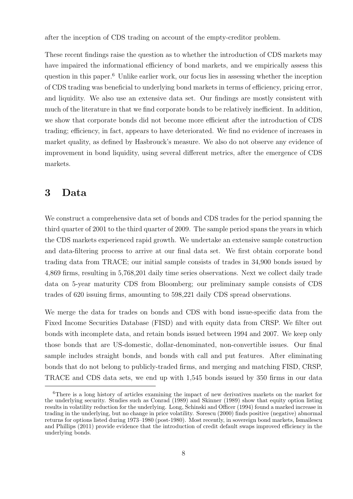after the inception of CDS trading on account of the empty-creditor problem.

These recent findings raise the question as to whether the introduction of CDS markets may have impaired the informational efficiency of bond markets, and we empirically assess this question in this paper.<sup>6</sup> Unlike earlier work, our focus lies in assessing whether the inception of CDS trading was beneficial to underlying bond markets in terms of efficiency, pricing error, and liquidity. We also use an extensive data set. Our findings are mostly consistent with much of the literature in that we find corporate bonds to be relatively inefficient. In addition, we show that corporate bonds did not become more efficient after the introduction of CDS trading; efficiency, in fact, appears to have deteriorated. We find no evidence of increases in market quality, as defined by Hasbrouck's measure. We also do not observe any evidence of improvement in bond liquidity, using several different metrics, after the emergence of CDS markets.

### **3 Data**

We construct a comprehensive data set of bonds and CDS trades for the period spanning the third quarter of 2001 to the third quarter of 2009. The sample period spans the years in which the CDS markets experienced rapid growth. We undertake an extensive sample construction and data-filtering process to arrive at our final data set. We first obtain corporate bond trading data from TRACE; our initial sample consists of trades in 34,900 bonds issued by 4,869 firms, resulting in 5,768,201 daily time series observations. Next we collect daily trade data on 5-year maturity CDS from Bloomberg; our preliminary sample consists of CDS trades of 620 issuing firms, amounting to 598,221 daily CDS spread observations.

We merge the data for trades on bonds and CDS with bond issue-specific data from the Fixed Income Securities Database (FISD) and with equity data from CRSP. We filter out bonds with incomplete data, and retain bonds issued between 1994 and 2007. We keep only those bonds that are US-domestic, dollar-denominated, non-convertible issues. Our final sample includes straight bonds, and bonds with call and put features. After eliminating bonds that do not belong to publicly-traded firms, and merging and matching FISD, CRSP, TRACE and CDS data sets, we end up with 1,545 bonds issued by 350 firms in our data

<sup>6</sup>There is a long history of articles examining the impact of new derivatives markets on the market for the underlying security. Studies such as Conrad (1989) and Skinner (1989) show that equity option listing results in volatility reduction for the underlying. Long, Schinski and Officer (1994) found a marked increase in trading in the underlying, but no change in price volatility. Sorescu (2000) finds positive (negative) abnormal returns for options listed during 1973–1980 (post-1980). Most recently, in sovereign bond markets, Ismailescu and Phillips (2011) provide evidence that the introduction of credit default swaps improved efficiency in the underlying bonds.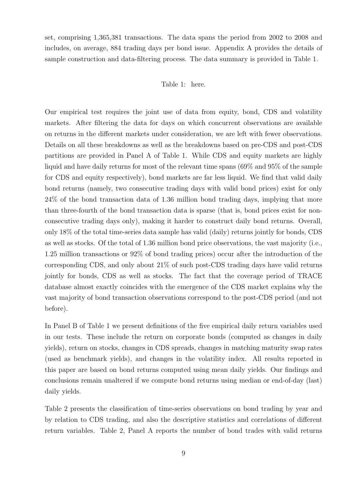set, comprising 1,365,381 transactions. The data spans the period from 2002 to 2008 and includes, on average, 884 trading days per bond issue. Appendix A provides the details of sample construction and data-filtering process. The data summary is provided in Table 1.

### Table 1: here.

Our empirical test requires the joint use of data from equity, bond, CDS and volatility markets. After filtering the data for days on which concurrent observations are available on returns in the different markets under consideration, we are left with fewer observations. Details on all these breakdowns as well as the breakdowns based on pre-CDS and post-CDS partitions are provided in Panel A of Table 1. While CDS and equity markets are highly liquid and have daily returns for most of the relevant time spans (69% and 95% of the sample for CDS and equity respectively), bond markets are far less liquid. We find that valid daily bond returns (namely, two consecutive trading days with valid bond prices) exist for only 24% of the bond transaction data of 1.36 million bond trading days, implying that more than three-fourth of the bond transaction data is sparse (that is, bond prices exist for nonconsecutive trading days only), making it harder to construct daily bond returns. Overall, only 18% of the total time-series data sample has valid (daily) returns jointly for bonds, CDS as well as stocks. Of the total of 1.36 million bond price observations, the vast majority (i.e., 1.25 million transactions or 92% of bond trading prices) occur after the introduction of the corresponding CDS, and only about 21% of such post-CDS trading days have valid returns jointly for bonds, CDS as well as stocks. The fact that the coverage period of TRACE database almost exactly coincides with the emergence of the CDS market explains why the vast majority of bond transaction observations correspond to the post-CDS period (and not before).

In Panel B of Table 1 we present definitions of the five empirical daily return variables used in our tests. These include the return on corporate bonds (computed as changes in daily yields), return on stocks, changes in CDS spreads, changes in matching maturity swap rates (used as benchmark yields), and changes in the volatility index. All results reported in this paper are based on bond returns computed using mean daily yields. Our findings and conclusions remain unaltered if we compute bond returns using median or end-of-day (last) daily yields.

Table 2 presents the classification of time-series observations on bond trading by year and by relation to CDS trading, and also the descriptive statistics and correlations of different return variables. Table 2, Panel A reports the number of bond trades with valid returns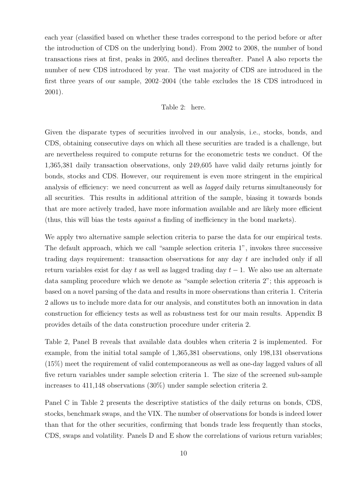each year (classified based on whether these trades correspond to the period before or after the introduction of CDS on the underlying bond). From 2002 to 2008, the number of bond transactions rises at first, peaks in 2005, and declines thereafter. Panel A also reports the number of new CDS introduced by year. The vast majority of CDS are introduced in the first three years of our sample, 2002–2004 (the table excludes the 18 CDS introduced in 2001).

### Table 2: here.

Given the disparate types of securities involved in our analysis, i.e., stocks, bonds, and CDS, obtaining consecutive days on which all these securities are traded is a challenge, but are nevertheless required to compute returns for the econometric tests we conduct. Of the 1,365,381 daily transaction observations, only 249,605 have valid daily returns jointly for bonds, stocks and CDS. However, our requirement is even more stringent in the empirical analysis of efficiency: we need concurrent as well as *lagged* daily returns simultaneously for all securities. This results in additional attrition of the sample, biasing it towards bonds that are more actively traded, have more information available and are likely more efficient (thus, this will bias the tests *against* a finding of inefficiency in the bond markets).

We apply two alternative sample selection criteria to parse the data for our empirical tests. The default approach, which we call "sample selection criteria 1", invokes three successive trading days requirement: transaction observations for any day *t* are included only if all return variables exist for day *t* as well as lagged trading day *t −* 1. We also use an alternate data sampling procedure which we denote as "sample selection criteria 2"; this approach is based on a novel parsing of the data and results in more observations than criteria 1. Criteria 2 allows us to include more data for our analysis, and constitutes both an innovation in data construction for efficiency tests as well as robustness test for our main results. Appendix B provides details of the data construction procedure under criteria 2.

Table 2, Panel B reveals that available data doubles when criteria 2 is implemented. For example, from the initial total sample of 1,365,381 observations, only 198,131 observations (15%) meet the requirement of valid contemporaneous as well as one-day lagged values of all five return variables under sample selection criteria 1. The size of the screened sub-sample increases to 411,148 observations (30%) under sample selection criteria 2.

Panel C in Table 2 presents the descriptive statistics of the daily returns on bonds, CDS, stocks, benchmark swaps, and the VIX. The number of observations for bonds is indeed lower than that for the other securities, confirming that bonds trade less frequently than stocks, CDS, swaps and volatility. Panels D and E show the correlations of various return variables;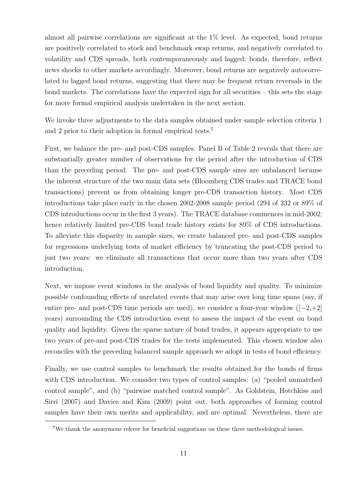almost all pairwise correlations are significant at the 1% level. As expected, bond returns are positively correlated to stock and benchmark swap returns, and negatively correlated to volatility and CDS spreads, both contemporaneously and lagged; bonds, therefore, reflect news shocks to other markets accordingly. Moreover, bond returns are negatively autocorrelated to lagged bond returns, suggesting that there may be frequent return reversals in the bond markets. The correlations have the expected sign for all securities – this sets the stage for more formal empirical analysis undertaken in the next section.

We invoke three adjustments to the data samples obtained under sample selection criteria 1 and 2 prior to their adoption in formal empirical tests.<sup>7</sup>

First, we balance the pre- and post-CDS samples. Panel B of Table 2 reveals that there are substantially greater number of observations for the period after the introduction of CDS than the preceding period. The pre- and post-CDS sample sizes are unbalanced because the inherent structure of the two main data sets (Bloomberg CDS trades and TRACE bond transactions) prevent us from obtaining longer pre-CDS transaction history. Most CDS introductions take place early in the chosen 2002-2008 sample period (294 of 332 or 89% of CDS introductions occur in the first 3 years). The TRACE database commences in mid-2002; hence relatively limited pre-CDS bond trade history exists for  $89\%$  of CDS introductions. To alleviate this disparity in sample sizes, we create balanced pre- and post-CDS samples for regressions underlying tests of market efficiency by truncating the post-CDS period to just two years: we eliminate all transactions that occur more than two years after CDS introduction.

Next, we impose event windows in the analysis of bond liquidity and quality. To minimize possible confounding effects of unrelated events that may arise over long time spans (say, if entire pre- and post-CDS time periods are used), we consider a four-year window ([*−*2,+2] years) surrounding the CDS introduction event to assess the impact of the event on bond quality and liquidity. Given the sparse nature of bond trades, it appears appropriate to use two years of pre-and post-CDS trades for the tests implemented. This chosen window also reconciles with the preceding balanced sample approach we adopt in tests of bond efficiency.

Finally, we use control samples to benchmark the results obtained for the bonds of firms with CDS introduction. We consider two types of control samples: (a) "pooled unmatched control sample", and (b) "pairwise matched control sample". As Goldstein, Hotchkiss and Sirri (2007) and Davies and Kim (2009) point out, both approaches of forming control samples have their own merits and applicability, and are optimal. Nevertheless, there are

<sup>7</sup>We thank the anonymous referee for beneficial suggestions on these three methodological issues.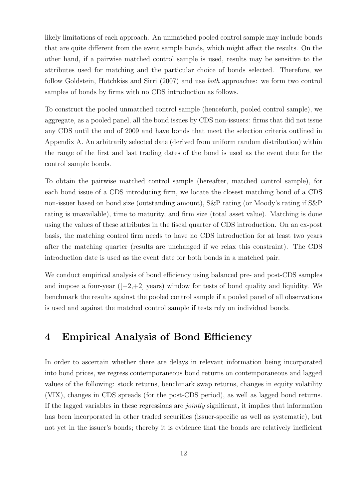likely limitations of each approach. An unmatched pooled control sample may include bonds that are quite different from the event sample bonds, which might affect the results. On the other hand, if a pairwise matched control sample is used, results may be sensitive to the attributes used for matching and the particular choice of bonds selected. Therefore, we follow Goldstein, Hotchkiss and Sirri (2007) and use *both* approaches: we form two control samples of bonds by firms with no CDS introduction as follows.

To construct the pooled unmatched control sample (henceforth, pooled control sample), we aggregate, as a pooled panel, all the bond issues by CDS non-issuers: firms that did not issue any CDS until the end of 2009 and have bonds that meet the selection criteria outlined in Appendix A. An arbitrarily selected date (derived from uniform random distribution) within the range of the first and last trading dates of the bond is used as the event date for the control sample bonds.

To obtain the pairwise matched control sample (hereafter, matched control sample), for each bond issue of a CDS introducing firm, we locate the closest matching bond of a CDS non-issuer based on bond size (outstanding amount), S&P rating (or Moody's rating if S&P rating is unavailable), time to maturity, and firm size (total asset value). Matching is done using the values of these attributes in the fiscal quarter of CDS introduction. On an ex-post basis, the matching control firm needs to have no CDS introduction for at least two years after the matching quarter (results are unchanged if we relax this constraint). The CDS introduction date is used as the event date for both bonds in a matched pair.

We conduct empirical analysis of bond efficiency using balanced pre- and post-CDS samples and impose a four-year ([*−*2,+2] years) window for tests of bond quality and liquidity. We benchmark the results against the pooled control sample if a pooled panel of all observations is used and against the matched control sample if tests rely on individual bonds.

### **4 Empirical Analysis of Bond Efficiency**

In order to ascertain whether there are delays in relevant information being incorporated into bond prices, we regress contemporaneous bond returns on contemporaneous and lagged values of the following: stock returns, benchmark swap returns, changes in equity volatility (VIX), changes in CDS spreads (for the post-CDS period), as well as lagged bond returns. If the lagged variables in these regressions are *jointly* significant, it implies that information has been incorporated in other traded securities (issuer-specific as well as systematic), but not yet in the issuer's bonds; thereby it is evidence that the bonds are relatively inefficient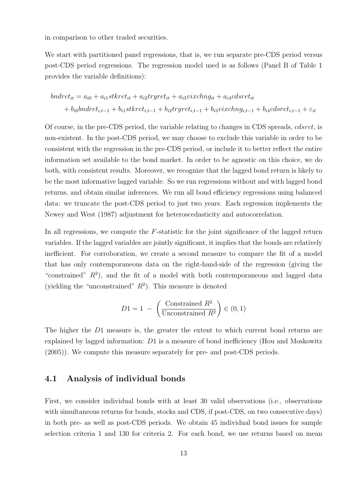in comparison to other traded securities.

We start with partitioned panel regressions, that is, we run separate pre-CDS period versus post-CDS period regressions. The regression model used is as follows (Panel B of Table 1 provides the variable definitions):

$$
bndret_{it} = a_{i0} + a_{i1}stkret_{it} + a_{i2}tryret_{it} + a_{i3}vixchng_{it} + a_{i4}cdsret_{it}
$$

$$
+ b_{i0}bndret_{i,t-1} + b_{i1}stkret_{i,t-1} + b_{i2}tryret_{i,t-1} + b_{i3}vixchng_{i,t-1} + b_{i4}cdsret_{i,t-1} + \varepsilon_{it}
$$

Of course, in the pre-CDS period, the variable relating to changes in CDS spreads, *cdsret*, is non-existent. In the post-CDS period, we may choose to exclude this variable in order to be consistent with the regression in the pre-CDS period, or include it to better reflect the entire information set available to the bond market. In order to be agnostic on this choice, we do both, with consistent results. Moreover, we recognize that the lagged bond return is likely to be the most informative lagged variable. So we run regressions without and with lagged bond returns, and obtain similar inferences. We run all bond efficiency regressions using balanced data: we truncate the post-CDS period to just two years. Each regression implements the Newey and West (1987) adjustment for heteroscedasticity and autocorrelation.

In all regressions, we compute the *F*-statistic for the joint significance of the lagged return variables. If the lagged variables are jointly significant, it implies that the bonds are relatively inefficient. For corroboration, we create a second measure to compare the fit of a model that has only contemporaneous data on the right-hand-side of the regression (giving the "constrained"  $R^2$ ), and the fit of a model with both contemporaneous and lagged data (yielding the "unconstrained"  $R^2$ ). This measure is denoted

$$
D1 = 1 - \left(\frac{\text{Constrained } R^2}{\text{Unconstrained } R^2}\right) \in (0, 1)
$$

The higher the *D*1 measure is, the greater the extent to which current bond returns are explained by lagged information: *D*1 is a measure of bond inefficiency (Hou and Moskowitz (2005)). We compute this measure separately for pre- and post-CDS periods.

### **4.1 Analysis of individual bonds**

First, we consider individual bonds with at least 30 valid observations (i.e., observations with simultaneous returns for bonds, stocks and CDS, if post-CDS, on two consecutive days) in both pre- as well as post-CDS periods. We obtain 45 individual bond issues for sample selection criteria 1 and 130 for criteria 2. For each bond, we use returns based on mean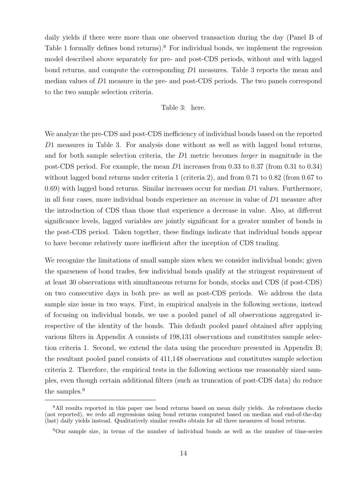daily yields if there were more than one observed transaction during the day (Panel B of Table 1 formally defines bond returns).<sup>8</sup> For individual bonds, we implement the regression model described above separately for pre- and post-CDS periods, without and with lagged bond returns, and compute the corresponding *D*1 measures. Table 3 reports the mean and median values of *D*1 measure in the pre- and post-CDS periods. The two panels correspond to the two sample selection criteria.

### Table 3: here.

We analyze the pre-CDS and post-CDS inefficiency of individual bonds based on the reported *D*1 measures in Table 3. For analysis done without as well as with lagged bond returns, and for both sample selection criteria, the *D*1 metric becomes *larger* in magnitude in the post-CDS period. For example, the mean *D*1 increases from 0.33 to 0.37 (from 0.31 to 0.34) without lagged bond returns under criteria 1 (criteria 2), and from 0.71 to 0.82 (from 0.67 to 0.69) with lagged bond returns. Similar increases occur for median *D*1 values. Furthermore, in all four cases, more individual bonds experience an *increase* in value of *D*1 measure after the introduction of CDS than those that experience a decrease in value. Also, at different significance levels, lagged variables are jointly significant for a greater number of bonds in the post-CDS period. Taken together, these findings indicate that individual bonds appear to have become relatively more inefficient after the inception of CDS trading.

We recognize the limitations of small sample sizes when we consider individual bonds; given the sparseness of bond trades, few individual bonds qualify at the stringent requirement of at least 30 observations with simultaneous returns for bonds, stocks and CDS (if post-CDS) on two consecutive days in both pre- as well as post-CDS periods. We address the data sample size issue in two ways. First, in empirical analysis in the following sections, instead of focusing on individual bonds, we use a pooled panel of all observations aggregated irrespective of the identity of the bonds. This default pooled panel obtained after applying various filters in Appendix A consists of 198,131 observations and constitutes sample selection criteria 1. Second, we extend the data using the procedure presented in Appendix B; the resultant pooled panel consists of 411,148 observations and constitutes sample selection criteria 2. Therefore, the empirical tests in the following sections use reasonably sized samples, even though certain additional filters (such as truncation of post-CDS data) do reduce the samples.<sup>9</sup>

<sup>&</sup>lt;sup>8</sup>All results reported in this paper use bond returns based on mean daily yields. As robustness checks (not reported), we redo all regressions using bond returns computed based on median and end-of-the-day (last) daily yields instead. Qualitatively similar results obtain for all three measures of bond returns.

<sup>9</sup>Our sample size, in terms of the number of individual bonds as well as the number of time-series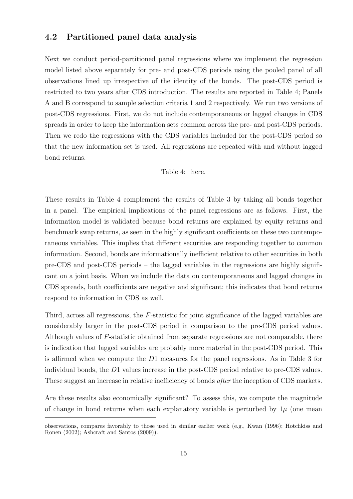### **4.2 Partitioned panel data analysis**

Next we conduct period-partitioned panel regressions where we implement the regression model listed above separately for pre- and post-CDS periods using the pooled panel of all observations lined up irrespective of the identity of the bonds. The post-CDS period is restricted to two years after CDS introduction. The results are reported in Table 4; Panels A and B correspond to sample selection criteria 1 and 2 respectively. We run two versions of post-CDS regressions. First, we do not include contemporaneous or lagged changes in CDS spreads in order to keep the information sets common across the pre- and post-CDS periods. Then we redo the regressions with the CDS variables included for the post-CDS period so that the new information set is used. All regressions are repeated with and without lagged bond returns.

Table 4: here.

These results in Table 4 complement the results of Table 3 by taking all bonds together in a panel. The empirical implications of the panel regressions are as follows. First, the information model is validated because bond returns are explained by equity returns and benchmark swap returns, as seen in the highly significant coefficients on these two contemporaneous variables. This implies that different securities are responding together to common information. Second, bonds are informationally inefficient relative to other securities in both pre-CDS and post-CDS periods – the lagged variables in the regressions are highly significant on a joint basis. When we include the data on contemporaneous and lagged changes in CDS spreads, both coefficients are negative and significant; this indicates that bond returns respond to information in CDS as well.

Third, across all regressions, the *F*-statistic for joint significance of the lagged variables are considerably larger in the post-CDS period in comparison to the pre-CDS period values. Although values of *F*-statistic obtained from separate regressions are not comparable, there is indication that lagged variables are probably more material in the post-CDS period. This is affirmed when we compute the *D*1 measures for the panel regressions. As in Table 3 for individual bonds, the *D*1 values increase in the post-CDS period relative to pre-CDS values. These suggest an increase in relative inefficiency of bonds *after* the inception of CDS markets.

Are these results also economically significant? To assess this, we compute the magnitude of change in bond returns when each explanatory variable is perturbed by  $1\mu$  (one mean

observations, compares favorably to those used in similar earlier work (e.g., Kwan (1996); Hotchkiss and Ronen (2002); Ashcraft and Santos (2009)).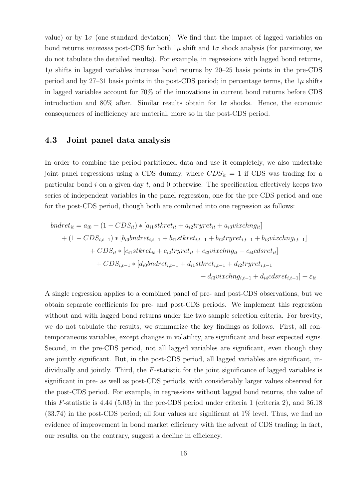value) or by  $1\sigma$  (one standard deviation). We find that the impact of lagged variables on bond returns *increases* post-CDS for both  $1\mu$  shift and  $1\sigma$  shock analysis (for parsimony, we do not tabulate the detailed results). For example, in regressions with lagged bond returns, 1*µ* shifts in lagged variables increase bond returns by 20–25 basis points in the pre-CDS period and by 27–31 basis points in the post-CDS period; in percentage terms, the  $1\mu$  shifts in lagged variables account for 70% of the innovations in current bond returns before CDS introduction and 80% after. Similar results obtain for  $1\sigma$  shocks. Hence, the economic consequences of inefficiency are material, more so in the post-CDS period.

### **4.3 Joint panel data analysis**

In order to combine the period-partitioned data and use it completely, we also undertake joint panel regressions using a CDS dummy, where  $CDS_{it} = 1$  if CDS was trading for a particular bond *i* on a given day *t*, and 0 otherwise. The specification effectively keeps two series of independent variables in the panel regression, one for the pre-CDS period and one for the post-CDS period, though both are combined into one regression as follows:

$$
bndret_{it} = a_{i0} + (1 - CDS_{it}) * [a_{i1}stkret_{it} + a_{i2}tryret_{it} + a_{i3}vixchng_{it}]
$$
  
+  $(1 - CDS_{i,t-1}) * [b_{i0}bndret_{i,t-1} + b_{i1}stkret_{i,t-1} + b_{i2}tryret_{i,t-1} + b_{i3}vixchng_{i,t-1}]$   
+  $CDS_{it} * [c_{i1}stkret_{it} + c_{i2}tryret_{it} + c_{i3}vixchng_{it} + c_{i4}cdsret_{it}]$   
+  $CDS_{i,t-1} * [d_{i0}bndret_{i,t-1} + d_{i1}stkret_{i,t-1} + d_{i2}tryret_{i,t-1} + d_{i4}cdsret_{i,t-1}] + \varepsilon_{it}$ 

A single regression applies to a combined panel of pre- and post-CDS observations, but we obtain separate coefficients for pre- and post-CDS periods. We implement this regression without and with lagged bond returns under the two sample selection criteria. For brevity, we do not tabulate the results; we summarize the key findings as follows. First, all contemporaneous variables, except changes in volatility, are significant and bear expected signs. Second, in the pre-CDS period, not all lagged variables are significant, even though they are jointly significant. But, in the post-CDS period, all lagged variables are significant, individually and jointly. Third, the *F*-statistic for the joint significance of lagged variables is significant in pre- as well as post-CDS periods, with considerably larger values observed for the post-CDS period. For example, in regressions without lagged bond returns, the value of this *F*-statistic is 4.44 (5.03) in the pre-CDS period under criteria 1 (criteria 2), and 36.18  $(33.74)$  in the post-CDS period; all four values are significant at  $1\%$  level. Thus, we find no evidence of improvement in bond market efficiency with the advent of CDS trading; in fact, our results, on the contrary, suggest a decline in efficiency.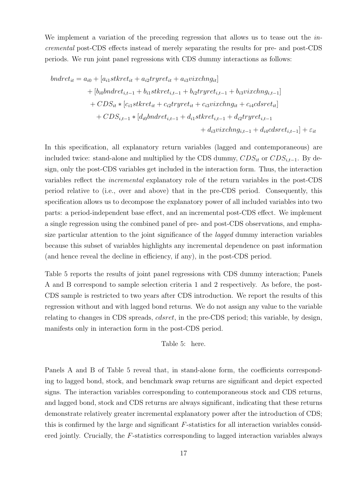We implement a variation of the preceding regression that allows us to tease out the *incremental* post-CDS effects instead of merely separating the results for pre- and post-CDS periods. We run joint panel regressions with CDS dummy interactions as follows:

$$
bndret_{it} = a_{i0} + [a_{i1}stkret_{it} + a_{i2}tryret_{it} + a_{i3}vixchng_{it}] + [b_{i0}bndret_{i,t-1} + b_{i1}stkret_{i,t-1} + b_{i2}tryret_{i,t-1} + b_{i3}vixchng_{i,t-1}] + CDS_{it} * [c_{i1}stkret_{it} + c_{i2}tryret_{it} + c_{i3}vixchng_{it} + c_{i4}cdsret_{it}] + CDS_{i,t-1} * [d_{i0}bndret_{i,t-1} + d_{i1}stkret_{i,t-1} + d_{i2}tryret_{i,t-1} + d_{i3}vixchng_{i,t-1} + d_{i4}cdsret_{i,t-1}] + \varepsilon_{it}
$$

In this specification, all explanatory return variables (lagged and contemporaneous) are included twice: stand-alone and multiplied by the CDS dummy,  $CDS_{it}$  or  $CDS_{i,t-1}$ . By design, only the post-CDS variables get included in the interaction form. Thus, the interaction variables reflect the *incremental* explanatory role of the return variables in the post-CDS period relative to (i.e., over and above) that in the pre-CDS period. Consequently, this specification allows us to decompose the explanatory power of all included variables into two parts: a period-independent base effect, and an incremental post-CDS effect. We implement a single regression using the combined panel of pre- and post-CDS observations, and emphasize particular attention to the joint significance of the *lagged* dummy interaction variables because this subset of variables highlights any incremental dependence on past information (and hence reveal the decline in efficiency, if any), in the post-CDS period.

Table 5 reports the results of joint panel regressions with CDS dummy interaction; Panels A and B correspond to sample selection criteria 1 and 2 respectively. As before, the post-CDS sample is restricted to two years after CDS introduction. We report the results of this regression without and with lagged bond returns. We do not assign any value to the variable relating to changes in CDS spreads, *cdsret*, in the pre-CDS period; this variable, by design, manifests only in interaction form in the post-CDS period.

### Table 5: here.

Panels A and B of Table 5 reveal that, in stand-alone form, the coefficients corresponding to lagged bond, stock, and benchmark swap returns are significant and depict expected signs. The interaction variables corresponding to contemporaneous stock and CDS returns, and lagged bond, stock and CDS returns are always significant, indicating that these returns demonstrate relatively greater incremental explanatory power after the introduction of CDS; this is confirmed by the large and significant *F*-statistics for all interaction variables considered jointly. Crucially, the *F*-statistics corresponding to lagged interaction variables always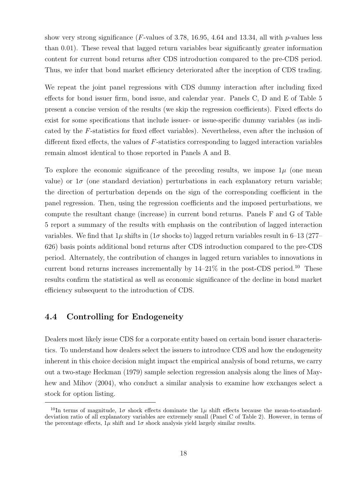show very strong significance (*F*-values of 3.78, 16.95, 4.64 and 13.34, all with *p*-values less than 0.01). These reveal that lagged return variables bear significantly greater information content for current bond returns after CDS introduction compared to the pre-CDS period. Thus, we infer that bond market efficiency deteriorated after the inception of CDS trading.

We repeat the joint panel regressions with CDS dummy interaction after including fixed effects for bond issuer firm, bond issue, and calendar year. Panels C, D and E of Table 5 present a concise version of the results (we skip the regression coefficients). Fixed effects do exist for some specifications that include issuer- or issue-specific dummy variables (as indicated by the *F*-statistics for fixed effect variables). Nevertheless, even after the inclusion of different fixed effects, the values of *F*-statistics corresponding to lagged interaction variables remain almost identical to those reported in Panels A and B.

To explore the economic significance of the preceding results, we impose  $1\mu$  (one mean value) or  $1\sigma$  (one standard deviation) perturbations in each explanatory return variable; the direction of perturbation depends on the sign of the corresponding coefficient in the panel regression. Then, using the regression coefficients and the imposed perturbations, we compute the resultant change (increase) in current bond returns. Panels F and G of Table 5 report a summary of the results with emphasis on the contribution of lagged interaction variables. We find that  $1\mu$  shifts in ( $1\sigma$  shocks to) lagged return variables result in 6–13 (277– 626) basis points additional bond returns after CDS introduction compared to the pre-CDS period. Alternately, the contribution of changes in lagged return variables to innovations in current bond returns increases incrementally by  $14-21\%$  in the post-CDS period.<sup>10</sup> These results confirm the statistical as well as economic significance of the decline in bond market efficiency subsequent to the introduction of CDS.

### **4.4 Controlling for Endogeneity**

Dealers most likely issue CDS for a corporate entity based on certain bond issuer characteristics. To understand how dealers select the issuers to introduce CDS and how the endogeneity inherent in this choice decision might impact the empirical analysis of bond returns, we carry out a two-stage Heckman (1979) sample selection regression analysis along the lines of Mayhew and Mihov (2004), who conduct a similar analysis to examine how exchanges select a stock for option listing.

<sup>&</sup>lt;sup>10</sup>In terms of magnitude,  $1\sigma$  shock effects dominate the 1 $\mu$  shift effects because the mean-to-standarddeviation ratio of all explanatory variables are extremely small (Panel C of Table 2). However, in terms of the percentage effects,  $1\mu$  shift and  $1\sigma$  shock analysis yield largely similar results.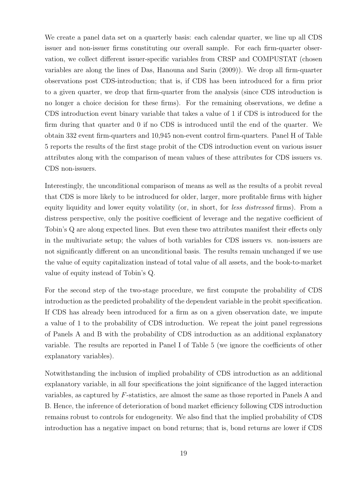We create a panel data set on a quarterly basis: each calendar quarter, we line up all CDS issuer and non-issuer firms constituting our overall sample. For each firm-quarter observation, we collect different issuer-specific variables from CRSP and COMPUSTAT (chosen variables are along the lines of Das, Hanouna and Sarin (2009)). We drop all firm-quarter observations post CDS-introduction; that is, if CDS has been introduced for a firm prior to a given quarter, we drop that firm-quarter from the analysis (since CDS introduction is no longer a choice decision for these firms). For the remaining observations, we define a CDS introduction event binary variable that takes a value of 1 if CDS is introduced for the firm during that quarter and 0 if no CDS is introduced until the end of the quarter. We obtain 332 event firm-quarters and 10,945 non-event control firm-quarters. Panel H of Table 5 reports the results of the first stage probit of the CDS introduction event on various issuer attributes along with the comparison of mean values of these attributes for CDS issuers vs. CDS non-issuers.

Interestingly, the unconditional comparison of means as well as the results of a probit reveal that CDS is more likely to be introduced for older, larger, more profitable firms with higher equity liquidity and lower equity volatility (or, in short, for *less distressed* firms). From a distress perspective, only the positive coefficient of leverage and the negative coefficient of Tobin's Q are along expected lines. But even these two attributes manifest their effects only in the multivariate setup; the values of both variables for CDS issuers vs. non-issuers are not significantly different on an unconditional basis. The results remain unchanged if we use the value of equity capitalization instead of total value of all assets, and the book-to-market value of equity instead of Tobin's Q.

For the second step of the two-stage procedure, we first compute the probability of CDS introduction as the predicted probability of the dependent variable in the probit specification. If CDS has already been introduced for a firm as on a given observation date, we impute a value of 1 to the probability of CDS introduction. We repeat the joint panel regressions of Panels A and B with the probability of CDS introduction as an additional explanatory variable. The results are reported in Panel I of Table 5 (we ignore the coefficients of other explanatory variables).

Notwithstanding the inclusion of implied probability of CDS introduction as an additional explanatory variable, in all four specifications the joint significance of the lagged interaction variables, as captured by *F*-statistics, are almost the same as those reported in Panels A and B. Hence, the inference of deterioration of bond market efficiency following CDS introduction remains robust to controls for endogeneity. We also find that the implied probability of CDS introduction has a negative impact on bond returns; that is, bond returns are lower if CDS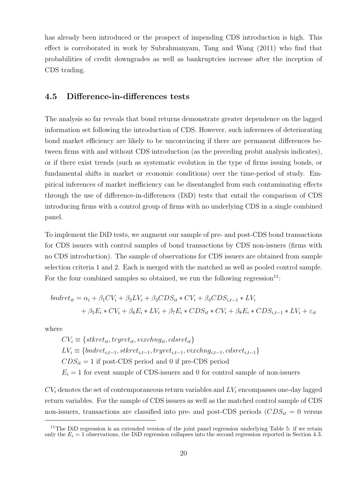has already been introduced or the prospect of impending CDS introduction is high. This effect is corroborated in work by Subrahmanyam, Tang and Wang (2011) who find that probabilities of credit downgrades as well as bankruptcies increase after the inception of CDS trading.

### **4.5 Difference-in-differences tests**

The analysis so far reveals that bond returns demonstrate greater dependence on the lagged information set following the introduction of CDS. However, such inferences of deteriorating bond market efficiency are likely to be unconvincing if there are permanent differences between firms with and without CDS introduction (as the preceding probit analysis indicates), or if there exist trends (such as systematic evolution in the type of firms issuing bonds, or fundamental shifts in market or economic conditions) over the time-period of study. Empirical inferences of market inefficiency can be disentangled from such contaminating effects through the use of difference-in-differences (DiD) tests that entail the comparison of CDS introducing firms with a control group of firms with no underlying CDS in a single combined panel.

To implement the DiD tests, we augment our sample of pre- and post-CDS bond transactions for CDS issuers with control samples of bond transactions by CDS non-issuers (firms with no CDS introduction). The sample of observations for CDS issuers are obtained from sample selection criteria 1 and 2. Each is merged with the matched as well as pooled control sample. For the four combined samples so obtained, we run the following regression $^{11}$ :

$$
bndret_{it} = \alpha_i + \beta_1 CV_i + \beta_2 LV_i + \beta_3 CDS_{it} * CV_i + \beta_4 CDS_{i,t-1} * LV_i
$$
  
+  $\beta_5 E_i * CV_i + \beta_6 E_i * LV_i + \beta_7 E_i * CDS_{it} * CV_i + \beta_8 E_i * CDS_{i,t-1} * LV_i + \varepsilon_{it}$ 

where

 $CV_i \equiv \{stkret_{it}, tryret_{it}, vixchng_{it}, cdsret_{it}\}$  $LV_i \equiv \{bndret_{i,t-1}, stkret_{i,t-1}, tryret_{i,t-1}, vixchng_{i,t-1}, cdsret_{i,t-1}\}$  $CDS_{it} = 1$  if post-CDS period and 0 if pre-CDS period  $E_i = 1$  for event sample of CDS-issuers and 0 for control sample of non-issuers

 $CV_i$  denotes the set of contemporaneous return variables and  $LV_i$  encompasses one-day lagged return variables. For the sample of CDS issuers as well as the matched control sample of CDS non-issuers, transactions are classified into pre- and post-CDS periods  $(CDS_{it} = 0$  versus

<sup>&</sup>lt;sup>11</sup>The DiD regression is an extended version of the joint panel regression underlying Table 5: if we retain only the  $E_i = 1$  observations, the DiD regression collapses into the second regression reported in Section 4.3.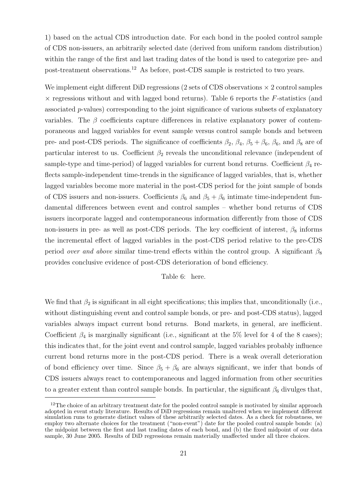1) based on the actual CDS introduction date. For each bond in the pooled control sample of CDS non-issuers, an arbitrarily selected date (derived from uniform random distribution) within the range of the first and last trading dates of the bond is used to categorize pre- and post-treatment observations.<sup>12</sup> As before, post-CDS sample is restricted to two years.

We implement eight different DiD regressions (2 sets of CDS observations *×* 2 control samples *×* regressions without and with lagged bond returns). Table 6 reports the *F*-statistics (and associated *p*-values) corresponding to the joint significance of various subsets of explanatory variables. The  $\beta$  coefficients capture differences in relative explanatory power of contemporaneous and lagged variables for event sample versus control sample bonds and between pre- and post-CDS periods. The significance of coefficients  $\beta_2$ ,  $\beta_4$ ,  $\beta_5 + \beta_6$ ,  $\beta_6$ , and  $\beta_8$  are of particular interest to us. Coefficient  $\beta_2$  reveals the unconditional relevance (independent of sample-type and time-period) of lagged variables for current bond returns. Coefficient  $\beta_4$  reflects sample-independent time-trends in the significance of lagged variables, that is, whether lagged variables become more material in the post-CDS period for the joint sample of bonds of CDS issuers and non-issuers. Coefficients  $\beta_6$  and  $\beta_5 + \beta_6$  intimate time-independent fundamental differences between event and control samples – whether bond returns of CDS issuers incorporate lagged and contemporaneous information differently from those of CDS non-issuers in pre- as well as post-CDS periods. The key coefficient of interest,  $\beta_8$  informs the incremental effect of lagged variables in the post-CDS period relative to the pre-CDS period *over and above* similar time-trend effects within the control group. A significant *β*<sup>8</sup> provides conclusive evidence of post-CDS deterioration of bond efficiency.

### Table 6: here.

We find that  $\beta_2$  is significant in all eight specifications; this implies that, unconditionally (i.e., without distinguishing event and control sample bonds, or pre- and post-CDS status), lagged variables always impact current bond returns. Bond markets, in general, are inefficient. Coefficient  $\beta_4$  is marginally significant (i.e., significant at the 5% level for 4 of the 8 cases); this indicates that, for the joint event and control sample, lagged variables probably influence current bond returns more in the post-CDS period. There is a weak overall deterioration of bond efficiency over time. Since  $\beta_5 + \beta_6$  are always significant, we infer that bonds of CDS issuers always react to contemporaneous and lagged information from other securities to a greater extent than control sample bonds. In particular, the significant  $\beta_6$  divulges that,

 $12$ The choice of an arbitrary treatment date for the pooled control sample is motivated by similar approach adopted in event study literature. Results of DiD regressions remain unaltered when we implement different simulation runs to generate distinct values of these arbitrarily selected dates. As a check for robustness, we employ two alternate choices for the treatment ("non-event") date for the pooled control sample bonds: (a) the midpoint between the first and last trading dates of each bond, and (b) the fixed midpoint of our data sample, 30 June 2005. Results of DiD regressions remain materially unaffected under all three choices.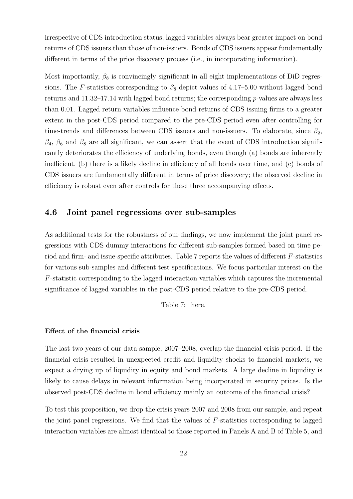irrespective of CDS introduction status, lagged variables always bear greater impact on bond returns of CDS issuers than those of non-issuers. Bonds of CDS issuers appear fundamentally different in terms of the price discovery process (i.e., in incorporating information).

Most importantly,  $\beta_8$  is convincingly significant in all eight implementations of DiD regressions. The *F*-statistics corresponding to  $\beta_8$  depict values of 4.17–5.00 without lagged bond returns and 11.32–17.14 with lagged bond returns; the corresponding *p*-values are always less than 0.01. Lagged return variables influence bond returns of CDS issuing firms to a greater extent in the post-CDS period compared to the pre-CDS period even after controlling for time-trends and differences between CDS issuers and non-issuers. To elaborate, since  $\beta_2$ ,  $\beta_4$ ,  $\beta_6$  and  $\beta_8$  are all significant, we can assert that the event of CDS introduction significantly deteriorates the efficiency of underlying bonds, even though (a) bonds are inherently inefficient, (b) there is a likely decline in efficiency of all bonds over time, and (c) bonds of CDS issuers are fundamentally different in terms of price discovery; the observed decline in efficiency is robust even after controls for these three accompanying effects.

### **4.6 Joint panel regressions over sub-samples**

As additional tests for the robustness of our findings, we now implement the joint panel regressions with CDS dummy interactions for different sub-samples formed based on time period and firm- and issue-specific attributes. Table 7 reports the values of different *F*-statistics for various sub-samples and different test specifications. We focus particular interest on the *F*-statistic corresponding to the lagged interaction variables which captures the incremental significance of lagged variables in the post-CDS period relative to the pre-CDS period.

Table 7: here.

### **Effect of the financial crisis**

The last two years of our data sample, 2007–2008, overlap the financial crisis period. If the financial crisis resulted in unexpected credit and liquidity shocks to financial markets, we expect a drying up of liquidity in equity and bond markets. A large decline in liquidity is likely to cause delays in relevant information being incorporated in security prices. Is the observed post-CDS decline in bond efficiency mainly an outcome of the financial crisis?

To test this proposition, we drop the crisis years 2007 and 2008 from our sample, and repeat the joint panel regressions. We find that the values of *F*-statistics corresponding to lagged interaction variables are almost identical to those reported in Panels A and B of Table 5, and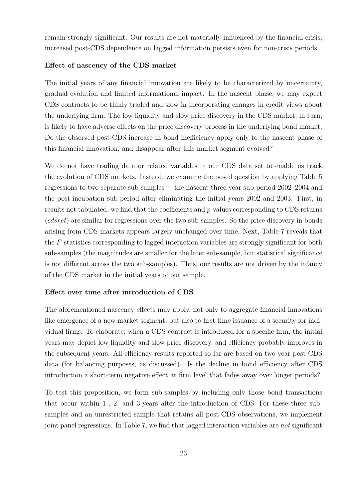remain strongly significant. Our results are not materially influenced by the financial crisis; increased post-CDS dependence on lagged information persists even for non-crisis periods.

### **Effect of nascency of the CDS market**

The initial years of any financial innovation are likely to be characterized by uncertainty, gradual evolution and limited informational impact. In the nascent phase, we may expect CDS contracts to be thinly traded and slow in incorporating changes in credit views about the underlying firm. The low liquidity and slow price discovery in the CDS market, in turn, is likely to have adverse effects on the price discovery process in the underlying bond market. Do the observed post-CDS increase in bond inefficiency apply only to the nascent phase of this financial innovation, and disappear after this market segment evolved?

We do not have trading data or related variables in our CDS data set to enable us track the evolution of CDS markets. Instead, we examine the posed question by applying Table 5 regressions to two separate sub-samples *−* the nascent three-year sub-period 2002–2004 and the post-incubation sub-period after eliminating the initial years 2002 and 2003. First, in results not tabulated, we find that the coefficients and *p*-values corresponding to CDS returns (*cdsret*) are similar for regressions over the two sub-samples. So the price discovery in bonds arising from CDS markets appears largely unchanged over time. Next, Table 7 reveals that the *F*-statistics corresponding to lagged interaction variables are strongly significant for both sub-samples (the magnitudes are smaller for the later sub-sample, but statistical significance is not different across the two sub-samples). Thus, our results are not driven by the infancy of the CDS market in the initial years of our sample.

### **Effect over time after introduction of CDS**

The aforementioned nascency effects may apply, not only to aggregate financial innovations like emergence of a new market segment, but also to first time issuance of a security for individual firms. To elaborate, when a CDS contract is introduced for a specific firm, the initial years may depict low liquidity and slow price discovery, and efficiency probably improves in the subsequent years. All efficiency results reported so far are based on two-year post-CDS data (for balancing purposes, as discussed). Is the decline in bond efficiency after CDS introduction a short-term negative effect at firm level that fades away over longer periods?

To test this proposition, we form sub-samples by including only those bond transactions that occur within 1-, 2- and 3-years after the introduction of CDS. For these three subsamples and an unrestricted sample that retains all post-CDS observations, we implement joint panel regressions. In Table 7, we find that lagged interaction variables are *not* significant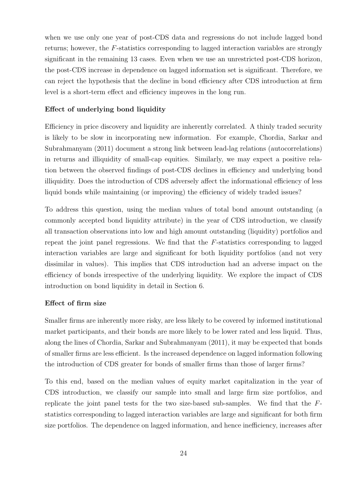when we use only one year of post-CDS data and regressions do not include lagged bond returns; however, the *F*-statistics corresponding to lagged interaction variables are strongly significant in the remaining 13 cases. Even when we use an unrestricted post-CDS horizon, the post-CDS increase in dependence on lagged information set is significant. Therefore, we can reject the hypothesis that the decline in bond efficiency after CDS introduction at firm level is a short-term effect and efficiency improves in the long run.

### **Effect of underlying bond liquidity**

Efficiency in price discovery and liquidity are inherently correlated. A thinly traded security is likely to be slow in incorporating new information. For example, Chordia, Sarkar and Subrahmanyam (2011) document a strong link between lead-lag relations (autocorrelations) in returns and illiquidity of small-cap equities. Similarly, we may expect a positive relation between the observed findings of post-CDS declines in efficiency and underlying bond illiquidity. Does the introduction of CDS adversely affect the informational efficiency of less liquid bonds while maintaining (or improving) the efficiency of widely traded issues?

To address this question, using the median values of total bond amount outstanding (a commonly accepted bond liquidity attribute) in the year of CDS introduction, we classify all transaction observations into low and high amount outstanding (liquidity) portfolios and repeat the joint panel regressions. We find that the *F*-statistics corresponding to lagged interaction variables are large and significant for both liquidity portfolios (and not very dissimilar in values). This implies that CDS introduction had an adverse impact on the efficiency of bonds irrespective of the underlying liquidity. We explore the impact of CDS introduction on bond liquidity in detail in Section 6.

### **Effect of firm size**

Smaller firms are inherently more risky, are less likely to be covered by informed institutional market participants, and their bonds are more likely to be lower rated and less liquid. Thus, along the lines of Chordia, Sarkar and Subrahmanyam (2011), it may be expected that bonds of smaller firms are less efficient. Is the increased dependence on lagged information following the introduction of CDS greater for bonds of smaller firms than those of larger firms?

To this end, based on the median values of equity market capitalization in the year of CDS introduction, we classify our sample into small and large firm size portfolios, and replicate the joint panel tests for the two size-based sub-samples. We find that the *F*statistics corresponding to lagged interaction variables are large and significant for both firm size portfolios. The dependence on lagged information, and hence inefficiency, increases after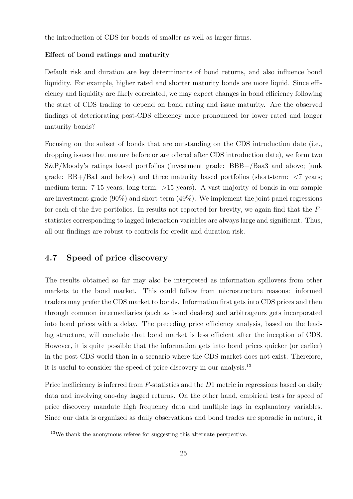the introduction of CDS for bonds of smaller as well as larger firms.

### **Effect of bond ratings and maturity**

Default risk and duration are key determinants of bond returns, and also influence bond liquidity. For example, higher rated and shorter maturity bonds are more liquid. Since efficiency and liquidity are likely correlated, we may expect changes in bond efficiency following the start of CDS trading to depend on bond rating and issue maturity. Are the observed findings of deteriorating post-CDS efficiency more pronounced for lower rated and longer maturity bonds?

Focusing on the subset of bonds that are outstanding on the CDS introduction date (i.e., dropping issues that mature before or are offered after CDS introduction date), we form two S&P*/*Moody's ratings based portfolios (investment grade: BBB*−/*Baa3 and above; junk grade: BB+*/*Ba1 and below) and three maturity based portfolios (short-term: *<*7 years; medium-term: 7-15 years; long-term: *>*15 years). A vast majority of bonds in our sample are investment grade  $(90\%)$  and short-term  $(49\%)$ . We implement the joint panel regressions for each of the five portfolios. In results not reported for brevity, we again find that the *F*statistics corresponding to lagged interaction variables are always large and significant. Thus, all our findings are robust to controls for credit and duration risk.

### **4.7 Speed of price discovery**

The results obtained so far may also be interpreted as information spillovers from other markets to the bond market. This could follow from microstructure reasons: informed traders may prefer the CDS market to bonds. Information first gets into CDS prices and then through common intermediaries (such as bond dealers) and arbitrageurs gets incorporated into bond prices with a delay. The preceding price efficiency analysis, based on the leadlag structure, will conclude that bond market is less efficient after the inception of CDS. However, it is quite possible that the information gets into bond prices quicker (or earlier) in the post-CDS world than in a scenario where the CDS market does not exist. Therefore, it is useful to consider the speed of price discovery in our analysis.<sup>13</sup>

Price inefficiency is inferred from *F*-statistics and the *D*1 metric in regressions based on daily data and involving one-day lagged returns. On the other hand, empirical tests for speed of price discovery mandate high frequency data and multiple lags in explanatory variables. Since our data is organized as daily observations and bond trades are sporadic in nature, it

<sup>&</sup>lt;sup>13</sup>We thank the anonymous referee for suggesting this alternate perspective.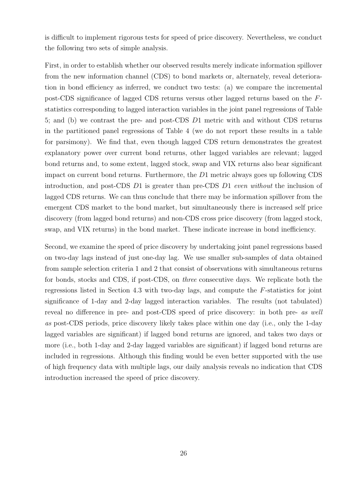is difficult to implement rigorous tests for speed of price discovery. Nevertheless, we conduct the following two sets of simple analysis.

First, in order to establish whether our observed results merely indicate information spillover from the new information channel (CDS) to bond markets or, alternately, reveal deterioration in bond efficiency as inferred, we conduct two tests: (a) we compare the incremental post-CDS significance of lagged CDS returns versus other lagged returns based on the *F*statistics corresponding to lagged interaction variables in the joint panel regressions of Table 5; and (b) we contrast the pre- and post-CDS *D*1 metric with and without CDS returns in the partitioned panel regressions of Table 4 (we do not report these results in a table for parsimony). We find that, even though lagged CDS return demonstrates the greatest explanatory power over current bond returns, other lagged variables are relevant; lagged bond returns and, to some extent, lagged stock, swap and VIX returns also bear significant impact on current bond returns. Furthermore, the *D*1 metric always goes up following CDS introduction, and post-CDS *D*1 is greater than pre-CDS *D*1 *even without* the inclusion of lagged CDS returns. We can thus conclude that there may be information spillover from the emergent CDS market to the bond market, but simultaneously there is increased self price discovery (from lagged bond returns) and non-CDS cross price discovery (from lagged stock, swap, and VIX returns) in the bond market. These indicate increase in bond inefficiency.

Second, we examine the speed of price discovery by undertaking joint panel regressions based on two-day lags instead of just one-day lag. We use smaller sub-samples of data obtained from sample selection criteria 1 and 2 that consist of observations with simultaneous returns for bonds, stocks and CDS, if post-CDS, on *three* consecutive days. We replicate both the regressions listed in Section 4.3 with two-day lags, and compute the *F*-statistics for joint significance of 1-day and 2-day lagged interaction variables. The results (not tabulated) reveal no difference in pre- and post-CDS speed of price discovery: in both pre- *as well as* post-CDS periods, price discovery likely takes place within one day (i.e., only the 1-day lagged variables are significant) if lagged bond returns are ignored, and takes two days or more (i.e., both 1-day and 2-day lagged variables are significant) if lagged bond returns are included in regressions. Although this finding would be even better supported with the use of high frequency data with multiple lags, our daily analysis reveals no indication that CDS introduction increased the speed of price discovery.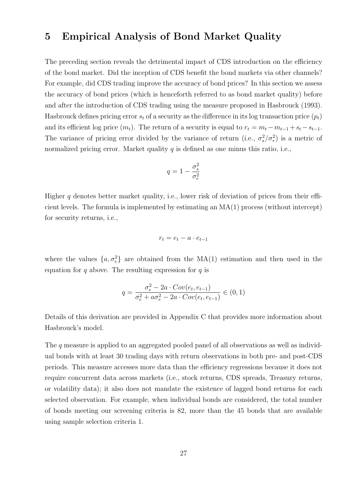### **5 Empirical Analysis of Bond Market Quality**

The preceding section reveals the detrimental impact of CDS introduction on the efficiency of the bond market. Did the inception of CDS benefit the bond markets via other channels? For example, did CDS trading improve the accuracy of bond prices? In this section we assess the accuracy of bond prices (which is henceforth referred to as bond market quality) before and after the introduction of CDS trading using the measure proposed in Hasbrouck (1993). Has brouck defines pricing error  $s_t$  of a security as the difference in its log transaction price  $(p_t)$ and its efficient log price  $(m_t)$ . The return of a security is equal to  $r_t = m_t - m_{t-1} + s_t - s_{t-1}$ . The variance of pricing error divided by the variance of return (i.e.,  $\sigma_s^2/\sigma_r^2$ ) is a metric of normalized pricing error. Market quality *q* is defined as one minus this ratio, i.e.,

$$
q=1-\frac{\sigma_s^2}{\sigma_r^2}
$$

Higher *q* denotes better market quality, i.e., lower risk of deviation of prices from their efficient levels. The formula is implemented by estimating an MA(1) process (without intercept) for security returns, i.e.,

$$
r_t = e_t - a \cdot e_{t-1}
$$

where the values  $\{a, \sigma_e^2\}$  are obtained from the MA(1) estimation and then used in the equation for *q* above. The resulting expression for *q* is

$$
q = \frac{\sigma_e^2 - 2a \cdot Cov(e_t, e_{t-1})}{\sigma_e^2 + a\sigma_e^2 - 2a \cdot Cov(e_t, e_{t-1})} \in (0, 1)
$$

Details of this derivation are provided in Appendix C that provides more information about Hasbrouck's model.

The *q* measure is applied to an aggregated pooled panel of all observations as well as individual bonds with at least 30 trading days with return observations in both pre- and post-CDS periods. This measure accesses more data than the efficiency regressions because it does not require concurrent data across markets (i.e., stock returns, CDS spreads, Treasury returns, or volatility data); it also does not mandate the existence of lagged bond returns for each selected observation. For example, when individual bonds are considered, the total number of bonds meeting our screening criteria is 82, more than the 45 bonds that are available using sample selection criteria 1.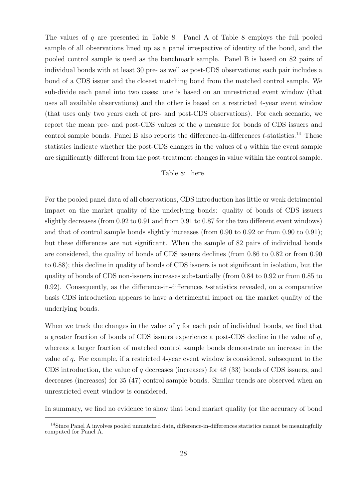The values of *q* are presented in Table 8. Panel A of Table 8 employs the full pooled sample of all observations lined up as a panel irrespective of identity of the bond, and the pooled control sample is used as the benchmark sample. Panel B is based on 82 pairs of individual bonds with at least 30 pre- as well as post-CDS observations; each pair includes a bond of a CDS issuer and the closest matching bond from the matched control sample. We sub-divide each panel into two cases: one is based on an unrestricted event window (that uses all available observations) and the other is based on a restricted 4-year event window (that uses only two years each of pre- and post-CDS observations). For each scenario, we report the mean pre- and post-CDS values of the *q* measure for bonds of CDS issuers and control sample bonds. Panel B also reports the difference-in-differences *t*-statistics.<sup>14</sup> These statistics indicate whether the post-CDS changes in the values of *q* within the event sample are significantly different from the post-treatment changes in value within the control sample.

### Table 8: here.

For the pooled panel data of all observations, CDS introduction has little or weak detrimental impact on the market quality of the underlying bonds: quality of bonds of CDS issuers slightly decreases (from 0.92 to 0.91 and from 0.91 to 0.87 for the two different event windows) and that of control sample bonds slightly increases (from 0.90 to 0.92 or from 0.90 to 0.91); but these differences are not significant. When the sample of 82 pairs of individual bonds are considered, the quality of bonds of CDS issuers declines (from 0.86 to 0.82 or from 0.90 to 0.88); this decline in quality of bonds of CDS issuers is not significant in isolation, but the quality of bonds of CDS non-issuers increases substantially (from 0.84 to 0.92 or from 0.85 to 0.92). Consequently, as the difference-in-differences *t*-statistics revealed, on a comparative basis CDS introduction appears to have a detrimental impact on the market quality of the underlying bonds.

When we track the changes in the value of *q* for each pair of individual bonds, we find that a greater fraction of bonds of CDS issuers experience a post-CDS decline in the value of *q*, whereas a larger fraction of matched control sample bonds demonstrate an increase in the value of *q*. For example, if a restricted 4-year event window is considered, subsequent to the CDS introduction, the value of *q* decreases (increases) for 48 (33) bonds of CDS issuers, and decreases (increases) for 35 (47) control sample bonds. Similar trends are observed when an unrestricted event window is considered.

In summary, we find no evidence to show that bond market quality (or the accuracy of bond

<sup>&</sup>lt;sup>14</sup>Since Panel A involves pooled unmatched data, difference-in-differences statistics cannot be meaningfully computed for Panel A.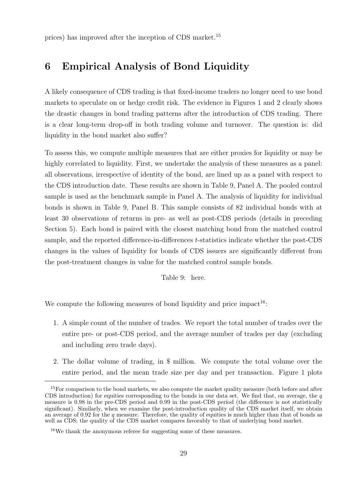prices) has improved after the inception of CDS market.<sup>15</sup>

### **6 Empirical Analysis of Bond Liquidity**

A likely consequence of CDS trading is that fixed-income traders no longer need to use bond markets to speculate on or hedge credit risk. The evidence in Figures 1 and 2 clearly shows the drastic changes in bond trading patterns after the introduction of CDS trading. There is a clear long-term drop-off in both trading volume and turnover. The question is: did liquidity in the bond market also suffer?

To assess this, we compute multiple measures that are either proxies for liquidity or may be highly correlated to liquidity. First, we undertake the analysis of these measures as a panel: all observations, irrespective of identity of the bond, are lined up as a panel with respect to the CDS introduction date. These results are shown in Table 9, Panel A. The pooled control sample is used as the benchmark sample in Panel A. The analysis of liquidity for individual bonds is shown in Table 9, Panel B. This sample consists of 82 individual bonds with at least 30 observations of returns in pre- as well as post-CDS periods (details in preceding Section 5). Each bond is paired with the closest matching bond from the matched control sample, and the reported difference-in-differences *t*-statistics indicate whether the post-CDS changes in the values of liquidity for bonds of CDS issuers are significantly different from the post-treatment changes in value for the matched control sample bonds.

Table 9: here.

We compute the following measures of bond liquidity and price impact<sup>16</sup>:

- 1. A simple count of the number of trades. We report the total number of trades over the entire pre- or post-CDS period, and the average number of trades per day (excluding and including zero trade days).
- 2. The dollar volume of trading, in \$ million. We compute the total volume over the entire period, and the mean trade size per day and per transaction. Figure 1 plots

<sup>&</sup>lt;sup>15</sup>For comparison to the bond markets, we also compute the market quality measure (both before and after CDS introduction) for equities corresponding to the bonds in our data set. We find that, on average, the *q* measure is 0.98 in the pre-CDS period and 0.99 in the post-CDS period (the difference is not statistically significant). Similarly, when we examine the post-introduction quality of the CDS market itself, we obtain an average of 0.92 for the *q* measure. Therefore, the quality of equities is much higher than that of bonds as well as CDS; the quality of the CDS market compares favorably to that of underlying bond market.

<sup>16</sup>We thank the anonymous referee for suggesting some of these measures.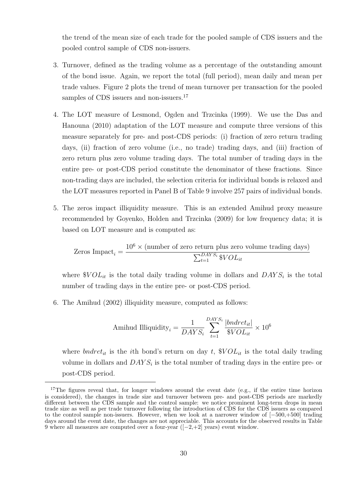the trend of the mean size of each trade for the pooled sample of CDS issuers and the pooled control sample of CDS non-issuers.

- 3. Turnover, defined as the trading volume as a percentage of the outstanding amount of the bond issue. Again, we report the total (full period), mean daily and mean per trade values. Figure 2 plots the trend of mean turnover per transaction for the pooled samples of CDS issuers and non-issuers.<sup>17</sup>
- 4. The LOT measure of Lesmond, Ogden and Trzcinka (1999). We use the Das and Hanouna (2010) adaptation of the LOT measure and compute three versions of this measure separately for pre- and post-CDS periods: (i) fraction of zero return trading days, (ii) fraction of zero volume (i.e., no trade) trading days, and (iii) fraction of zero return plus zero volume trading days. The total number of trading days in the entire pre- or post-CDS period constitute the denominator of these fractions. Since non-trading days are included, the selection criteria for individual bonds is relaxed and the LOT measures reported in Panel B of Table 9 involve 257 pairs of individual bonds.
- 5. The zeros impact illiquidity measure. This is an extended Amihud proxy measure recommended by Goyenko, Holden and Trzcinka (2009) for low frequency data; it is based on LOT measure and is computed as:

Zeros Impact<sub>i</sub> = 
$$
\frac{10^6 \times \text{(number of zero return plus zero volume trading days)}}{\sum_{t=1}^{DAYS_i} \$VOL_{it}}
$$

where  $\mathcal{N}OL_{it}$  is the total daily trading volume in dollars and  $DAYS_i$  is the total number of trading days in the entire pre- or post-CDS period.

6. The Amihud (2002) illiquidity measure, computed as follows:

Amihud Illiquidity<sub>i</sub> = 
$$
\frac{1}{DAYS_i} \sum_{t=1}^{DAYS_i} \frac{|bndret_{it}|}{\$VOL_{it}} \times 10^6
$$

where *bndret<sub>it</sub>* is the *i*th bond's return on day *t*,  $\mathcal{N}OL_{it}$  is the total daily trading volume in dollars and *DAY S<sup>i</sup>* is the total number of trading days in the entire pre- or post-CDS period.

<sup>&</sup>lt;sup>17</sup>The figures reveal that, for longer windows around the event date (e.g., if the entire time horizon is considered), the changes in trade size and turnover between pre- and post-CDS periods are markedly different between the CDS sample and the control sample: we notice prominent long-term drops in mean trade size as well as per trade turnover following the introduction of CDS for the CDS issuers as compared to the control sample non-issuers. However, when we look at a narrower window of [*−*500,+500] trading days around the event date, the changes are not appreciable. This accounts for the observed results in Table 9 where all measures are computed over a four-year ([*−*2,+2] years) event window.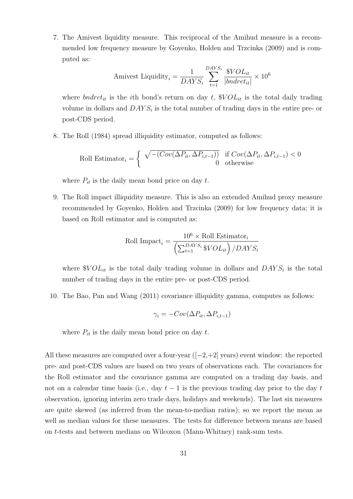7. The Amivest liquidity measure. This reciprocal of the Amihud measure is a recommended low frequency measure by Goyenko, Holden and Trzcinka (2009) and is computed as:

Amivest Liquidity<sub>i</sub> = 
$$
\frac{1}{DAYS_i} \sum_{t=1}^{DAYS_i} \frac{\$VOL_{it}}{|bndret_{it}|} \times 10^6
$$

where *bndret<sub>it</sub>* is the *i*th bond's return on day *t*,  $\mathcal{N}OL_{it}$  is the total daily trading volume in dollars and *DAY S<sup>i</sup>* is the total number of trading days in the entire pre- or post-CDS period.

8. The Roll (1984) spread illiquidity estimator, computed as follows:

Roll Estimator<sub>i</sub> = 
$$
\begin{cases} \sqrt{-\left(Cov(\Delta P_{it}, \Delta P_{i,t-1})\right)} & \text{if } Cov(\Delta P_{it}, \Delta P_{i,t-1}) < 0\\ 0 & \text{otherwise} \end{cases}
$$

where  $P_{it}$  is the daily mean bond price on day  $t$ .

9. The Roll impact illiquidity measure. This is also an extended Amihud proxy measure recommended by Goyenko, Holden and Trzcinka (2009) for low frequency data; it is based on Roll estimator and is computed as:

Roll Impact<sub>i</sub> = 
$$
\frac{10^6 \times \text{Roll Estimator}_i}{\left(\sum_{t=1}^{DAYS_i} \$VOL_{it}\right) / DAYS_i}
$$

where  $\mathcal{N}OL_{it}$  is the total daily trading volume in dollars and  $DAYS_i$  is the total number of trading days in the entire pre- or post-CDS period.

10. The Bao, Pan and Wang (2011) covariance illiquidity gamma, computes as follows:

$$
\gamma_i = -Cov(\Delta P_{it}, \Delta P_{i,t-1})
$$

where  $P_{it}$  is the daily mean bond price on day  $t$ .

All these measures are computed over a four-year ([*−*2,+2] years) event window: the reported pre- and post-CDS values are based on two years of observations each. The covariances for the Roll estimator and the covariance gamma are computed on a trading day basis, and not on a calendar time basis (i.e., day *t −* 1 is the previous trading day prior to the day *t* observation, ignoring interim zero trade days, holidays and weekends). The last six measures are quite skewed (as inferred from the mean-to-median ratios); so we report the mean as well as median values for these measures. The tests for difference between means are based on *t*-tests and between medians on Wilcoxon (Mann-Whitney) rank-sum tests.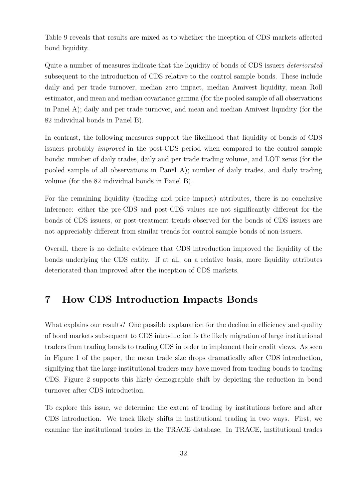Table 9 reveals that results are mixed as to whether the inception of CDS markets affected bond liquidity.

Quite a number of measures indicate that the liquidity of bonds of CDS issuers *deteriorated* subsequent to the introduction of CDS relative to the control sample bonds. These include daily and per trade turnover, median zero impact, median Amivest liquidity, mean Roll estimator, and mean and median covariance gamma (for the pooled sample of all observations in Panel A); daily and per trade turnover, and mean and median Amivest liquidity (for the 82 individual bonds in Panel B).

In contrast, the following measures support the likelihood that liquidity of bonds of CDS issuers probably *improved* in the post-CDS period when compared to the control sample bonds: number of daily trades, daily and per trade trading volume, and LOT zeros (for the pooled sample of all observations in Panel A); number of daily trades, and daily trading volume (for the 82 individual bonds in Panel B).

For the remaining liquidity (trading and price impact) attributes, there is no conclusive inference: either the pre-CDS and post-CDS values are not significantly different for the bonds of CDS issuers, or post-treatment trends observed for the bonds of CDS issuers are not appreciably different from similar trends for control sample bonds of non-issuers.

Overall, there is no definite evidence that CDS introduction improved the liquidity of the bonds underlying the CDS entity. If at all, on a relative basis, more liquidity attributes deteriorated than improved after the inception of CDS markets.

### **7 How CDS Introduction Impacts Bonds**

What explains our results? One possible explanation for the decline in efficiency and quality of bond markets subsequent to CDS introduction is the likely migration of large institutional traders from trading bonds to trading CDS in order to implement their credit views. As seen in Figure 1 of the paper, the mean trade size drops dramatically after CDS introduction, signifying that the large institutional traders may have moved from trading bonds to trading CDS. Figure 2 supports this likely demographic shift by depicting the reduction in bond turnover after CDS introduction.

To explore this issue, we determine the extent of trading by institutions before and after CDS introduction. We track likely shifts in institutional trading in two ways. First, we examine the institutional trades in the TRACE database. In TRACE, institutional trades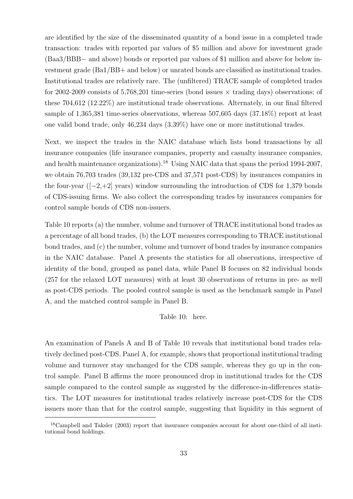are identified by the size of the disseminated quantity of a bond issue in a completed trade transaction: trades with reported par values of \$5 million and above for investment grade (Baa3/BBB*−* and above) bonds or reported par values of \$1 million and above for below investment grade (Ba1/BB+ and below) or unrated bonds are classified as institutional trades. Institutional trades are relatively rare. The (unfiltered) TRACE sample of completed trades for 2002-2009 consists of 5,768,201 time-series (bond issues *×* trading days) observations; of these 704,612 (12.22%) are institutional trade observations. Alternately, in our final filtered sample of 1,365,381 time-series observations, whereas 507,605 days (37.18%) report at least one valid bond trade, only 46,234 days (3.39%) have one or more institutional trades.

Next, we inspect the trades in the NAIC database which lists bond transactions by all insurance companies (life insurance companies, property and casualty insurance companies, and health maintenance organizations).<sup>18</sup> Using NAIC data that spans the period 1994-2007, we obtain 76,703 trades (39,132 pre-CDS and 37,571 post-CDS) by insurances companies in the four-year ([*−*2,+2] years) window surrounding the introduction of CDS for 1,379 bonds of CDS-issuing firms. We also collect the corresponding trades by insurances companies for control sample bonds of CDS non-issuers.

Table 10 reports (a) the number, volume and turnover of TRACE institutional bond trades as a percentage of all bond trades, (b) the LOT measures corresponding to TRACE institutional bond trades, and (c) the number, volume and turnover of bond trades by insurance companies in the NAIC database. Panel A presents the statistics for all observations, irrespective of identity of the bond, grouped as panel data, while Panel B focuses on 82 individual bonds (257 for the relaxed LOT measures) with at least 30 observations of returns in pre- as well as post-CDS periods. The pooled control sample is used as the benchmark sample in Panel A, and the matched control sample in Panel B.

### Table 10: here.

An examination of Panels A and B of Table 10 reveals that institutional bond trades relatively declined post-CDS. Panel A, for example, shows that proportional institutional trading volume and turnover stay unchanged for the CDS sample, whereas they go up in the control sample. Panel B affirms the more pronounced drop in institutional trades for the CDS sample compared to the control sample as suggested by the difference-in-differences statistics. The LOT measures for institutional trades relatively increase post-CDS for the CDS issuers more than that for the control sample, suggesting that liquidity in this segment of

<sup>18</sup>Campbell and Taksler (2003) report that insurance companies account for about one-third of all institutional bond holdings.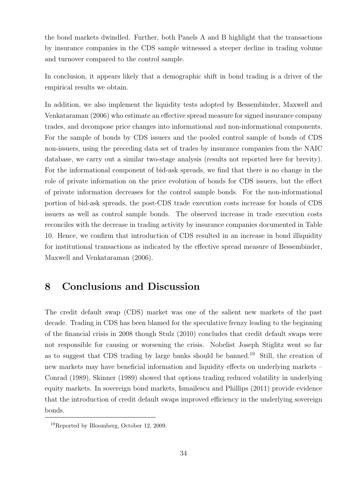the bond markets dwindled. Further, both Panels A and B highlight that the transactions by insurance companies in the CDS sample witnessed a steeper decline in trading volume and turnover compared to the control sample.

In conclusion, it appears likely that a demographic shift in bond trading is a driver of the empirical results we obtain.

In addition, we also implement the liquidity tests adopted by Bessembinder, Maxwell and Venkataraman (2006) who estimate an effective spread measure for signed insurance company trades, and decompose price changes into informational and non-informational components. For the sample of bonds by CDS issuers and the pooled control sample of bonds of CDS non-issuers, using the preceding data set of trades by insurance companies from the NAIC database, we carry out a similar two-stage analysis (results not reported here for brevity). For the informational component of bid-ask spreads, we find that there is no change in the role of private information on the price evolution of bonds for CDS issuers, but the effect of private information decreases for the control sample bonds. For the non-informational portion of bid-ask spreads, the post-CDS trade execution costs increase for bonds of CDS issuers as well as control sample bonds. The observed increase in trade execution costs reconciles with the decrease in trading activity by insurance companies documented in Table 10. Hence, we confirm that introduction of CDS resulted in an increase in bond illiquidity for institutional transactions as indicated by the effective spread measure of Bessembinder, Maxwell and Venkataraman (2006).

### **8 Conclusions and Discussion**

The credit default swap (CDS) market was one of the salient new markets of the past decade. Trading in CDS has been blamed for the speculative frenzy leading to the beginning of the financial crisis in 2008 though Stulz (2010) concludes that credit default swaps were not responsible for causing or worsening the crisis. Nobelist Joseph Stiglitz went so far as to suggest that CDS trading by large banks should be banned.<sup>19</sup> Still, the creation of new markets may have beneficial information and liquidity effects on underlying markets – Conrad (1989), Skinner (1989) showed that options trading reduced volatility in underlying equity markets. In sovereign bond markets, Ismailescu and Phillips (2011) provide evidence that the introduction of credit default swaps improved efficiency in the underlying sovereign bonds.

<sup>19</sup>Reported by Bloomberg, October 12, 2009.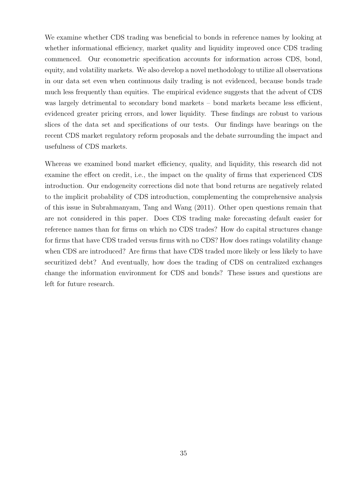We examine whether CDS trading was beneficial to bonds in reference names by looking at whether informational efficiency, market quality and liquidity improved once CDS trading commenced. Our econometric specification accounts for information across CDS, bond, equity, and volatility markets. We also develop a novel methodology to utilize all observations in our data set even when continuous daily trading is not evidenced, because bonds trade much less frequently than equities. The empirical evidence suggests that the advent of CDS was largely detrimental to secondary bond markets – bond markets became less efficient, evidenced greater pricing errors, and lower liquidity. These findings are robust to various slices of the data set and specifications of our tests. Our findings have bearings on the recent CDS market regulatory reform proposals and the debate surrounding the impact and usefulness of CDS markets.

Whereas we examined bond market efficiency, quality, and liquidity, this research did not examine the effect on credit, i.e., the impact on the quality of firms that experienced CDS introduction. Our endogeneity corrections did note that bond returns are negatively related to the implicit probability of CDS introduction, complementing the comprehensive analysis of this issue in Subrahmanyam, Tang and Wang (2011). Other open questions remain that are not considered in this paper. Does CDS trading make forecasting default easier for reference names than for firms on which no CDS trades? How do capital structures change for firms that have CDS traded versus firms with no CDS? How does ratings volatility change when CDS are introduced? Are firms that have CDS traded more likely or less likely to have securitized debt? And eventually, how does the trading of CDS on centralized exchanges change the information environment for CDS and bonds? These issues and questions are left for future research.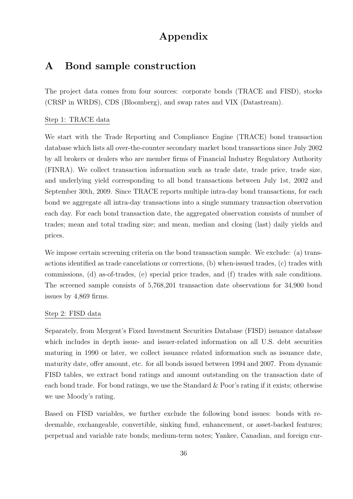### **Appendix**

### **A Bond sample construction**

The project data comes from four sources: corporate bonds (TRACE and FISD), stocks (CRSP in WRDS), CDS (Bloomberg), and swap rates and VIX (Datastream).

### Step 1: TRACE data

We start with the Trade Reporting and Compliance Engine (TRACE) bond transaction database which lists all over-the-counter secondary market bond transactions since July 2002 by all brokers or dealers who are member firms of Financial Industry Regulatory Authority (FINRA). We collect transaction information such as trade date, trade price, trade size, and underlying yield corresponding to all bond transactions between July 1st, 2002 and September 30th, 2009. Since TRACE reports multiple intra-day bond transactions, for each bond we aggregate all intra-day transactions into a single summary transaction observation each day. For each bond transaction date, the aggregated observation consists of number of trades; mean and total trading size; and mean, median and closing (last) daily yields and prices.

We impose certain screening criteria on the bond transaction sample. We exclude: (a) transactions identified as trade cancelations or corrections, (b) when-issued trades, (c) trades with commissions, (d) as-of-trades, (e) special price trades, and (f) trades with sale conditions. The screened sample consists of 5,768,201 transaction date observations for 34,900 bond issues by 4,869 firms.

### Step 2: FISD data

Separately, from Mergent's Fixed Investment Securities Database (FISD) issuance database which includes in depth issue- and issuer-related information on all U.S. debt securities maturing in 1990 or later, we collect issuance related information such as issuance date, maturity date, offer amount, etc. for all bonds issued between 1994 and 2007. From dynamic FISD tables, we extract bond ratings and amount outstanding on the transaction date of each bond trade. For bond ratings, we use the Standard  $\&$  Poor's rating if it exists; otherwise we use Moody's rating.

Based on FISD variables, we further exclude the following bond issues: bonds with redeemable, exchangeable, convertible, sinking fund, enhancement, or asset-backed features; perpetual and variable rate bonds; medium-term notes; Yankee, Canadian, and foreign cur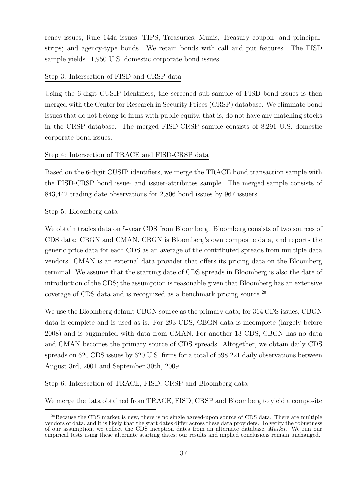rency issues; Rule 144a issues; TIPS, Treasuries, Munis, Treasury coupon- and principalstrips; and agency-type bonds. We retain bonds with call and put features. The FISD sample yields 11,950 U.S. domestic corporate bond issues.

### Step 3: Intersection of FISD and CRSP data

Using the 6-digit CUSIP identifiers, the screened sub-sample of FISD bond issues is then merged with the Center for Research in Security Prices (CRSP) database. We eliminate bond issues that do not belong to firms with public equity, that is, do not have any matching stocks in the CRSP database. The merged FISD-CRSP sample consists of 8,291 U.S. domestic corporate bond issues.

### Step 4: Intersection of TRACE and FISD-CRSP data

Based on the 6-digit CUSIP identifiers, we merge the TRACE bond transaction sample with the FISD-CRSP bond issue- and issuer-attributes sample. The merged sample consists of 843,442 trading date observations for 2,806 bond issues by 967 issuers.

### Step 5: Bloomberg data

We obtain trades data on 5-year CDS from Bloomberg. Bloomberg consists of two sources of CDS data: CBGN and CMAN. CBGN is Bloomberg's own composite data, and reports the generic price data for each CDS as an average of the contributed spreads from multiple data vendors. CMAN is an external data provider that offers its pricing data on the Bloomberg terminal. We assume that the starting date of CDS spreads in Bloomberg is also the date of introduction of the CDS; the assumption is reasonable given that Bloomberg has an extensive coverage of CDS data and is recognized as a benchmark pricing source.<sup>20</sup>

We use the Bloomberg default CBGN source as the primary data; for 314 CDS issues, CBGN data is complete and is used as is. For 293 CDS, CBGN data is incomplete (largely before 2008) and is augmented with data from CMAN. For another 13 CDS, CBGN has no data and CMAN becomes the primary source of CDS spreads. Altogether, we obtain daily CDS spreads on 620 CDS issues by 620 U.S. firms for a total of 598,221 daily observations between August 3rd, 2001 and September 30th, 2009.

### Step 6: Intersection of TRACE, FISD, CRSP and Bloomberg data

We merge the data obtained from TRACE, FISD, CRSP and Bloomberg to yield a composite

<sup>&</sup>lt;sup>20</sup>Because the CDS market is new, there is no single agreed-upon source of CDS data. There are multiple vendors of data, and it is likely that the start dates differ across these data providers. To verify the robustness of our assumption, we collect the CDS inception dates from an alternate database, *Markit*. We run our empirical tests using these alternate starting dates; our results and implied conclusions remain unchanged.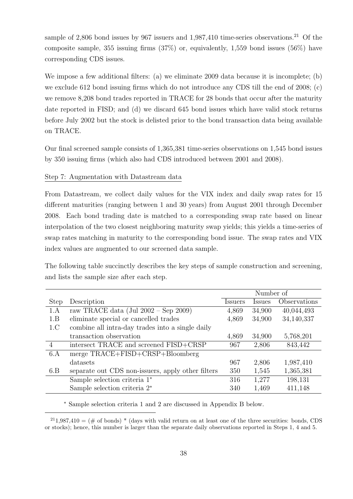sample of 2,806 bond issues by 967 issuers and  $1,987,410$  time-series observations.<sup>21</sup> Of the composite sample, 355 issuing firms (37%) or, equivalently, 1,559 bond issues (56%) have corresponding CDS issues.

We impose a few additional filters: (a) we eliminate 2009 data because it is incomplete; (b) we exclude 612 bond issuing firms which do not introduce any CDS till the end of 2008; (c) we remove 8,208 bond trades reported in TRACE for 28 bonds that occur after the maturity date reported in FISD; and (d) we discard 645 bond issues which have valid stock returns before July 2002 but the stock is delisted prior to the bond transaction data being available on TRACE.

Our final screened sample consists of 1,365,381 time-series observations on 1,545 bond issues by 350 issuing firms (which also had CDS introduced between 2001 and 2008).

### Step 7: Augmentation with Datastream data

From Datastream, we collect daily values for the VIX index and daily swap rates for 15 different maturities (ranging between 1 and 30 years) from August 2001 through December 2008. Each bond trading date is matched to a corresponding swap rate based on linear interpolation of the two closest neighboring maturity swap yields; this yields a time-series of swap rates matching in maturity to the corresponding bond issue. The swap rates and VIX index values are augmented to our screened data sample.

The following table succinctly describes the key steps of sample construction and screening, and lists the sample size after each step.

|             |                                                   |                | Number of     |              |
|-------------|---------------------------------------------------|----------------|---------------|--------------|
| <b>Step</b> | Description                                       | <b>Issuers</b> | <i>Issues</i> | Observations |
| 1.A         | raw TRACE data (Jul 2002 – Sep 2009)              | 4,869          | 34,900        | 40,044,493   |
| 1.B         | eliminate special or cancelled trades             | 4,869          | 34,900        | 34,140,337   |
| 1.C         | combine all intra-day trades into a single daily  |                |               |              |
|             | transaction observation                           | 4,869          | 34,900        | 5,768,201    |
| 4           | intersect TRACE and screened FISD+CRSP            | 967            | 2,806         | 843,442      |
| 6.A         | merge TRACE+FISD+CRSP+Bloomberg                   |                |               |              |
|             | datasets                                          | 967            | 2,806         | 1,987,410    |
| 6.B         | separate out CDS non-issuers, apply other filters | 350            | 1,545         | 1,365,381    |
|             | Sample selection criteria 1 <sup>*</sup>          | 316            | 1,277         | 198,131      |
|             | Sample selection criteria $2^*$                   | 340            | 1,469         | 411,148      |

*∗* Sample selection criteria 1 and 2 are discussed in Appendix B below.

 $^{21}1,987,410 = (\text{\# of bonds})^*$  (days with valid return on at least one of the three securities: bonds, CDS or stocks); hence, this number is larger than the separate daily observations reported in Steps 1, 4 and 5.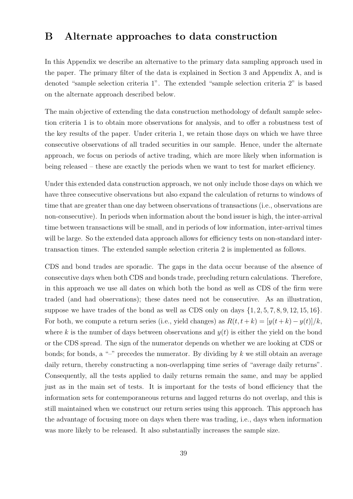### **B Alternate approaches to data construction**

In this Appendix we describe an alternative to the primary data sampling approach used in the paper. The primary filter of the data is explained in Section 3 and Appendix A, and is denoted "sample selection criteria 1". The extended "sample selection criteria 2" is based on the alternate approach described below.

The main objective of extending the data construction methodology of default sample selection criteria 1 is to obtain more observations for analysis, and to offer a robustness test of the key results of the paper. Under criteria 1, we retain those days on which we have three consecutive observations of all traded securities in our sample. Hence, under the alternate approach, we focus on periods of active trading, which are more likely when information is being released – these are exactly the periods when we want to test for market efficiency.

Under this extended data construction approach, we not only include those days on which we have three consecutive observations but also expand the calculation of returns to windows of time that are greater than one day between observations of transactions (i.e., observations are non-consecutive). In periods when information about the bond issuer is high, the inter-arrival time between transactions will be small, and in periods of low information, inter-arrival times will be large. So the extended data approach allows for efficiency tests on non-standard intertransaction times. The extended sample selection criteria 2 is implemented as follows.

CDS and bond trades are sporadic. The gaps in the data occur because of the absence of consecutive days when both CDS and bonds trade, precluding return calculations. Therefore, in this approach we use all dates on which both the bond as well as CDS of the firm were traded (and had observations); these dates need not be consecutive. As an illustration, suppose we have trades of the bond as well as CDS only on days  $\{1, 2, 5, 7, 8, 9, 12, 15, 16\}$ . For both, we compute a return series (i.e., yield changes) as  $R(t, t + k) = [y(t + k) - y(t)]/k$ , where  $k$  is the number of days between observations and  $y(t)$  is either the yield on the bond or the CDS spread. The sign of the numerator depends on whether we are looking at CDS or bonds; for bonds, a "–" precedes the numerator. By dividing by *k* we still obtain an average daily return, thereby constructing a non-overlapping time series of "average daily returns". Consequently, all the tests applied to daily returns remain the same, and may be applied just as in the main set of tests. It is important for the tests of bond efficiency that the information sets for contemporaneous returns and lagged returns do not overlap, and this is still maintained when we construct our return series using this approach. This approach has the advantage of focusing more on days when there was trading, i.e., days when information was more likely to be released. It also substantially increases the sample size.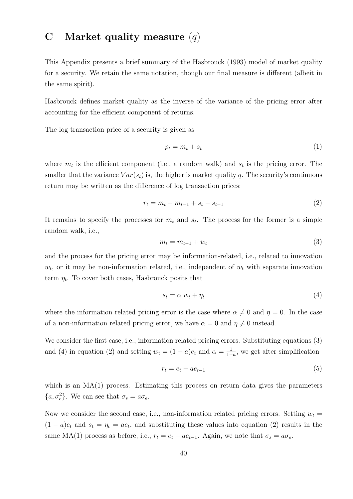### **C Market quality measure** (*q*)

This Appendix presents a brief summary of the Hasbrouck (1993) model of market quality for a security. We retain the same notation, though our final measure is different (albeit in the same spirit).

Hasbrouck defines market quality as the inverse of the variance of the pricing error after accounting for the efficient component of returns.

The log transaction price of a security is given as

$$
p_t = m_t + s_t \tag{1}
$$

where  $m_t$  is the efficient component (i.e., a random walk) and  $s_t$  is the pricing error. The smaller that the variance  $Var(s_t)$  is, the higher is market quality *q*. The security's continuous return may be written as the difference of log transaction prices:

$$
r_t = m_t - m_{t-1} + s_t - s_{t-1}
$$
\n(2)

It remains to specify the processes for  $m_t$  and  $s_t$ . The process for the former is a simple random walk, i.e.,

$$
m_t = m_{t-1} + w_t \tag{3}
$$

and the process for the pricing error may be information-related, i.e., related to innovation  $w_t$ , or it may be non-information related, i.e., independent of  $w_t$  with separate innovation term  $\eta_t$ . To cover both cases, Hasbrouck posits that

$$
s_t = \alpha w_t + \eta_t \tag{4}
$$

where the information related pricing error is the case where  $\alpha \neq 0$  and  $\eta = 0$ . In the case of a non-information related pricing error, we have  $\alpha = 0$  and  $\eta \neq 0$  instead.

We consider the first case, i.e., information related pricing errors. Substituting equations (3) and (4) in equation (2) and setting  $w_t = (1 - a)e_t$  and  $\alpha = \frac{1}{1 - a}$ 1*−a* , we get after simplification

$$
r_t = e_t - ae_{t-1} \tag{5}
$$

which is an  $MA(1)$  process. Estimating this process on return data gives the parameters  ${a, \sigma_e^2}$ . We can see that  $\sigma_s = a\sigma_e$ .

Now we consider the second case, i.e., non-information related pricing errors. Setting  $w_t =$  $(1 - a)e_t$  and  $s_t = \eta_t = ae_t$ , and substituting these values into equation (2) results in the same MA(1) process as before, i.e.,  $r_t = e_t - ae_{t-1}$ . Again, we note that  $\sigma_s = a\sigma_e$ .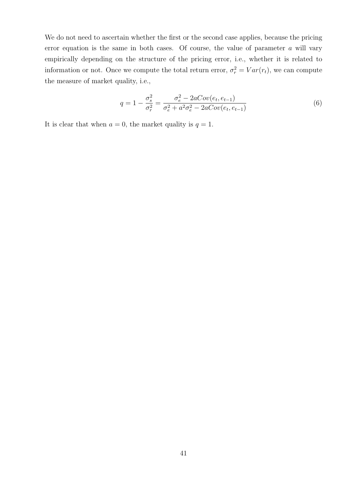We do not need to ascertain whether the first or the second case applies, because the pricing error equation is the same in both cases. Of course, the value of parameter *a* will vary empirically depending on the structure of the pricing error, i.e., whether it is related to information or not. Once we compute the total return error,  $\sigma_r^2 = Var(r_t)$ , we can compute the measure of market quality, i.e.,

$$
q = 1 - \frac{\sigma_s^2}{\sigma_r^2} = \frac{\sigma_e^2 - 2aCov(e_t, e_{t-1})}{\sigma_e^2 + a^2 \sigma_e^2 - 2aCov(e_t, e_{t-1})}
$$
(6)

It is clear that when  $a = 0$ , the market quality is  $q = 1$ .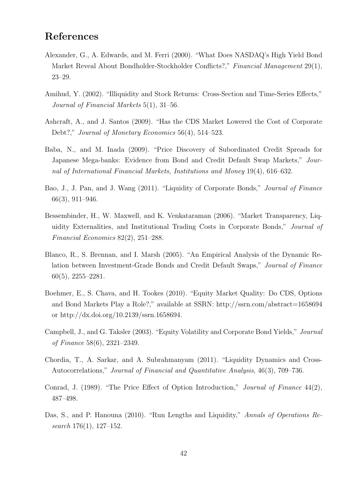### **References**

- Alexander, G., A. Edwards, and M. Ferri (2000). "What Does NASDAQ's High Yield Bond Market Reveal About Bondholder-Stockholder Conflicts?," *Financial Management* 29(1), 23–29.
- Amihud, Y. (2002). "Illiquidity and Stock Returns: Cross-Section and Time-Series Effects," *Journal of Financial Markets* 5(1), 31–56.
- Ashcraft, A., and J. Santos (2009). "Has the CDS Market Lowered the Cost of Corporate Debt?," *Journal of Monetary Economics* 56(4), 514–523.
- Baba, N., and M. Inada (2009). "Price Discovery of Subordinated Credit Spreads for Japanese Mega-banks: Evidence from Bond and Credit Default Swap Markets," *Journal of International Financial Markets, Institutions and Money* 19(4), 616–632.
- Bao, J., J. Pan, and J. Wang (2011). "Liquidity of Corporate Bonds," *Journal of Finance* 66(3), 911–946.
- Bessembinder, H., W. Maxwell, and K. Venkataraman (2006). "Market Transparency, Liquidity Externalities, and Institutional Trading Costs in Corporate Bonds," *Journal of Financial Economics* 82(2), 251–288.
- Blanco, R., S. Brennan, and I. Marsh (2005). "An Empirical Analysis of the Dynamic Relation between Investment-Grade Bonds and Credit Default Swaps," *Journal of Finance* 60(5), 2255–2281.
- Boehmer, E., S. Chava, and H. Tookes (2010). "Equity Market Quality: Do CDS, Options and Bond Markets Play a Role?," available at SSRN: http://ssrn.com/abstract=1658694 or http://dx.doi.org/10.2139/ssrn.1658694.
- Campbell, J., and G. Taksler (2003). "Equity Volatility and Corporate Bond Yields," *Journal of Finance* 58(6), 2321–2349.
- Chordia, T., A. Sarkar, and A. Subrahmanyam (2011). "Liquidity Dynamics and Cross-Autocorrelations," *Journal of Financial and Quantitative Analysis*, 46(3), 709–736.
- Conrad, J. (1989). "The Price Effect of Option Introduction," *Journal of Finance* 44(2), 487–498.
- Das, S., and P. Hanouna (2010). "Run Lengths and Liquidity," *Annals of Operations Research* 176(1), 127–152.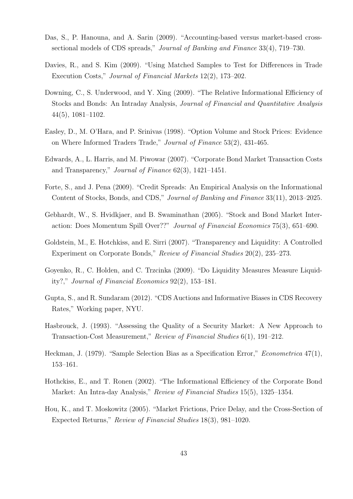- Das, S., P. Hanouna, and A. Sarin (2009). "Accounting-based versus market-based crosssectional models of CDS spreads," *Journal of Banking and Finance* 33(4), 719–730.
- Davies, R., and S. Kim (2009). "Using Matched Samples to Test for Differences in Trade Execution Costs," *Journal of Financial Markets* 12(2), 173–202.
- Downing, C., S. Underwood, and Y. Xing (2009). "The Relative Informational Efficiency of Stocks and Bonds: An Intraday Analysis, *Journal of Financial and Quantitative Analysis* 44(5), 1081–1102.
- Easley, D., M. O'Hara, and P. Srinivas (1998). "Option Volume and Stock Prices: Evidence on Where Informed Traders Trade," *Journal of Finance* 53(2), 431-465.
- Edwards, A., L. Harris, and M. Piwowar (2007). "Corporate Bond Market Transaction Costs and Transparency," *Journal of Finance* 62(3), 1421–1451.
- Forte, S., and J. Pena (2009). "Credit Spreads: An Empirical Analysis on the Informational Content of Stocks, Bonds, and CDS," *Journal of Banking and Finance* 33(11), 2013–2025.
- Gebhardt, W., S. Hvidkjaer, and B. Swaminathan (2005). "Stock and Bond Market Interaction: Does Momentum Spill Over??" *Journal of Financial Economics* 75(3), 651–690.
- Goldstein, M., E. Hotchkiss, and E. Sirri (2007). "Transparency and Liquidity: A Controlled Experiment on Corporate Bonds," *Review of Financial Studies* 20(2), 235–273.
- Goyenko, R., C. Holden, and C. Trzcinka (2009). "Do Liquidity Measures Measure Liquidity?," *Journal of Financial Economics* 92(2), 153–181.
- Gupta, S., and R. Sundaram (2012). "CDS Auctions and Informative Biases in CDS Recovery Rates," Working paper, NYU.
- Hasbrouck, J. (1993). "Assessing the Quality of a Security Market: A New Approach to Transaction-Cost Measurement," *Review of Financial Studies* 6(1), 191–212.
- Heckman, J. (1979). "Sample Selection Bias as a Specification Error," *Econometrica* 47(1), 153–161.
- Hothckiss, E., and T. Ronen (2002). "The Informational Efficiency of the Corporate Bond Market: An Intra-day Analysis," *Review of Financial Studies* 15(5), 1325–1354.
- Hou, K., and T. Moskowitz (2005). "Market Frictions, Price Delay, and the Cross-Section of Expected Returns," *Review of Financial Studies* 18(3), 981–1020.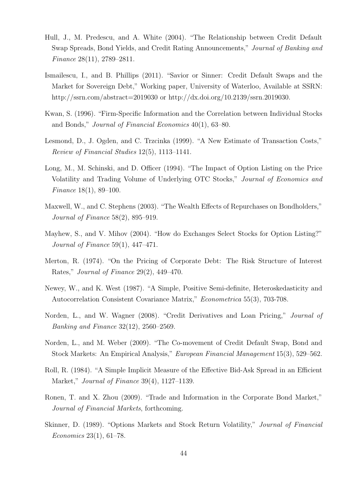- Hull, J., M. Predescu, and A. White (2004). "The Relationship between Credit Default Swap Spreads, Bond Yields, and Credit Rating Announcements," *Journal of Banking and Finance* 28(11), 2789–2811.
- Ismailescu, I., and B. Phillips (2011). "Savior or Sinner: Credit Default Swaps and the Market for Sovereign Debt," Working paper, University of Waterloo, Available at SSRN: http://ssrn.com/abstract=2019030 or http://dx.doi.org/10.2139/ssrn.2019030.
- Kwan, S. (1996). "Firm-Specific Information and the Correlation between Individual Stocks and Bonds," *Journal of Financial Economics* 40(1), 63–80.
- Lesmond, D., J. Ogden, and C. Trzcinka (1999). "A New Estimate of Transaction Costs," *Review of Financial Studies* 12(5), 1113–1141.
- Long, M., M. Schinski, and D. Officer (1994). "The Impact of Option Listing on the Price Volatility and Trading Volume of Underlying OTC Stocks," *Journal of Economics and Finance* 18(1), 89–100.
- Maxwell, W., and C. Stephens (2003). "The Wealth Effects of Repurchases on Bondholders," *Journal of Finance* 58(2), 895–919.
- Mayhew, S., and V. Mihov (2004). "How do Exchanges Select Stocks for Option Listing?" *Journal of Finance* 59(1), 447–471.
- Merton, R. (1974). "On the Pricing of Corporate Debt: The Risk Structure of Interest Rates," *Journal of Finance* 29(2), 449–470.
- Newey, W., and K. West (1987). "A Simple, Positive Semi-definite, Heteroskedasticity and Autocorrelation Consistent Covariance Matrix," *Econometrica* 55(3), 703-708.
- Norden, L., and W. Wagner (2008). "Credit Derivatives and Loan Pricing," *Journal of Banking and Finance* 32(12), 2560–2569.
- Norden, L., and M. Weber (2009). "The Co-movement of Credit Default Swap, Bond and Stock Markets: An Empirical Analysis," *European Financial Management* 15(3), 529–562.
- Roll, R. (1984). "A Simple Implicit Measure of the Effective Bid-Ask Spread in an Efficient Market," *Journal of Finance* 39(4), 1127–1139.
- Ronen, T. and X. Zhou (2009). "Trade and Information in the Corporate Bond Market," *Journal of Financial Markets*, forthcoming.
- Skinner, D. (1989). "Options Markets and Stock Return Volatility," *Journal of Financial Economics* 23(1), 61–78.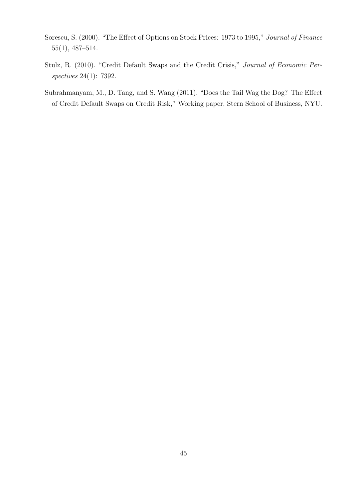- Sorescu, S. (2000). "The Effect of Options on Stock Prices: 1973 to 1995," *Journal of Finance* 55(1), 487–514.
- Stulz, R. (2010). "Credit Default Swaps and the Credit Crisis," *Journal of Economic Perspectives* 24(1): 7392.
- Subrahmanyam, M., D. Tang, and S. Wang (2011). "Does the Tail Wag the Dog? The Effect of Credit Default Swaps on Credit Risk," Working paper, Stern School of Business, NYU.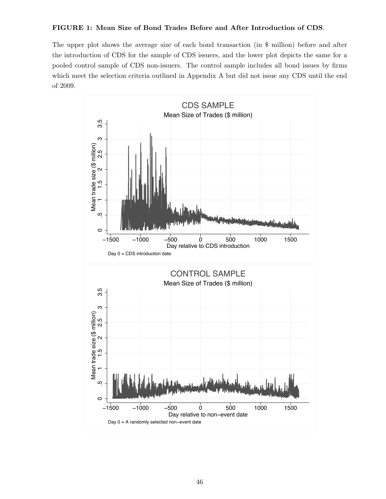### FIGURE 1: Mean Size of Bond Trades Before and After Introduction of CDS.

The upper plot shows the average size of each bond transaction (in \$ million) before and after the introduction of CDS for the sample of CDS issuers, and the lower plot depicts the same for a pooled control sample of CDS non-issuers. The control sample includes all bond issues by firms which meet the selection criteria outlined in Appendix A but did not issue any CDS until the end of 2009.

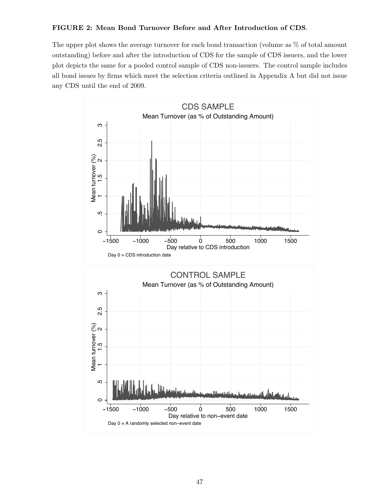### FIGURE 2: Mean Bond Turnover Before and After Introduction of CDS.

The upper plot shows the average turnover for each bond transaction (volume as % of total amount outstanding) before and after the introduction of CDS for the sample of CDS issuers, and the lower plot depicts the same for a pooled control sample of CDS non-issuers. The control sample includes all bond issues by firms which meet the selection criteria outlined in Appendix A but did not issue any CDS until the end of 2009.

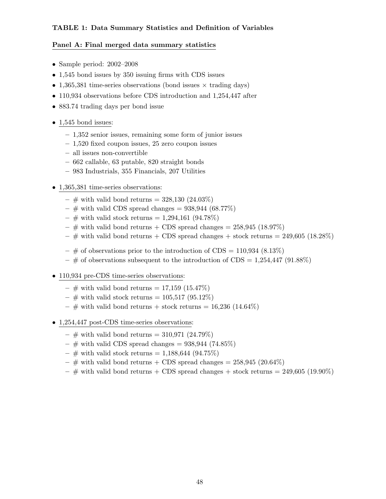### TABLE 1: Data Summary Statistics and Definition of Variables

### Panel A: Final merged data summary statistics

- Sample period: 2002–2008
- 1,545 bond issues by 350 issuing firms with CDS issues
- 1,365,381 time-series observations (bond issues  $\times$  trading days)
- 110,934 observations before CDS introduction and 1,254,447 after
- 883.74 trading days per bond issue

### • 1,545 bond issues:

- 1,352 senior issues, remaining some form of junior issues
- 1,520 fixed coupon issues, 25 zero coupon issues
- all issues non-convertible
- 662 callable, 63 putable, 820 straight bonds
- 983 Industrials, 355 Financials, 207 Utilities

### • 1,365,381 time-series observations:

- $-$  # with valid bond returns = 328,130 (24.03%)
- $-$  # with valid CDS spread changes = 938,944 (68.77%)
- $\#$  with valid stock returns = 1,294,161 (94.78%)
- $-$  # with valid bond returns + CDS spread changes = 258,945 (18.97%)
- $-$  # with valid bond returns + CDS spread changes + stock returns = 249,605 (18.28%)
- $-$  # of observations prior to the introduction of CDS = 110,934 (8.13\%)
- $-$  # of observations subsequent to the introduction of CDS = 1,254,447 (91.88%)
- 110,934 pre-CDS time-series observations:
	- $-$  # with valid bond returns = 17,159 (15.47%)
	- $\#$  with valid stock returns = 105,517 (95.12%)
	- $\#$  with valid bond returns + stock returns = 16,236 (14.64%)
- 1,254,447 post-CDS time-series observations:
	- $\#$  with valid bond returns = 310,971 (24.79%)
	- $-$  # with valid CDS spread changes = 938,944 (74.85%)
	- $\#$  with valid stock returns = 1,188,644 (94.75%)
	- $-$  # with valid bond returns + CDS spread changes = 258,945 (20.64%)
	- $-$  # with valid bond returns + CDS spread changes + stock returns = 249,605 (19.90%)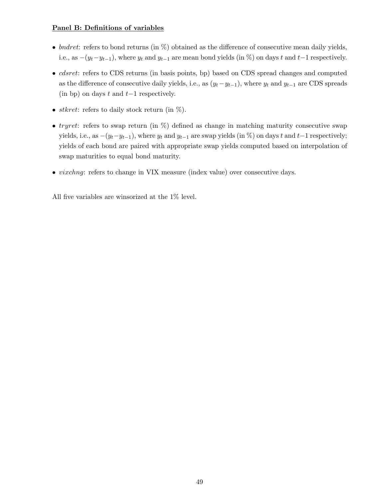### Panel B: Definitions of variables

- bndret: refers to bond returns (in  $\%$ ) obtained as the difference of consecutive mean daily yields, i.e., as  $-(y_t-y_{t-1})$ , where  $y_t$  and  $y_{t-1}$  are mean bond yields (in %) on days t and t−1 respectively.
- *cdsret*: refers to CDS returns (in basis points, bp) based on CDS spread changes and computed as the difference of consecutive daily yields, i.e., as  $(y_t-y_{t-1})$ , where  $y_t$  and  $y_{t-1}$  are CDS spreads (in bp) on days t and  $t-1$  respectively.
- *stkret*: refers to daily stock return (in  $\%$ ).
- tryret: refers to swap return (in  $\%$ ) defined as change in matching maturity consecutive swap yields, i.e., as  $-(y_t-y_{t-1})$ , where  $y_t$  and  $y_{t-1}$  are swap yields (in %) on days t and t−1 respectively; yields of each bond are paired with appropriate swap yields computed based on interpolation of swap maturities to equal bond maturity.
- *vixchng*: refers to change in VIX measure (index value) over consecutive days.

All five variables are winsorized at the 1% level.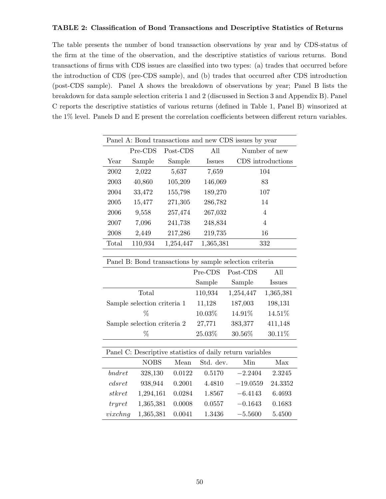### TABLE 2: Classification of Bond Transactions and Descriptive Statistics of Returns

The table presents the number of bond transaction observations by year and by CDS-status of the firm at the time of the observation, and the descriptive statistics of various returns. Bond transactions of firms with CDS issues are classified into two types: (a) trades that occurred before the introduction of CDS (pre-CDS sample), and (b) trades that occurred after CDS introduction (post-CDS sample). Panel A shows the breakdown of observations by year; Panel B lists the breakdown for data sample selection criteria 1 and 2 (discussed in Section 3 and Appendix B). Panel C reports the descriptive statistics of various returns (defined in Table 1, Panel B) winsorized at the 1% level. Panels D and E present the correlation coefficients between different return variables.

|        |                             |           |           | Panel A: Bond transactions and new CDS issues by year     |                   |
|--------|-----------------------------|-----------|-----------|-----------------------------------------------------------|-------------------|
|        | Pre-CDS                     | Post-CDS  | All       |                                                           | Number of new     |
| Year   | Sample                      | Sample    | Issues    |                                                           | CDS introductions |
| 2002   | 2,022                       | 5,637     | 7,659     |                                                           | 104               |
| 2003   | 40,860                      | 105,209   | 146,069   |                                                           | 83                |
| 2004   | 33,472                      | 155,798   | 189,270   |                                                           | 107               |
| 2005   | 15,477                      | 271,305   | 286,782   |                                                           | 14                |
| 2006   | 9,558                       | 257,474   | 267,032   |                                                           | $\overline{4}$    |
| 2007   | 7,096                       | 241,738   | 248,834   |                                                           | $\overline{4}$    |
| 2008   | 2,449                       | 217,286   | 219,735   |                                                           | 16                |
| Total  | 110,934                     | 1,254,447 | 1,365,381 |                                                           | 332               |
|        |                             |           |           |                                                           |                   |
|        |                             |           |           | Panel B: Bond transactions by sample selection criteria   |                   |
|        |                             |           | Pre-CDS   | Post-CDS                                                  | All               |
|        |                             |           | Sample    | Sample                                                    | Issues            |
| Total  |                             |           | 110,934   | 1,254,447                                                 | 1,365,381         |
|        | Sample selection criteria 1 |           | 11,128    | 187,003                                                   | 198,131           |
|        | %                           |           | 10.03%    | 14.91%                                                    | 14.51%            |
|        | Sample selection criteria 2 |           | 27,771    | 383,377                                                   | 411,148           |
|        | %                           |           | 25.03%    | 30.56%                                                    | 30.11%            |
|        |                             |           |           |                                                           |                   |
|        |                             |           |           | Panel C: Descriptive statistics of daily return variables |                   |
|        | <b>NOBS</b>                 | Mean      | Std. dev. | Min                                                       | Max               |
| bndret | 328,130                     | 0.0122    | 0.5170    | $-2.2404$                                                 | 2.3245            |
| cdsret | 938,944                     | 0.2001    | 4.4810    | $-19.0559$                                                | 24.3352           |

stkret 1,294,161 0.0284 1.8567 −6.4143 6.4693 tryret 1,365,381 0.0008 0.0557 −0.1643 0.1683 vixchng 1,365,381 0.0041 1.3436 −5.5600 5.4500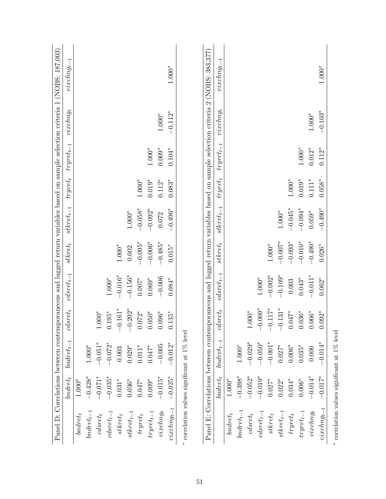|                        |            |                |                   |                           |             |                |             |                |                                                                                                                | Panel D: Correlations between contemporaneous and lagged return variables based on sample selection criteria 1 (NOBS: 187,003) |
|------------------------|------------|----------------|-------------------|---------------------------|-------------|----------------|-------------|----------------|----------------------------------------------------------------------------------------------------------------|--------------------------------------------------------------------------------------------------------------------------------|
|                        | $bndret_t$ | $bndret_{t-1}$ | $sret_t$<br>Ċ,    | $\emph{cds}$ ret $_{t-1}$ | $stkret_t$  | $stkret_{t-1}$ | $tryret_t$  | $tryret_{t-1}$ | $viewdiag_t$                                                                                                   | $viewdiag_{t-}$                                                                                                                |
| $bndret_t$             | $1.000*$   |                |                   |                           |             |                |             |                |                                                                                                                |                                                                                                                                |
| $bndret_{t-1}$         | $-0.428*$  | $1.000^{*}$    |                   |                           |             |                |             |                |                                                                                                                |                                                                                                                                |
| $\emph{clsrett}$       | $-0.071*$  | $-0.051^*$     | $1.000^{*}$       |                           |             |                |             |                |                                                                                                                |                                                                                                                                |
| $\emph{cds} ret_{t-1}$ | $-0.035*$  | $-0.072*$      | $0.195*$          | $1.000^{*}$               |             |                |             |                |                                                                                                                |                                                                                                                                |
| $\label{eq:stkret} s$  | $0.031*$   | 0.003          | $-0.161*$         | $-0.016*$                 | $1.000^{*}$ |                |             |                |                                                                                                                |                                                                                                                                |
| $stkret_{t-1}$         | $0.036*$   | $0.029*$       | $-0.202*$         | $-0.156*$                 | 0.002       | $1.000^{*}$    |             |                |                                                                                                                |                                                                                                                                |
| $tryret_t$             | $0.047*$   | $0.011^{\ast}$ | $0.072*$          | $0.007*$                  | $-0.095*$   | $-0.058*$      | $1.000^{*}$ |                |                                                                                                                |                                                                                                                                |
| $tryret_{t-1}$         | $0.009*$   | $0.047*$       | $0.050^\ast$      | $0.069*$                  | $-0.006*$   | $-0.092*$      | $0.019*$    | $1.000^{*}$    |                                                                                                                |                                                                                                                                |
| $viewdiag_t$           | $-0.015*$  | $-0.005$       | $0.096^\ast$      | $-0.006$                  | $-0.485*$   | 0.072          | $0.112*$    | $0.009*$       | $1.000*$                                                                                                       |                                                                                                                                |
| $viewg_{t-1}$          | $-0.025*$  | $-0.012*$      | $0.135*$          | $0.084*$                  | $0.015*$    | $-0.496*$      | $0.083*$    | $0.104*$       | $-0.112*$                                                                                                      | $1.000*$                                                                                                                       |
|                        |            |                |                   |                           |             |                |             |                | Panel E: Correlations between contemporaneous and lagged return variables based on sample selection criteria 2 | (NOBS: 383,377)                                                                                                                |
|                        | $bndret_t$ | $bndret_{t-1}$ | $\emph{cdsrett}$  | $clsret_{t-1}$            | $stkret_t$  | $stkret_{t-1}$ | $tryret_t$  | $tryret_{t-1}$ | $viewdiag_t$                                                                                                   | $viewdiag_{t-}$                                                                                                                |
| $bndret_t$             | $1.000*$   |                |                   |                           |             |                |             |                |                                                                                                                |                                                                                                                                |
| $bndret_{t-1}$         | $-0.398*$  | $1.000^{*}$    |                   |                           |             |                |             |                |                                                                                                                |                                                                                                                                |
| $\emph{dsret}_t$       | $-0.052*$  | $-0.029*$      | $1.000*$          |                           |             |                |             |                |                                                                                                                |                                                                                                                                |
| $\emph{cds}ret_{t-1}$  | $-0.019*$  | $-0.050*$      | $-0.009*$         | $1.000*$                  |             |                |             |                |                                                                                                                |                                                                                                                                |
| $\emph{skret}_t$       | $0.027*$   | $-0.001*$      | $-0.117^*$        | $-0.002*$                 | $1.000^{*}$ |                |             |                |                                                                                                                |                                                                                                                                |
| $stkret_{t-1}$         | $0.022*$   | $0.027*$       | $-0.131*$         | $-0.109*$                 | $-0.007*$   | $1.000^{*}$    |             |                |                                                                                                                |                                                                                                                                |
| $tryret_t$             | $0.034*$   | $0.006^{\ast}$ | $0.047$ $^{\ast}$ | 0.003                     | $-0.093*$   | $-0.045*$      | $1.000^{*}$ |                |                                                                                                                |                                                                                                                                |
| $tryret_{t-1}$         | $0.006*$   | $0.035*$       | $0.036^{\ast}$    | $0.043*$                  | $-0.010*$   | $-0.094*$      | $0.019*$    | $1.000^{*}$    |                                                                                                                |                                                                                                                                |
| view                   | $-0.014*$  | 0.000          | $0.066^{\ast}$    | $-0.011*$                 | $-0.490*$   | $0.059^{\ast}$ | $0.111*$    | $0.012*$       | $1.000*$                                                                                                       |                                                                                                                                |
| $viewchng_{t-1}$       | $-0.017$   | $-0.014*$      | $0.092*$          | $0.062*$                  | $0.026*$    | $-0.490*$      | $0.058*$    | $0.112*$       | $-0.103*$                                                                                                      | $1.000*$                                                                                                                       |

 $^*$  correlation values significant at  $1\%$  level correlation values significant at 1% level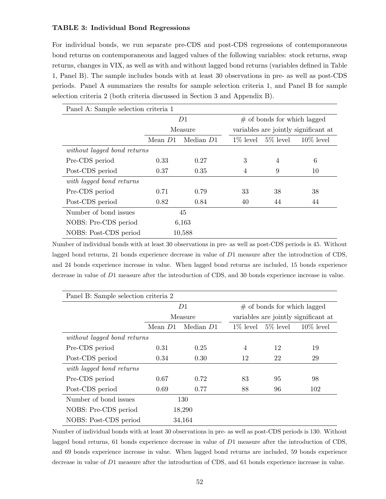### TABLE 3: Individual Bond Regressions

For individual bonds, we run separate pre-CDS and post-CDS regressions of contemporaneous bond returns on contemporaneous and lagged values of the following variables: stock returns, swap returns, changes in VIX, as well as with and without lagged bond returns (variables defined in Table 1, Panel B). The sample includes bonds with at least 30 observations in pre- as well as post-CDS periods. Panel A summarizes the results for sample selection criteria 1, and Panel B for sample selection criteria 2 (both criteria discussed in Section 3 and Appendix B).

| Panel A: Sample selection criteria 1 |         |           |    |                               |                                      |
|--------------------------------------|---------|-----------|----|-------------------------------|--------------------------------------|
|                                      |         | D1        |    | $#$ of bonds for which lagged |                                      |
|                                      |         | Measure   |    |                               | variables are jointly significant at |
|                                      | Mean D1 | Median D1 |    | $1\%$ level 5\% level         | $10\%$ level                         |
| without lagged bond returns          |         |           |    |                               |                                      |
| Pre-CDS period                       | 0.33    | 0.27      | 3  | 4                             | 6                                    |
| Post-CDS period                      | 0.37    | 0.35      | 4  | 9                             | 10                                   |
| with lagged bond returns             |         |           |    |                               |                                      |
| Pre-CDS period                       | 0.71    | 0.79      | 33 | 38                            | 38                                   |
| Post-CDS period                      | 0.82    | 0.84      | 40 | 44                            | 44                                   |
| Number of bond issues                |         | 45        |    |                               |                                      |
| NOBS: Pre-CDS period                 |         | 6,163     |    |                               |                                      |
| NOBS: Post-CDS period                |         | 10,588    |    |                               |                                      |

Number of individual bonds with at least 30 observations in pre- as well as post-CDS periods is 45. Without lagged bond returns, 21 bonds experience decrease in value of D1 measure after the introduction of CDS, and 24 bonds experience increase in value. When lagged bond returns are included, 15 bonds experience decrease in value of D1 measure after the introduction of CDS, and 30 bonds experience increase in value.

| Panel B: Sample selection criteria 2 |         |           |    |                                |                                      |
|--------------------------------------|---------|-----------|----|--------------------------------|--------------------------------------|
|                                      |         | D1        |    | $\#$ of bonds for which lagged |                                      |
|                                      |         | Measure   |    |                                | variables are jointly significant at |
|                                      | Mean D1 | Median D1 |    | $1\%$ level 5\% level          | $10\%$ level                         |
| without lagged bond returns          |         |           |    |                                |                                      |
| Pre-CDS period                       | 0.31    | 0.25      | 4  | 12                             | 19                                   |
| Post-CDS period                      | 0.34    | 0.30      | 12 | 22                             | 29                                   |
| with lagged bond returns             |         |           |    |                                |                                      |
| Pre-CDS period                       | 0.67    | 0.72      | 83 | 95                             | 98                                   |
| Post-CDS period                      | 0.69    | 0.77      | 88 | 96                             | 102                                  |
| Number of bond issues                |         | 130       |    |                                |                                      |
| NOBS: Pre-CDS period                 |         | 18,290    |    |                                |                                      |
| NOBS: Post-CDS period                |         | 34,164    |    |                                |                                      |

Number of individual bonds with at least 30 observations in pre- as well as post-CDS periods is 130. Without lagged bond returns, 61 bonds experience decrease in value of D1 measure after the introduction of CDS, and 69 bonds experience increase in value. When lagged bond returns are included, 59 bonds experience decrease in value of D1 measure after the introduction of CDS, and 61 bonds experience increase in value.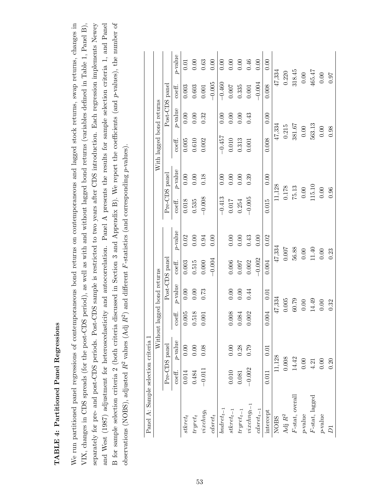### TABLE 4: Partitioned Panel Regressions TABLE 4: Partitioned Panel Regressions

We run partitioned panel regressions of contemporaneous bond returns on contemporaneous and lagged stock returns, swap returns, changes in VIX, changes in CDS spreads (for the post-CDS period), as well as with and without lagged bond returns (variables defined in Table 1, Panel B), B for sample selection criteria 2 (both criteria discussed in Section 3 and Appendix B). We report the coefficients (and p-values), the number of separately for pre- and post-CDS periods. Post-CDS sample is restricted to two years after CDS introduction. Each regression implements Newey and West (1987) adjustment for heteroscedasticity and autocorrelation. Panel A presents the results for sample selection criteria 1, and Panel B for sample selection criteria 2 (both criteria discussed in Section 3 and Appendix B). We report the coefficients (and p-values), the number of We run partitioned panel regressions of contemporaneous bond returns on contemporaneous and lagged stock returns, swap returns, changes in separately for pre- and post-CDS periods. Post-CDS sample is restricted to two years after CDS introduction. Each regression implements Newey and West (1987) adjustment for heteroscedasticity and autocorrelation. Panel A presents the results for sample selection criteria 1, and Panel VIX, changes in CDS spreads (for the post-CDS period), as well as with and without lagged bond returns (variables defined in Table 1, Panel B), observations (NOBS), adjusted  $R^2$  values (Adj  $R^2$ ) and different F-statistics (and corresponding p-values). observations (NOBS), adjusted  $R^2$  values (Adj  $R^2$ ) and different F-statistics (and corresponding p-values).

| Panel A: Sample selection criteria 1 |          |               |                   |                             |                   |                  |               |            |                          |                |                 |            |
|--------------------------------------|----------|---------------|-------------------|-----------------------------|-------------------|------------------|---------------|------------|--------------------------|----------------|-----------------|------------|
|                                      |          |               |                   | Without lagged bond returns |                   |                  |               |            | With lagged bond returns |                |                 |            |
|                                      |          | Pre-CDS panel |                   |                             | Post-CDS panel    |                  | Pre-CDS panel |            |                          | Post-CDS panel |                 |            |
|                                      | coeff.   | $p$ -value    | $\mathrm{coeff.}$ | $p$ -value                  | $\mathrm{coeff}.$ | $p\mbox{-value}$ | coeff.        | $p$ -value | $\mathrm{coeff}.$        | $p$ -value     | $_{\rm coeff.}$ | $p$ -value |
| $stkret_t$                           | 0.014    | 0.00          | 0.005             | 0.00                        | 0.003             | 0.02             | 0.018         | $0.00\,$   | 0.005                    | 0.00           | 0.003           | 0.01       |
| $tryret_t$                           | 0.484    | $0.00\,$      | 0.518             | $0.00\,$                    | 0.515             | $0.00\,$         | 0.535         | 0.00       | $0.610\,$                | $0.00\,$       | 0.603           | 0.00       |
| $viewchng_t$                         | $-0.011$ | 0.08          | 0.001             | 0.73                        | 0.000             | 0.94             | $-0.008$      | 0.18       | 0.002                    | 0.32           | $0.001\,$       | 0.63       |
| $clsret_t$                           |          |               |                   |                             | $-0.004$          | 0.00             |               |            |                          |                | $-0.005$        | 0.00       |
| $bndret_{t-1}$                       |          |               |                   |                             |                   |                  | $-0.413$      | 0.00       | $-0.457$                 | 0.00           | $-0.460$        | 0.00       |
| $stkret_{t-1}$                       | 0.010    | 0.00          | 0.008             | 0.00                        | 0.006             | $0.00\,$         | 0.017         | 0.00       | $0.010\,$                | 0.00           | 0.007           | 0.00       |
| $tryret_{t-1}$                       | 0.081    | $0.28\,$      | 0.084             | 0.00                        | 0.097             | 0.00             | 0.254         | 0.00       | 0.313                    | 0.00           | 0.335           | 0.00       |
| $viewg_{t-1}$                        | $-0.002$ | 0.79          | 0.002             | 0.44                        | 0.002             | 0.43             | $-0.005$      | 0.39       | 0.001                    | 0.43           | $0.001\,$       | 0.46       |
| $\emph{clsret}_{t-1}$                |          |               |                   |                             | $-0.002$          | 0.00             |               |            |                          |                | $-0.004$        | 0.00       |
| intercept                            | 0.011    | 0.01          | 0.004             | 0.01                        | 0.004             | 0.02             | 0.015         | 0.00       | 0.008                    | 0.00           | 0.008           | 0.00       |
| <b>NOBS</b>                          |          | 11,128        |                   | 47,334                      | 47,334            |                  |               | 11,128     |                          | 47,334         | 47,334          |            |
| Adj $\mathbb{R}^2$                   |          | 0.008         |                   | 0.005                       | 0.007             |                  |               | $0.178\,$  |                          | 0.215          | 0.220           |            |
| $F\text{-stat}$ , overall            |          | 14.42         |                   | 60.79                       | 56.88             |                  |               | $75.13\,$  |                          | 381.67         | 318.45          |            |
| $p\text{-}\mathrm{value}$            |          | 0.00          |                   | 0.00                        | $0.00\,$          |                  | $0.00$        |            |                          | $0.00$         | $0.00\,$        |            |
| F-stat, lagged                       |          | 4.21          |                   | 14.49                       | 11.40             |                  |               | 115.10     |                          | 563.13         | 465.47          |            |
| $p$ -value                           |          | 0.00          |                   | 0.00                        | 0.00              |                  |               | $0.00$     |                          | $0.00$         | $0.00\,$        |            |
| $\overline{D}$                       |          | 0.20          |                   | 0.32                        | 0.23              |                  |               | 0.96       |                          | 0.98           | 0.97            |            |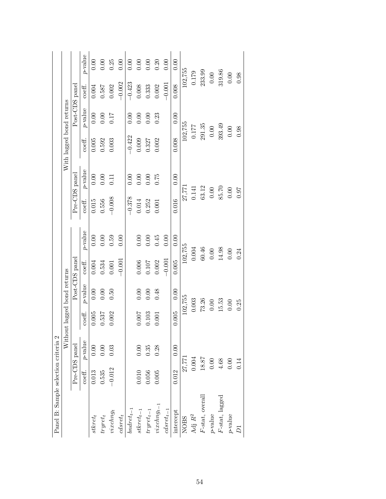| Panel B: Sample selection criteria 2 |           |               |                                |            |                |            |                   |            |                          |                |           |            |
|--------------------------------------|-----------|---------------|--------------------------------|------------|----------------|------------|-------------------|------------|--------------------------|----------------|-----------|------------|
|                                      |           |               | Without lagged bond returns    |            |                |            |                   |            | With lagged bond returns |                |           |            |
|                                      |           | Pre-CDS panel |                                |            | Post-CDS panel |            | Pre-CDS panel     |            |                          | Post-CDS panel |           |            |
|                                      | coeff.    | $p$ -value    | $\mathop{\rm coeff.}\nolimits$ | $p$ -value | coeff.         | $p$ -value | $\mathrm{coeff.}$ | $p$ -value | $\mathrm{coeff}.$        | $p$ -value     | coeff.    | $p$ -value |
| $stkret_t$                           | 0.013     | 0.00          | $0.005\,$                      | $0.00$     | $0.004\,$      | $0.00\,$   | $0.015\,$         | $0.00\,$   | 0.005                    | $0.00\,$       | 0.004     | 0.00       |
| $tryret_t$                           | 0.535     | 0.00          | 0.537                          | $0.00\,$   | 0.534          | $0.00\,$   | 0.556             | $0.00\,$   | 0.592                    | 0.000          | 0.587     | $0.00\,$   |
| $viewchng_t$                         | $-0.012$  | 0.03          | 0.002                          | 0.50       | $0.001\,$      | 0.59       | $-0.008$          | 0.11       | 0.003                    |                | 0.002     | 0.25       |
| $\emph{clsrett}$                     |           |               |                                |            | $-0.001$       | 0.00       |                   |            |                          |                | $-0.002$  | 0.00       |
| $bndret_{t-1}$                       |           |               |                                |            |                |            | $-0.378$          | 0.00       | $-0.422$                 | 0.00           | $-0.423$  | 0.00       |
| ${stk}ret_{t-1}$                     | 0.010     | 0.00          | 0.007                          | $0.00\,$   | 0.006          | $0.00\,$   | $0.014\,$         | $0.00\,$   | 0.009                    | $0.00\,$       | $0.008\,$ | $0.00\,$   |
| $tryret_{t-1}$                       | $0.056\,$ | 0.35          | 0.103                          | 0.00       | $0.107\,$      | 0.00       | 0.252             | 0.00       | 0.327                    | 0.00           | 0.333     | 0.00       |
| $viewdiag_{t-1}$                     | 0.005     | 0.28          | 0.001                          | 0.48       | 0.002          | 0.45       | 0.001             | 0.75       | 0.002                    | 0.23           | 0.002     | 0.20       |
| $\operatorname{cdsret}_{t-1}$        |           |               |                                |            | $-0.001$       | 0.00       |                   |            |                          |                | $-0.001$  | 0.00       |
| intercept                            | 0.012     | 0.00          | $0.005\,$                      | 0.00       | 0.005          | 0.00       | 0.016             | 0.00       | 0.008                    | 0.00           | 0.008     | 0.00       |
| <b>NOBS</b>                          | 27,771    |               |                                | 102,755    | 102,755        |            | 27,771            |            |                          | 102,755        | 102,755   |            |
| Adj $\mathbb{R}^2$                   |           | $0.004\,$     |                                | 0.003      | $0.004\,$      |            |                   | 0.141      | 1777                     |                | 0.179     |            |
| $F\text{-stat}$ , overall            |           | 18.87         |                                | 73.26      | $60.46\,$      |            |                   | 63.12      |                          | 291.35         | 233.99    |            |
| $p$ -value                           |           | $0.00\,$      |                                | $0.00\,$   | 0.00           |            |                   | $0.00\,$   | $0.00\,$                 |                | $0.00\,$  |            |
| F-stat, lagged                       |           | $4.68\,$      |                                | 15.53      |                | $14.98\,$  | 85.70             |            |                          | 393.49         | 319.86    |            |
| $p$ -value                           |           | 0.00          |                                | 0.00       | 0.00           |            |                   | $0.00\,$   | $0.00\,$                 |                | $0.00\,$  |            |
| $\overline{D}$                       | 0.14      |               |                                | 0.25       | 0.24           |            |                   | <b>160</b> | 0.98                     |                | 0.98      |            |
|                                      |           |               |                                |            |                |            |                   |            |                          |                |           |            |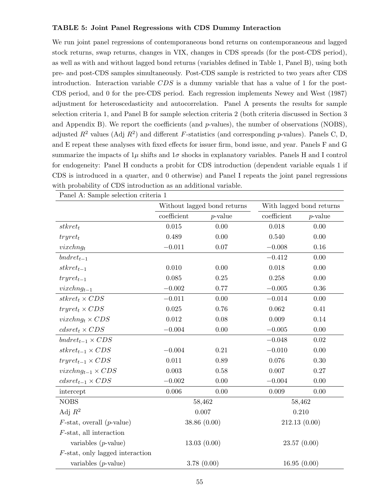### TABLE 5: Joint Panel Regressions with CDS Dummy Interaction

We run joint panel regressions of contemporaneous bond returns on contemporaneous and lagged stock returns, swap returns, changes in VIX, changes in CDS spreads (for the post-CDS period), as well as with and without lagged bond returns (variables defined in Table 1, Panel B), using both pre- and post-CDS samples simultaneously. Post-CDS sample is restricted to two years after CDS introduction. Interaction variable  $CDS$  is a dummy variable that has a value of 1 for the post-CDS period, and 0 for the pre-CDS period. Each regression implements Newey and West (1987) adjustment for heteroscedasticity and autocorrelation. Panel A presents the results for sample selection criteria 1, and Panel B for sample selection criteria 2 (both criteria discussed in Section 3 and Appendix B). We report the coefficients (and  $p$ -values), the number of observations (NOBS), adjusted  $R^2$  values (Adj  $R^2$ ) and different *F*-statistics (and corresponding *p*-values). Panels C, D, and E repeat these analyses with fixed effects for issuer firm, bond issue, and year. Panels F and G summarize the impacts of  $1\mu$  shifts and  $1\sigma$  shocks in explanatory variables. Panels H and I control for endogeneity: Panel H conducts a probit for CDS introduction (dependent variable equals 1 if CDS is introduced in a quarter, and 0 otherwise) and Panel I repeats the joint panel regressions with probability of CDS introduction as an additional variable.

|                                              |             | Without lagged bond returns |             | With lagged bond returns |
|----------------------------------------------|-------------|-----------------------------|-------------|--------------------------|
|                                              | coefficient | $p$ -value                  | coefficient | $p$ -value               |
| $stkret_t$                                   | 0.015       | 0.00                        | 0.018       | 0.00                     |
| $tryret_t$                                   | 0.489       | 0.00                        | 0.540       | 0.00                     |
| vixchn <sub>gt</sub>                         | $-0.011$    | $0.07\,$                    | $-0.008$    | 0.16                     |
| $bndret_{t-1}$                               |             |                             | $-0.412$    | 0.00                     |
| $stkret_{t-1}$                               | 0.010       | 0.00                        | 0.018       | 0.00                     |
| $tryret_{t-1}$                               | 0.085       | 0.25                        | 0.258       | 0.00                     |
| $vixchng_{t-1}$                              | $-0.002$    | 0.77                        | $-0.005$    | 0.36                     |
| $stkret_t \times CDS$                        | $-0.011$    | 0.00                        | $-0.014$    | 0.00                     |
| $tryret_t \times CDS$                        | 0.025       | 0.76                        | 0.062       | 0.41                     |
| <i>vixchng</i> <sub>t</sub> $\times CDS$     | 0.012       | 0.08                        | 0.009       | 0.14                     |
| $cdsret_t \times CDS$                        | $-0.004$    | 0.00                        | $-0.005$    | 0.00                     |
| $bndret_{t-1} \times CDS$                    |             |                             | $-0.048$    | 0.02                     |
| $stkret_{t-1} \times CDS$                    | $-0.004$    | 0.21                        | $-0.010$    | 0.00                     |
| $tryret_{t-1} \times CDS$                    | 0.011       | 0.89                        | 0.076       | 0.30                     |
| $vixchng_{t-1} \times CDS$                   | 0.003       | 0.58                        | 0.007       | 0.27                     |
| $cdsret_{t-1} \times CDS$                    | $-0.002$    | $0.00\,$                    | $-0.004$    | 0.00                     |
| intercept                                    | 0.006       | 0.00                        | 0.009       | 0.00                     |
| <b>NOBS</b>                                  |             | 58,462                      | 58,462      |                          |
| Adj $R^2$                                    |             | 0.007                       |             | 0.210                    |
| $F\text{-stat}$ , overall ( <i>p</i> -value) |             | 38.86(0.00)                 |             | 212.13 (0.00)            |
| $F$ -stat, all interaction                   |             |                             |             |                          |
| variables $(p$ -value)                       |             | 13.03(0.00)                 |             | 23.57(0.00)              |
| $F\text{-stat}$ , only lagged interaction    |             |                             |             |                          |
| variables $(p$ -value)                       |             | 3.78(0.00)                  |             | 16.95(0.00)              |

Panel A: Sample selection criteria 1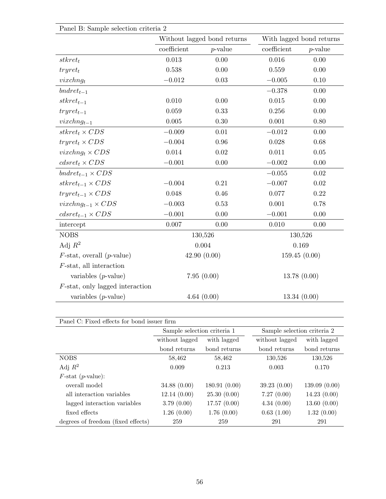| Panel B: Sample selection criteria 2         |             |                             |             |                          |
|----------------------------------------------|-------------|-----------------------------|-------------|--------------------------|
|                                              |             | Without lagged bond returns |             | With lagged bond returns |
|                                              | coefficient | $p$ -value                  | coefficient | $p$ -value               |
| $stkret_t$                                   | 0.013       | 0.00                        | 0.016       | 0.00                     |
| $tryret_t$                                   | 0.538       | 0.00                        | 0.559       | 0.00                     |
| vixchn <sub>gt</sub>                         | $-0.012$    | $0.03\,$                    | $-0.005$    | 0.10                     |
| $bndret_{t-1}$                               |             |                             | $-0.378$    | 0.00                     |
| $stkret_{t-1}$                               | 0.010       | 0.00                        | 0.015       | 0.00                     |
| $tryret_{t-1}$                               | 0.059       | 0.33                        | 0.256       | 0.00                     |
| $vixchng_{t-1}$                              | 0.005       | $0.30\,$                    | 0.001       | 0.80                     |
| $stkret_t \times CDS$                        | $-0.009$    | 0.01                        | $-0.012$    | 0.00                     |
| $tryret_t \times CDS$                        | $-0.004$    | 0.96                        | 0.028       | 0.68                     |
| <i>vixchng</i> <sub>t</sub> $\times CDS$     | 0.014       | 0.02                        | 0.011       | 0.05                     |
| $cdsret_t \times CDS$                        | $-0.001$    | 0.00                        | $-0.002$    | 0.00                     |
| $bndret_{t-1} \times CDS$                    |             |                             | $-0.055$    | 0.02                     |
| $stkret_{t-1} \times CDS$                    | $-0.004$    | 0.21                        | $-0.007$    | $0.02\,$                 |
| $tryret_{t-1} \times CDS$                    | 0.048       | 0.46                        | 0.077       | 0.22                     |
| $vixchng_{t-1} \times CDS$                   | $-0.003$    | 0.53                        | 0.001       | 0.78                     |
| $cdsret_{t-1} \times CDS$                    | $-0.001$    | $0.00\,$                    | $-0.001$    | 0.00                     |
| intercept                                    | 0.007       | 0.00                        | 0.010       | 0.00                     |
| <b>NOBS</b>                                  |             | 130,526                     |             | 130,526                  |
| Adj $R^2$                                    |             | 0.004                       |             | 0.169                    |
| $F\text{-stat}$ , overall ( <i>p</i> -value) |             | 42.90(0.00)                 |             | 159.45(0.00)             |
| $F$ -stat, all interaction                   |             |                             |             |                          |
| variables $(p$ -value)                       |             | 7.95(0.00)                  |             | 13.78(0.00)              |
| $F$ -stat, only lagged interaction           |             |                             |             |                          |
| variables $(p$ -value)                       |             | 4.64(0.00)                  |             | 13.34(0.00)              |

| Panel C: Fixed effects for bond issuer firm |                             |              |                             |              |
|---------------------------------------------|-----------------------------|--------------|-----------------------------|--------------|
|                                             | Sample selection criteria 1 |              | Sample selection criteria 2 |              |
|                                             | without lagged              | with lagged  | without lagged              | with lagged  |
|                                             | bond returns                | bond returns | bond returns                | bond returns |
| <b>NOBS</b>                                 | 58,462                      | 58,462       | 130,526                     | 130,526      |
| Adj $R^2$                                   | 0.009                       | 0.213        | 0.003                       | 0.170        |
| $F\text{-stat}$ ( <i>p</i> -value):         |                             |              |                             |              |
| overall model                               | 34.88(0.00)                 | 180.91(0.00) | 39.23(0.00)                 | 139.09(0.00) |
| all interaction variables                   | 12.14(0.00)                 | 25.30(0.00)  | 7.27(0.00)                  | 14.23(0.00)  |
| lagged interaction variables                | 3.79(0.00)                  | 17.57(0.00)  | 4.34(0.00)                  | 13.60(0.00)  |
| fixed effects                               | 1.26(0.00)                  | 1.76(0.00)   | 0.63(1.00)                  | 1.32(0.00)   |
| degrees of freedom (fixed effects)          | 259                         | 259          | 291                         | 291          |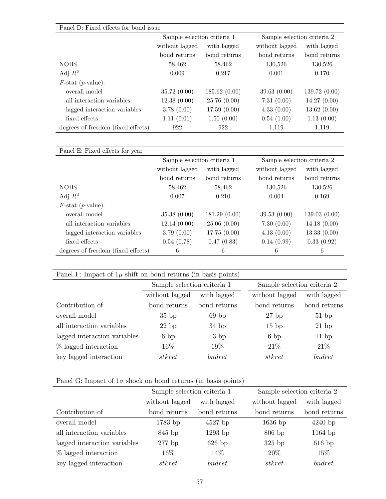| Panel D: Fixed effects for bond issue |                             |              |                             |               |
|---------------------------------------|-----------------------------|--------------|-----------------------------|---------------|
|                                       | Sample selection criteria 1 |              | Sample selection criteria 2 |               |
|                                       | without lagged              | with lagged  | without lagged              | with lagged   |
|                                       | bond returns                | bond returns | bond returns                | bond returns  |
| <b>NOBS</b>                           | 58,462                      | 58,462       | 130,526                     | 130,526       |
| Adj $R^2$                             | 0.009                       | 0.217        | 0.001                       | 0.170         |
| $F\text{-stat}$ ( <i>p</i> -value):   |                             |              |                             |               |
| overall model                         | 35.72(0.00)                 | 185.62(0.00) | 39.63(0.00)                 | 139.72 (0.00) |
| all interaction variables             | 12.38(0.00)                 | 25.76(0.00)  | 7.31(0.00)                  | 14.27(0.00)   |
| lagged interaction variables          | 3.78(0.00)                  | 17.59(0.00)  | 4.33(0.00)                  | 13.62(0.00)   |
| fixed effects                         | 1.11(0.01)                  | 1.50(0.00)   | 0.54(1.00)                  | 1.13(0.00)    |
| degrees of freedom (fixed effects)    | 922                         | 922          | 1,119                       | 1,119         |

| Panel E: Fixed effects for year     |                             |              |                             |              |
|-------------------------------------|-----------------------------|--------------|-----------------------------|--------------|
|                                     | Sample selection criteria 1 |              | Sample selection criteria 2 |              |
|                                     | without lagged              | with lagged  | without lagged              | with lagged  |
|                                     | bond returns                | bond returns | bond returns                | bond returns |
| <b>NOBS</b>                         | 58,462                      | 58,462       | 130,526                     | 130,526      |
| Adj $R^2$                           | 0.007                       | 0.210        | 0.004                       | 0.169        |
| $F\text{-stat}$ ( <i>p</i> -value): |                             |              |                             |              |
| overall model                       | 35.38(0.00)                 | 181.29(0.00) | 39.53(0.00)                 | 139.03(0.00) |
| all interaction variables           | 12.14(0.00)                 | 25.06(0.00)  | 7.30(0.00)                  | 14.18(0.00)  |
| lagged interaction variables        | 3.79(0.00)                  | 17.75(0.00)  | 4.13(0.00)                  | 13.33(0.00)  |
| fixed effects                       | 0.54(0.78)                  | 0.47(0.83)   | 0.14(0.99)                  | 0.33(0.92)   |
| degrees of freedom (fixed effects)  | 6                           | 6            | 6                           | 6            |

| Panel F: Impact of $1\mu$ shift on bond returns (in basis points) |                             |              |                             |              |
|-------------------------------------------------------------------|-----------------------------|--------------|-----------------------------|--------------|
|                                                                   | Sample selection criteria 1 |              | Sample selection criteria 2 |              |
|                                                                   | without lagged              | with lagged  | without lagged              | with lagged  |
| Contribution of                                                   | bond returns                | bond returns | bond returns                | bond returns |
| overall model                                                     | $35$ bp                     | $69$ bp      | $27$ bp                     | 51bp         |
| all interaction variables                                         | $22$ bp                     | $34$ bp      | $15$ bp                     | $21$ bp      |
| lagged interaction variables                                      | 6bp                         | $13$ bp      | 6bp                         | $11$ bp      |
| $%$ lagged interaction                                            | $16\%$                      | 19%          | 21\%                        | 21%          |
| key lagged interaction                                            | stkret                      | bndret       | stkret                      | bndret       |

Panel G: Impact of  $1\sigma$  shock on bond returns (in basis points)

|                              | Sample selection criteria 1 |              | Sample selection criteria 2 |              |
|------------------------------|-----------------------------|--------------|-----------------------------|--------------|
|                              | without lagged              | with lagged  | without lagged              | with lagged  |
| Contribution of              | bond returns                | bond returns | bond returns                | bond returns |
| overall model                | $1783$ bp                   | $4527$ bp    | $1636$ bp                   | $4240$ bp    |
| all interaction variables    | 845 bp                      | $1293$ bp    | $806$ bp                    | $1164$ bp    |
| lagged interaction variables | $277$ bp                    | $626$ bp     | $325$ bp                    | $616$ bp     |
| $%$ lagged interaction       | 16\%                        | 14\%         | 20%                         | 15%          |
| key lagged interaction       | $_{\it{stkret}}$            | bndret       | stkret                      | bndret       |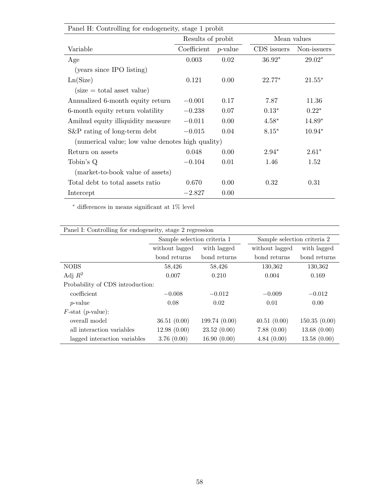| Panel H: Controlling for endogeneity, stage 1 probit |                   |            |             |             |
|------------------------------------------------------|-------------------|------------|-------------|-------------|
|                                                      | Results of probit |            | Mean values |             |
| Variable                                             | Coefficient       | $p$ -value | CDS issuers | Non-issuers |
| Age                                                  | 0.003             | 0.02       | $36.92*$    | $29.02*$    |
| (years since IPO listing)                            |                   |            |             |             |
| Ln(Size)                                             | 0.121             | 0.00       | $22.77*$    | $21.55*$    |
| $(size = total asset value)$                         |                   |            |             |             |
| Annualized 6-month equity return                     | $-0.001$          | 0.17       | 7.87        | 11.36       |
| 6-month equity return volatility                     | $-0.238$          | 0.07       | $0.13*$     | $0.22*$     |
| Amihud equity illiquidity measure                    | $-0.011$          | 0.00       | $4.58*$     | $14.89*$    |
| $S\&P$ rating of long-term debt                      | $-0.015$          | 0.04       | $8.15*$     | $10.94*$    |
| (numerical value; low value denotes high quality)    |                   |            |             |             |
| Return on assets                                     | 0.048             | 0.00       | $2.94*$     | $2.61*$     |
| Tobin's Q                                            | $-0.104$          | 0.01       | 1.46        | 1.52        |
| (market-to-book value of assets)                     |                   |            |             |             |
| Total debt to total assets ratio                     | 0.670             | 0.00       | 0.32        | 0.31        |
| Intercept                                            | $-2.827$          | 0.00       |             |             |

 $^*$  differences in means significant at  $1\%$  level

| Panel I: Controlling for endogeneity, stage 2 regression |                             |              |                             |              |
|----------------------------------------------------------|-----------------------------|--------------|-----------------------------|--------------|
|                                                          | Sample selection criteria 1 |              | Sample selection criteria 2 |              |
|                                                          | without lagged              | with lagged  | without lagged              | with lagged  |
|                                                          | bond returns                | bond returns | bond returns                | bond returns |
| <b>NOBS</b>                                              | 58,426                      | 58,426       | 130,362                     | 130,362      |
| Adj $R^2$                                                | 0.007                       | 0.210        | 0.004                       | 0.169        |
| Probability of CDS introduction:                         |                             |              |                             |              |
| coefficient                                              | $-0.008$                    | $-0.012$     | $-0.009$                    | $-0.012$     |
| <i>p</i> -value                                          | 0.08                        | 0.02         | 0.01                        | 0.00         |
| $F\text{-stat}$ ( <i>p</i> -value):                      |                             |              |                             |              |
| overall model                                            | 36.51(0.00)                 | 199.74(0.00) | 40.51(0.00)                 | 150.35(0.00) |
| all interaction variables                                | 12.98(0.00)                 | 23.52(0.00)  | 7.88(0.00)                  | 13.68(0.00)  |
| lagged interaction variables                             | 3.76(0.00)                  | 16.90(0.00)  | 4.84(0.00)                  | 13.58(0.00)  |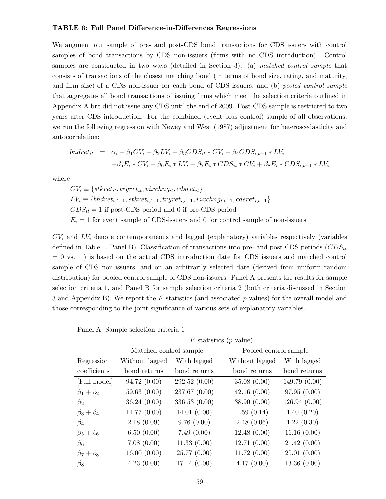### TABLE 6: Full Panel Difference-in-Differences Regressions

We augment our sample of pre- and post-CDS bond transactions for CDS issuers with control samples of bond transactions by CDS non-issuers (firms with no CDS introduction). Control samples are constructed in two ways (detailed in Section 3): (a) matched control sample that consists of transactions of the closest matching bond (in terms of bond size, rating, and maturity, and firm size) of a CDS non-issuer for each bond of CDS issuers; and (b) *pooled control sample* that aggregates all bond transactions of issuing firms which meet the selection criteria outlined in Appendix A but did not issue any CDS until the end of 2009. Post-CDS sample is restricted to two years after CDS introduction. For the combined (event plus control) sample of all observations, we run the following regression with Newey and West (1987) adjustment for heteroscedasticity and autocorrelation:

$$
bndret_{it} = \alpha_i + \beta_1 CV_i + \beta_2 LV_i + \beta_3 CDS_{it} * CV_i + \beta_4 CDS_{i,t-1} * LV_i
$$
  
+  $\beta_5 E_i * CV_i + \beta_6 E_i * LV_i + \beta_7 E_i * CDS_{it} * CV_i + \beta_8 E_i * CDS_{i,t-1} * LV_i$ 

where

 $CV_i \equiv \{stkret_{it}, tryret_{it}, vixchng_{it}, cdsret_{it}\}$  $LV_i \equiv \{bndret_{i,t-1}, skret_{i,t-1}, tryret_{i,t-1}, vixchng_{i,t-1}, cdsret_{i,t-1}\}$  $CDS_{it} = 1$  if post-CDS period and 0 if pre-CDS period  $E_i = 1$  for event sample of CDS-issuers and 0 for control sample of non-issuers

 $CV_i$  and  $LV_i$  denote contemporaneous and lagged (explanatory) variables respectively (variables defined in Table 1, Panel B). Classification of transactions into pre- and post-CDS periods  $(CDS_{it}$ = 0 vs. 1) is based on the actual CDS introduction date for CDS issuers and matched control sample of CDS non-issuers, and on an arbitrarily selected date (derived from uniform random distribution) for pooled control sample of CDS non-issuers. Panel A presents the results for sample selection criteria 1, and Panel B for sample selection criteria 2 (both criteria discussed in Section 3 and Appendix B). We report the  $F$ -statistics (and associated p-values) for the overall model and those corresponding to the joint significance of various sets of explanatory variables.

|                     | Panel A: Sample selection criteria 1 |               |                                    |               |
|---------------------|--------------------------------------|---------------|------------------------------------|---------------|
|                     |                                      |               | $F$ -statistics ( <i>p</i> -value) |               |
|                     | Matched control sample               |               | Pooled control sample              |               |
| Regression          | Without lagged                       | With lagged   | Without lagged                     | With lagged   |
| coefficients        | bond returns                         | bond returns  | bond returns                       | bond returns  |
| [Full model]        | 94.72(0.00)                          | 292.52(0.00)  | 35.08(0.00)                        | 149.79 (0.00) |
| $\beta_1+\beta_2$   | 59.63(0.00)                          | 237.67 (0.00) | 42.16(0.00)                        | 97.95(0.00)   |
| $\beta_2$           | 36.24(0.00)                          | 336.53(0.00)  | 38.90 (0.00)                       | 126.94(0.00)  |
| $\beta_3+\beta_4$   | 11.77(0.00)                          | 14.01(0.00)   | 1.59(0.14)                         | 1.40(0.20)    |
| $\beta_4$           | 2.18(0.09)                           | 9.76(0.00)    | 2.48(0.06)                         | 1.22(0.30)    |
| $\beta_5+\beta_6$   | 6.50(0.00)                           | 7.49(0.00)    | 12.48(0.00)                        | 16.16(0.00)   |
| $\beta_6$           | 7.08(0.00)                           | 11.33(0.00)   | 12.71(0.00)                        | 21.42(0.00)   |
| $\beta_7 + \beta_8$ | 16.00(0.00)                          | 25.77(0.00)   | 11.72(0.00)                        | 20.01(0.00)   |
| $\beta_8$           | 4.23(0.00)                           | 17.14(0.00)   | 4.17(0.00)                         | 13.36(0.00)   |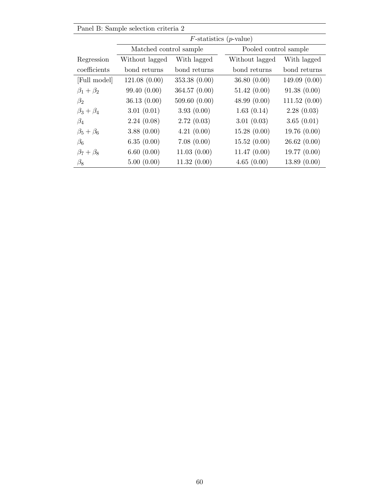|                     | Panel B: Sample selection criteria 2 |               |                                    |              |
|---------------------|--------------------------------------|---------------|------------------------------------|--------------|
|                     |                                      |               | $F$ -statistics ( <i>p</i> -value) |              |
|                     | Matched control sample               |               | Pooled control sample              |              |
| Regression          | Without lagged                       | With lagged   | Without lagged                     | With lagged  |
| coefficients        | bond returns                         | bond returns  | bond returns                       | bond returns |
| [Full model]        | 121.08(0.00)                         | 353.38(0.00)  | 36.80(0.00)                        | 149.09(0.00) |
| $\beta_1+\beta_2$   | 99.40 (0.00)                         | 364.57 (0.00) | 51.42(0.00)                        | 91.38(0.00)  |
| $\beta_2$           | 36.13(0.00)                          | 509.60(0.00)  | 48.99(0.00)                        | 111.52(0.00) |
| $\beta_3+\beta_4$   | 3.01(0.01)                           | 3.93(0.00)    | 1.63(0.14)                         | 2.28(0.03)   |
| $\beta_4$           | 2.24(0.08)                           | 2.72(0.03)    | 3.01(0.03)                         | 3.65(0.01)   |
| $\beta_5+\beta_6$   | 3.88(0.00)                           | 4.21(0.00)    | 15.28(0.00)                        | 19.76(0.00)  |
| $\beta_6$           | 6.35(0.00)                           | 7.08(0.00)    | 15.52(0.00)                        | 26.62(0.00)  |
| $\beta_7 + \beta_8$ | 6.60(0.00)                           | 11.03(0.00)   | 11.47(0.00)                        | 19.77(0.00)  |
| $\beta_8$           | 5.00(0.00)                           | 11.32(0.00)   | 4.65(0.00)                         | 13.89(0.00)  |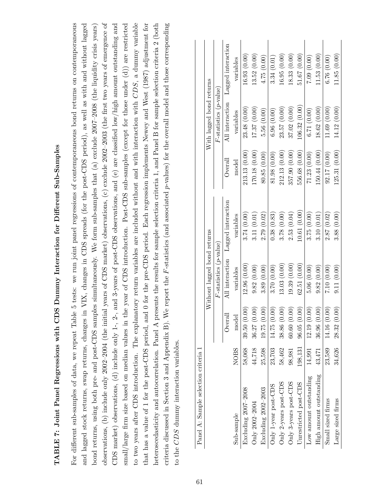# TABLE 7: Joint Panel Regressions with CDS Dummy Interaction for Different Sub-Samples TABLE 7: Joint Panel Regressions with CDS Dummy Interaction for Different Sub-Samples

observations, (b) include only 2002-2004 (the initial years of CDS market) observations, (c) exclude 2002-2003 (the first two years of emergence of For different sub-samples of data, we repeat Table 5 tests: we run joint panel regressions of contemporaneous bond returns on contemporaneous and lagged stock returns, swap returns, changes in VIX, changes in CDS spreads (for the post-CDS period), as well as with and without lagged CDS market) observations, (d) include only 1-, 2-, and 3-years of post-CDS observations, and (e) are classified low/high amount outstanding and small/large firm size based on median values in the year of CDS introduction. Post-CDS sub-samples (except for those under (d)) are restricted to two years after CDS introduction. The explanatory return variables are included without and with interaction with CDS, a dummy variable heteroscedasticity and autocorrelation. Panel A presents the results for sample selection criteria 1, and Panel B for sample selection criteria 2 (both criteria discussed in Section 3 and Appendix B). We report the F-statistics (and associated p-values) for the overall model and those corresponding For different sub-samples of data, we repeat Table 5 tests: we run joint panel regressions of contemporaneous bond returns on contemporaneous and lagged stock returns, swap returns, changes in VIX, changes in CDS spreads (for the post-CDS period), as well as with and without lagged bond returns, using both pre- and post-CDS samples simultaneously. We form sub-samples that  $(a)$  exclude 2007-2008 (the liquidity crisis years) observations, (b) include only 2002–2004 (the initial years of CDS market) observations, (c) exclude 2002–2003 (the first two years of emergence of CDS market) observations, (d) include only 1-, 2-, and 3-years of post-CDS observations, and (e) are classified low/high amount outstanding and small/large firm size based on median values in the year of CDS introduction. Post-CDS sub-samples (except for those under (d)) are restricted to two years after CDS introduction. The explanatory return variables are included without and with interaction with CDS, a dummy variable that has a value of 1 for the post-CDS period, and 0 for the pre-CDS period. Each regression implements Newey and West (1987) adjustment for that has a value of 1 for the post-CDS period, and 0 for the pre-CDS period. Each regression implements Newey and West (1987) adjustment for heteroscedasticity and autocorrelation. Panel A presents the results for sample selection criteria 1, and Panel B for sample selection criteria 2 (both p-values) for the overall model and those corresponding bond returns, using both pre- and post-CDS samples simultaneously. We form sub-samples that (a) exclude 2007–2008 (the liquidity crisis years)  $F$ -statistics (and associated criteria discussed in Section 3 and Appendix B). We report the to the  $CDS$  dummy interaction variables. to the  $CDS$  dummy interaction variables

| Panel A: Sample selection criteria |                   |                           |                             |                    |               |                           |                    |
|------------------------------------|-------------------|---------------------------|-----------------------------|--------------------|---------------|---------------------------|--------------------|
|                                    |                   |                           | Without lagged bond returns |                    |               | With lagged bond returns  |                    |
|                                    |                   |                           | $F$ -statistics (p-value)   |                    |               | $F$ -statistics (p-value) |                    |
|                                    |                   | Overa                     | All interaction             | Lagged interaction | Overall       | All interaction           | Lagged interaction |
| Sub-sample                         | NO <sub>B</sub> S | mode                      | variables                   | variables          | model         | variables                 | variables          |
| Excluding 2007-2008                | 58,068            | 39.50(0.00)               | 12.96(0.00)                 | 3.74(0.00)         | 213.13(0.00)  | 23.48(0.00)               | 16.93(0.00)        |
| Only 2002-2004                     | 44,718            | 36.27(0.00)               | 9.82(0.00)                  | 3.11(0.01)         | (70.18)(0.00) | 17.37(0.00)               | 13.52(0.00)        |
| Excluding 2002-2003                | 25,598            | 19.75 (0.00)              | 3.89(0.00)                  | 2.79(0.02)         | 80.85 (0.00)  | 5.56(0.00)                | 4.75(0.00)         |
| Only 1-year post-CDS               | 23,703            | 14.75 (0.00)              | 3.70(0.00)                  | 0.38(0.83)         | 81.98(0.00)   | 6.96(0.00)                | 3.34(0.01)         |
| Only 2-years post-CDS              | 58,462            | 38.86 (0.00)              | 13.03(0.00)                 | 3.78(0.00)         | 212.13(0.00)  | 23.57(0.00)               | $(0.00)$ 6.95      |
| Only 3-years post-CDS              | 98,981            | $\widehat{5}$<br>60.60(0. | (0.00)                      | 2.53(0.04)         | 357.90(0.00)  | 37.02(0.00)               | 18.33(0.00)        |
| Unrestricted post-CDS              | 198,131           | 96.05(0.00)               | 62.51(0.00)                 | 10.61(0.00)        | 556.68 (0.00) | .06.32(0.00)              | 51.67(0.00)        |
| Low amount outstanding             | 14,991            | 12.19(0.00)               | 5.06(0.00)                  | 3.75(0.00)         | 71.23(0.00)   | 6.71(0.00)                | 7.09(0.00)         |
| High amount outstanding            | 43,471            | $\widehat{0}$<br>36.96(0. | 9.82(0.00)                  | 3.10(0.01)         | 150.44 (0.00) | 18.62(0.00)               | 11.53(0.00)        |
| Small sized firms                  | 23,589            | 14.16 (0.00)              | 7.10(0.00)                  | 2.87(0.02)         | 92.17(0.00)   | 11.69(0.00)               | 6.76(0.00)         |
| Large sized firms                  |                   | $34,626$ 28.32 (0.00)     | 9.11(0.00)                  | 3.88(0.00)         | 125.31(0.00)  | 14.12 (0.00)              | 11.85 (0.00)       |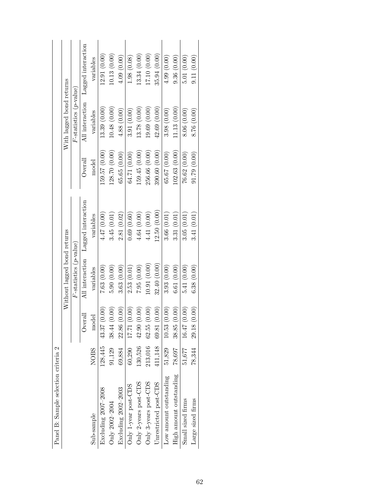|                                      |                             |                           | Lagged interaction | variables   | 12.91(0.00)         | 10.13(0.00)    | 4.09(0.00)          | 1.98(0.08)           | 13.34(0.00)           | 17.10 (0.00)          | 35.94(0.00)            | 4.99(0.00)             | 9.36(0.00)              | 5.01(0.00)        | 9.11(0.00)        |
|--------------------------------------|-----------------------------|---------------------------|--------------------|-------------|---------------------|----------------|---------------------|----------------------|-----------------------|-----------------------|------------------------|------------------------|-------------------------|-------------------|-------------------|
|                                      | With lagged bond returns    | $F$ -statistics (p-value) | All interaction    | variables   | 13.39(0.00)         | 10.48(0.00)    | 4.88(0.00)          | 3.91(0.00)           | 13.78 (0.00)          | (9.69)(0.00)          | 42.69(0.00)            | 3.98(0.00)             | 11.13(0.00)             | 8.06(0.00)        | 8.76 (0.00)       |
|                                      |                             |                           | Overall            | model       | 159.57 (0.00)       | 128.70 (0.00)  | 65.65(0.00)         | 64.71 (0.00)         | 159.45(0.00)          | 256.66 (0.00)         | 390.60 (0.00)          | 65.67(0.00)            | 102.63(0.00)            | 76.62(0.00)       | 91.79(0.00)       |
|                                      |                             |                           | Lagged interaction | variables   | 4.47 (0.00)         | 3.45(0.01)     | 2.81(0.02)          | 0.69(0.60)           | 4.64(0.00)            | 4.41 (0.00)           | (2.50(0.00))           | 3.66(0.01)             | 3.31(0.01)              | 3.05(0.01)        | 3.41(0.01)        |
|                                      | Without lagged bond returns | $F$ -statistics (p-value) | All interaction    | variables   | 7.63(0.00)          | 5.90(0.00)     | 3.63(0.00)          | 2.53(0.01)           | 7.95(0.00)            | (0.01) (0.00)         | 32.40 (0.00)           | 3.93(0.00)             | 6.61(0.00)              | 5.41(0.00)        | 6.38(0.00)        |
|                                      |                             |                           | Overall            | model       | 43.37 (0.00)        | 38.44 (0.00)   | 22.86 (0.00)        | 17.71 (0.00)         | 42.90(0.00)           | 62.55(0.00)           | $411,148$ 69.81 (0.00) | 10.53(0.00)            | 38.85(0.00)             | 16.47(0.00)       | 29.18(0.00)       |
|                                      |                             |                           |                    | <b>NOBS</b> | 128,445             | 91,129         | 69,884              | 60,290               | 130,526               | 213,016               |                        | 51,829                 | 78,697                  | 51,677            | 78,344            |
| Panel B: Sample selection criteria 2 |                             |                           |                    | Sub-sample  | Excluding 2007-2008 | Only 2002-2004 | Excluding 2002-2003 | Only 1-year post-CDS | Only 2-years post-CDS | Only 3-years post-CDS | Unrestricted post-CDS  | Low amount outstanding | High amount outstanding | Small sized firms | Large sized firms |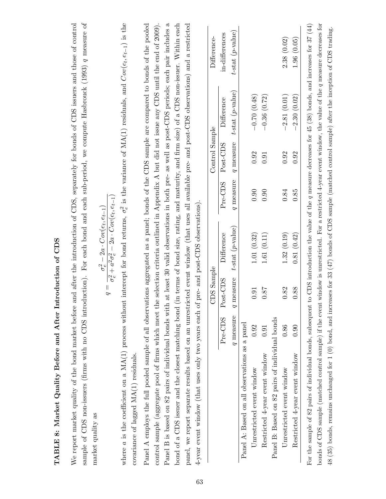| sample of CDS non-issuers (firms with no CDS introduction). For each bond and each sub-period, we compute Hasbrouck (1993) q measure of<br>We report market quality of the bond market before                                                                                                                                                                                                 |           |                                | and after the introduction of CDS, separately for bonds of CDS issuers and those of control             |           |                |                        |                                                                                                                                                                                                |
|-----------------------------------------------------------------------------------------------------------------------------------------------------------------------------------------------------------------------------------------------------------------------------------------------------------------------------------------------------------------------------------------------|-----------|--------------------------------|---------------------------------------------------------------------------------------------------------|-----------|----------------|------------------------|------------------------------------------------------------------------------------------------------------------------------------------------------------------------------------------------|
| market quality as                                                                                                                                                                                                                                                                                                                                                                             |           | $\vert\vert$<br>$\overline{D}$ | $\sigma_{e}^2 + a^2 \sigma_{e}^2 - 2a \cdot Cov(e_t, e_{t-1})$<br>$\sigma_e^2-2a\cdot Cov(e_t,e_{t-1})$ |           |                |                        |                                                                                                                                                                                                |
| where a is the coefficient on a MA(1) process without intercept for bond returns, $\sigma_e^2$ is the variance of MA(1) residuals, and $Cov(e_t, e_{t-1})$ is the<br>covariance of lagged MA(1) residuals.                                                                                                                                                                                    |           |                                |                                                                                                         |           |                |                        |                                                                                                                                                                                                |
| Panel A employs the full pooled sample of all observations aggregated as a panel; bonds of the CDS sample are compared to bonds of the pooled<br>control sample (aggregate pool of firms which meet th                                                                                                                                                                                        |           |                                |                                                                                                         |           |                |                        | e selection criteria outlined in Appendix A but did not issue any CDS until the end of 2009).                                                                                                  |
| Panel B is based on 82 pairs of individual bonds with<br>bond of a CDS issuer and the closest matching bond                                                                                                                                                                                                                                                                                   |           |                                |                                                                                                         |           |                |                        | at least 30 valid observations in both pre- as well as post-CDS periods; each pair includes a<br>(in terms of bond size, rating, and maturity, and firm size) of a CDS non-issuer. Within each |
| panel, we report separate results based on an unrestricted event window (that uses all available pre- and post-CDS observations) and a restricted<br>4-year event window (that uses only two years each of pre- and post-CDS observations).                                                                                                                                                   |           |                                |                                                                                                         |           |                |                        |                                                                                                                                                                                                |
|                                                                                                                                                                                                                                                                                                                                                                                               |           | CDS Sample                     |                                                                                                         |           | Control Sample |                        | Difference-                                                                                                                                                                                    |
|                                                                                                                                                                                                                                                                                                                                                                                               | Pre-CDS   | Post-CDS                       | Difference                                                                                              | $Pre-CDS$ | Post-CDS       | Difference             | in-differences                                                                                                                                                                                 |
|                                                                                                                                                                                                                                                                                                                                                                                               | q measure | measure<br>$\overline{q}$      | $t$ -stat $(p$ -value)                                                                                  | q measure | q measure      | $t$ -stat $(p$ -value) | $t$ -stat ( $p$ -value)                                                                                                                                                                        |
| Panel A: Based on all observations as a panel                                                                                                                                                                                                                                                                                                                                                 |           |                                |                                                                                                         |           |                |                        |                                                                                                                                                                                                |
| Unrestricted event window                                                                                                                                                                                                                                                                                                                                                                     | 0.92      | 0.91                           | 1.01(0.32)                                                                                              | 0.90      | 0.92           | $-0.70(0.48)$          |                                                                                                                                                                                                |
| Restricted 4-year event window                                                                                                                                                                                                                                                                                                                                                                | 0.91      | <b>18.0</b>                    | 1.61(0.11)                                                                                              | 0.90      | 0.91           | $-0.36(0.72)$          |                                                                                                                                                                                                |
| Panel B: Based on 82 pairs of individual bonds                                                                                                                                                                                                                                                                                                                                                |           |                                |                                                                                                         |           |                |                        |                                                                                                                                                                                                |
| Unrestricted event window                                                                                                                                                                                                                                                                                                                                                                     | 0.86      | 0.82                           | 1.32(0.19)                                                                                              | 0.84      | 0.92           | $-2.81(0.01)$          | 2.38(0.02)                                                                                                                                                                                     |
| Restricted 4-year event window                                                                                                                                                                                                                                                                                                                                                                | 0.90      | 0.88                           | 0.81(0.42)                                                                                              | 0.85      | 0.92           | $-2.30(0.02)$          | 1.96(0.05)                                                                                                                                                                                     |
| bonds of CDS sample (matched control sample) if the event window is unrestricted. For a restricted 4-year event window, the value of the q measure decreases for<br>48 (35) bonds, remains unchanged for 1 (0) bond, and increases for 33 (47) bonds of CDS sample (matched control sample) after the inception of CDS trading.<br>For the sample of 82 pairs of individual bonds, subsequent |           |                                |                                                                                                         |           |                |                        | to CDS introduction the value of the q measure decreases for 45 (38) bonds, and increases for $37$ (44)                                                                                        |

## TABLE 8: Market Quality Before and After Introduction of CDS TABLE 8: Market Quality Before and After Introduction of CDS

63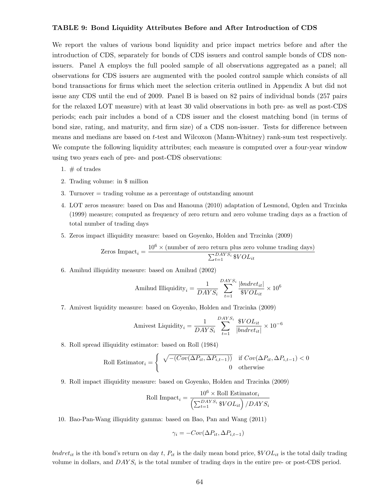### TABLE 9: Bond Liquidity Attributes Before and After Introduction of CDS

We report the values of various bond liquidity and price impact metrics before and after the introduction of CDS, separately for bonds of CDS issuers and control sample bonds of CDS nonissuers. Panel A employs the full pooled sample of all observations aggregated as a panel; all observations for CDS issuers are augmented with the pooled control sample which consists of all bond transactions for firms which meet the selection criteria outlined in Appendix A but did not issue any CDS until the end of 2009. Panel B is based on 82 pairs of individual bonds (257 pairs for the relaxed LOT measure) with at least 30 valid observations in both pre- as well as post-CDS periods; each pair includes a bond of a CDS issuer and the closest matching bond (in terms of bond size, rating, and maturity, and firm size) of a CDS non-issuer. Tests for difference between means and medians are based on t-test and Wilcoxon (Mann-Whitney) rank-sum test respectively. We compute the following liquidity attributes; each measure is computed over a four-year window using two years each of pre- and post-CDS observations:

- 1.  $\#$  of trades
- 2. Trading volume: in \$ million
- 3. Turnover = trading volume as a percentage of outstanding amount
- 4. LOT zeros measure: based on Das and Hanouna (2010) adaptation of Lesmond, Ogden and Trzcinka (1999) measure; computed as frequency of zero return and zero volume trading days as a fraction of total number of trading days
- 5. Zeros impact illiquidity measure: based on Goyenko, Holden and Trzcinka (2009)

Zeros Impact<sub>i</sub> = 
$$
\frac{10^6 \times \text{(number of zero return plus zero volume trading days)}}{\sum_{t=1}^{DAYS_i} \$VOL_{it}}
$$

6. Amihud illiquidity measure: based on Amihud (2002)

$$
Amihud Illiquidity_i = \frac{1}{DAYS_i} \sum_{t=1}^{DAYS_i} \frac{|bndret_{it}|}{\$VOL_{it}} \times 10^6
$$

7. Amivest liquidity measure: based on Goyenko, Holden and Trzcinka (2009)

Amivest Liquidity<sub>i</sub> = 
$$
\frac{1}{DAYS_i} \sum_{t=1}^{DAYS_i} \frac{\$VOL_{it}}{|bndret_{it}|} \times 10^{-6}
$$

8. Roll spread illiquidity estimator: based on Roll (1984)

Roll Estimator<sub>i</sub> = 
$$
\begin{cases} \sqrt{- (Cov(\Delta P_{it}, \Delta P_{i,t-1}))} & \text{if } Cov(\Delta P_{it}, \Delta P_{i,t-1}) < 0\\ 0 & \text{otherwise} \end{cases}
$$

9. Roll impact illiquidity measure: based on Goyenko, Holden and Trzcinka (2009)

Roll Impact<sub>i</sub> = 
$$
\frac{10^6 \times \text{Roll Estimator}_{i}}{\left(\sum_{t=1}^{DAYS_{i}} \$VOL_{it}\right) / DAYS_{i}}
$$

10. Bao-Pan-Wang illiquidity gamma: based on Bao, Pan and Wang (2011)

$$
\gamma_i = -Cov(\Delta P_{it}, \Delta P_{i,t-1})
$$

bndret<sub>it</sub> is the ith bond's return on day t,  $P_{it}$  is the daily mean bond price,  $\mathcal{S}VOL_{it}$  is the total daily trading volume in dollars, and  $DAYS_i$  is the total number of trading days in the entire pre- or post-CDS period.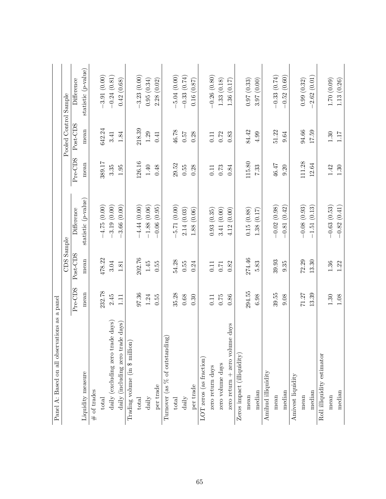| Panel A: Based on all observations as a panel |         |            |                        |          |                       |                        |
|-----------------------------------------------|---------|------------|------------------------|----------|-----------------------|------------------------|
|                                               |         | CDS Sample |                        |          | Pooled Control Sample |                        |
|                                               | Pre-CDS | Post-CDS   | Difference             | Pre-CDS  | Post-CDS              | Difference             |
| Liquidity measure                             | mean    | mean       | statistic $(p$ -value) | mean     | mean                  | statistic $(p$ -value) |
| # of trades                                   |         |            |                        |          |                       |                        |
| total                                         | 232.78  | 478.22     | $-4.75(0.00)$          | 389.17   | 642.24                | $-3.91(0.00)$          |
| daily (excluding zero trade days)             | 2.45    | 3.04       | $-3.19(0.00)$          | 3.35     | 3.41                  | $-0.24(0.81)$          |
| daily (including zero trade days)             | $\Xi$   | $1.81\,$   | 3.66(0.00)             | 1.95     | $1.84\,$              | 0.42(0.68)             |
| Trading volume (in \$ million)                |         |            |                        |          |                       |                        |
| $_{total}$                                    | 97.36   | 202.76     | $-4.44(0.00)$          | 126.16   | 218.39                | $-3.23(0.00)$          |
| $d$ aily                                      | 1.24    | 1.45       | $-1.88(0.06)$          | $1.40\,$ | 1.29                  | 0.95(0.34)             |
| per trade                                     | 0.55    | 0.55       | $-0.06(0.95)$          | 0.48     | 0.41                  | 2.28(0.02)             |
| Turnover (as $%$ of outstanding)              |         |            |                        |          |                       |                        |
| total                                         | 35.28   | 54.28      | 5.71(0.00)             | 29.52    | 46.78                 | $-5.04(0.00)$          |
| daily                                         | 0.68    | 0.55       | 2.14(0.03)             | 0.55     | 7500                  | $-0.33(0.74)$          |
| per trade                                     | 0.30    | 0.24       | 1.88(0.06)             | 0.28     | 0.28                  | 0.16(0.87)             |
| LOT zeros (as fraction)                       |         |            |                        |          |                       |                        |
| zero return days                              | 0.11    | 0.11       | 0.93(0.35)             | $0.11\,$ | 0.11                  | $-0.26(0.80)$          |
| zero volume days                              | 0.75    | 0.71       | 3.41 (0.00)            | $0.73\,$ | 0.72                  | 1.33(0.18)             |
| zero return $+$ zero volume days              | 0.86    | 0.82       | (0.00)<br>4.12         | 0.84     | 0.83                  | 1.36(0.17)             |
| $Zeros$ impact (illiquidity)                  |         |            |                        |          |                       |                        |
| mean                                          | 294.55  | 274.46     | 0.15(0.88)             | 115.80   | 84.42                 | 0.97(0.33)             |
| median                                        | 6.98    | 5.83       | 1.38(0.17)             | 7.33     | 4.99                  | 3.97(0.00)             |
| Amihud illiquidity                            |         |            |                        |          |                       |                        |
| mean                                          | 39.55   | 39.93      | $-0.02(0.98)$          | 46.47    | 51.22                 | $-0.33(0.74)$          |
| median                                        | 9.08    | 9.35       | $-0.81(0.42)$          | 0.20     | 9.64                  | $-0.52(0.60)$          |
| Amivest liquidity                             |         |            |                        |          |                       |                        |
| mean                                          | 71.27   | 72.29      | $-0.08(0.93)$          | 111.28   | 94.66                 | 0.99(0.32)             |
| median                                        | 13.39   | 13.30      | $-1.51(0.13)$          | 12.64    | 17.59                 | $-2.62(0.01)$          |
| Roll illiquidity estimator                    |         |            |                        |          |                       |                        |
| mean                                          | 1.30    | 1.36       | $-0.63(0.53)$          | 1.42     | $1.30\,$              | 1.70(0.09)             |
| median                                        | 1.08    | 1.22       | $-0.82(0.41)$          | 1.30     | 1.17                  | 1.13(0.26)             |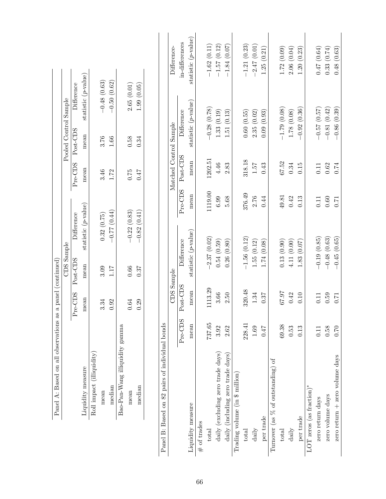|                                                |          | a panel (continued)<br>Panel A: Based on all observations as | CDS Sample |                        |            |                   | Pooled Control Sample  |                        |                        |
|------------------------------------------------|----------|--------------------------------------------------------------|------------|------------------------|------------|-------------------|------------------------|------------------------|------------------------|
|                                                |          | Pre-CDS                                                      | Post-CDS   | Difference             |            | Pre-CDS           | Post-CDS               | Difference             |                        |
| Liquidity measure                              |          | mean                                                         | mean       | statistic $(p$ -value) |            | mean              | mean                   | statistic $(p$ -value) |                        |
| Roll impact (illiquidity)                      |          |                                                              |            |                        |            |                   |                        |                        |                        |
| mean                                           |          | 3.34                                                         | 3.09       | 0.32(0.75)             |            | 3.46              | 3.76                   | $-0.48(0.63)$          |                        |
| median                                         |          | 0.92                                                         | 1.17       | $(57.0)$ 77.0-         |            | 1.72              | $1.66\,$               | $-0.50(0.62)$          |                        |
| Bao-Pan-Wang illiquidity gamma                 |          |                                                              |            |                        |            |                   |                        |                        |                        |
| mean                                           |          | $0.64\,$                                                     | 0.66       | $-0.22(0.83)$          |            | 0.75              | 0.58                   | 2.65(0.01)             |                        |
| median                                         |          | 0.29                                                         | 0.37       | $-0.82(0.41)$          |            | $7\overline{t}$ 0 | 0.34                   | 1.99(0.05)             |                        |
|                                                |          |                                                              |            |                        |            |                   |                        |                        |                        |
| Panel B: Based on 82 pairs of individual bonds |          |                                                              |            |                        |            |                   |                        |                        |                        |
|                                                |          |                                                              | CDS Sample |                        |            |                   | Matched Control Sample |                        | Difference-            |
|                                                | Pre-CDS  | Post-CDS                                                     |            | Difference             | Pre-CDS    | Post-CDS          |                        | Difference             | in-differences         |
| Liquidity measure                              | mean     | mean                                                         |            | statistic $(p$ -value) | mean       | mean              |                        | statistic $(p$ -value) | statistic $(p$ -value) |
| $\#$ of trades                                 |          |                                                              |            |                        |            |                   |                        |                        |                        |
| total                                          | 737.65   | 1113.29                                                      |            | $-2.37(0.02)$          | 1119.00    | 1202.51           |                        | $-0.28(0.78)$          | $-1.62(0.11)$          |
| daily (excluding zero trade days)              | 3.92     | 3.66                                                         |            | 0.54(0.59)             | 6.99       | $4.46$            |                        | 1.33(0.19)             | $-1.57(0.12)$          |
| daily (including zero trade days)              | 2.62     | 2.50                                                         |            | 0.26(0.80)             | 5.68       | 2.83              |                        | 1.51(0.13)             | $-1.84(0.07)$          |
| Trading volume (in \$ million)                 |          |                                                              |            |                        |            |                   |                        |                        |                        |
| total                                          | 228.41   | 320.48                                                       |            | $-1.56(0.12)$          | 376.49     | 318.18            |                        | 0.60(0.55)             | $-1.21(0.23)$          |
| daily                                          | 1.69     | 1.34                                                         |            | 1.55(0.12)             | 2.76       | 7.57              |                        | 2.35(0.02)             | $-2.47(0.01)$          |
| per trade                                      | 77.0     | 0.37                                                         |            | 1.74(0.08)             | 0.44       | 0.43              |                        | 0.09(0.93)             | 1.25(0.21)             |
| Turnover (as % of outstanding) of              |          |                                                              |            |                        |            |                   |                        |                        |                        |
| total                                          | 69.38    | 76.73                                                        |            | 0.13(0.90)             | 49.81      | 67.52             |                        | $-1.79(0.08)$          | 1.72(0.09)             |
| daily                                          | 0.53     | 0.42                                                         |            | 4.11(0.00)             | 0.42       | 0.34              |                        | 1.78(0.08)             | 2.06(0.04)             |
| per trade                                      | 0.13     | 0.10                                                         |            | 1.83(0.07)             | 0.13       | 0.15              |                        | $-0.92(0.36)$          | 1.20(0.23)             |
| LOT zeros (as fraction)*                       |          |                                                              |            |                        |            |                   |                        |                        |                        |
| zero return days                               | 0.11     | 0.11                                                         |            | $-0.19(0.85)$          | 0.11       | 0.11              |                        | $-0.57(0.57)$          | 0.47(0.64)             |
| zero volume days                               | $0.58\,$ | 0.59                                                         |            | $-0.48(0.63)$          | $\rm 0.60$ | $0.62\,$          |                        | $-0.81(0.42)$          | 0.33(0.74)             |
| zero return + zero volume days                 | 0.70     | 0.71                                                         |            | $-0.45(0.65)$          | 0.71       | 0.74              |                        | $-0.86(0.39)$          | 0.48(0.63)             |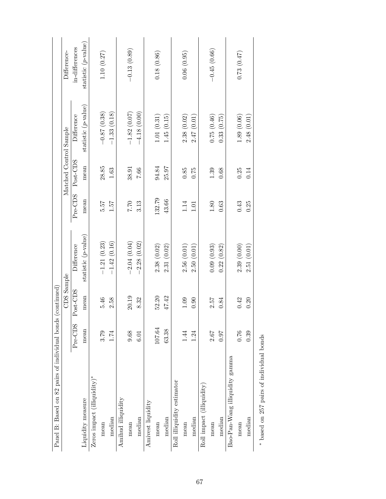| Panel B: Based on 82 pairs of individual bond |             | s (continued) |                        |                |                        |                        |                        |
|-----------------------------------------------|-------------|---------------|------------------------|----------------|------------------------|------------------------|------------------------|
|                                               |             | CDS Sample    |                        |                | Matched Control Sample |                        | Difference-            |
|                                               | Pre-CDS     | Post-CDS      | Difference             |                | Pre-CDS<br>Post-CDS    | Difference             | in-differences         |
| Liquidity measure                             | mean        | mean          | statistic $(p$ -value) | mean           | mean                   | statistic $(p$ -value) | statistic $(p$ -value) |
| $Zeros$ impact (illiquidity)*                 |             |               |                        |                |                        |                        |                        |
| mean                                          | 3.79        | 5.46          | $-1.21(0.23)$          | 5.57           | 28.85                  | $-0.87(0.38)$          | 1.10(0.27)             |
| median                                        | 1.74        | 2.58          | $-1.42(0.16)$          | $7\ddot{c}$ .1 | $1.63\,$               | $-1.33(0.18)$          |                        |
| Amihud illiquidity                            |             |               |                        |                |                        |                        |                        |
| mean                                          | 9.68        | 20.19         | $-2.04(0.04)$          | $7.70\,$       | 38.91                  | $-1.82(0.07)$          | $-0.13(0.89)$          |
| median                                        | 6.01        | 8.32          | 2.28(0.02)             | 3.13           | 7.66                   | $-4.18(0.00)$          |                        |
| Amivest liquidity                             |             |               |                        |                |                        |                        |                        |
| mean                                          | 107.64      | 52.20         | 2.38(0.02)             | 132.79         | 94.84                  | 1.01(0.31)             | 0.18(0.86)             |
| median                                        | 63.38       | 47.42         | 2.31(0.02)             | 43.66          | 25.97                  | 1.45(0.15)             |                        |
| Roll illiquidity estimator                    |             |               |                        |                |                        |                        |                        |
| mean                                          | 1.44        | 1.09          | 2.56(0.01)             | 1.14           | 0.85                   | 2.38(0.02)             | 0.06(0.95)             |
| median                                        | 1.24        | 0.90          | 2.50(0.01)             | $1.01\,$       | 0.75                   | 2.47(0.01)             |                        |
| Roll impact (illiquidity)                     |             |               |                        |                |                        |                        |                        |
| mean                                          | 2.67        | 2.57          | 0.09(0.93)             | $1.80\,$       | 1.39                   | 0.75(0.46)             | $-0.45(0.66)$          |
| median                                        | <b>L6:0</b> | 0.84          | (0.82)<br>0.22         | $0.63\,$       | 0.68                   | 0.33(0.75)             |                        |
| Bao-Pan-Wang illiquidity gamma                |             |               |                        |                |                        |                        |                        |
| mean                                          | 0.76        | 0.42          | 2.39(0.00)             | 0.43           | 0.25                   | 1.89(0.06)             | 0.73(0.47)             |
| median                                        | 0.39        | 0.20          | 2.51(0.01)             | 0.25           | 0.14                   | 2.48(0.01)             |                        |
| * based on 257 pairs of individual bonds      |             |               |                        |                |                        |                        |                        |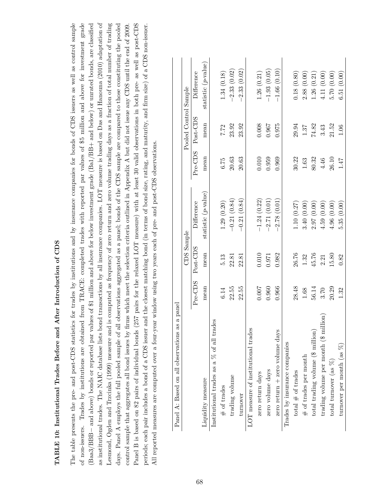### TABLE 10: Institutional Trades Before and After Introduction of CDS TABLE 10: Institutional Trades Before and After Introduction of CDS

The table presents the pre- and post-CDS statistics for trades by institutions and by insurance companies for bonds of CDS issuers as well as control sample Trades by institutions are obtained from TRACE: completed trades with reported par values of \$5 million and above for investment grade (Baa3/BBB- and above) bonds or reported par values of \$1 million and above for below investment grade (Ba1/BB+ and below) or unrated bonds, are classified as institutional trades. The NAIC database lists bond transactions by all insurance companies. LOT measure is based on Das and Hanouna (2010) adaptation of Lesmond, Ogden and Trzcinka (1999) measure and is computed as frequency of zero return and zero volume trading days as a fraction of total number of trading days. Panel A employs the full pooled sample of all observations aggregated as a panel; bonds of the CDS sample are compared to those constituting the pooled Panel B is based on 82 pairs of individual bonds (257 pairs for the relaxed LOT measure) with at least 30 valid observations in both pre- as well as post-CDS The table presents the pre- and post-CDS statistics for trades by institutions and by insurance companies for bonds of CDS issuers as well as control sample of non-issuers. Trades by institutions are obtained from TRACE: completed trades with reported par values of \$5 million and above for investment grade (Baa3/BBB− and above) bonds or reported par values of \$1 million and above for below investment grade (Ba1/BB+ and below) or unrated bonds, are classified as institutional trades. The NAIC database lists bond transactions by all insurance companies. LOT measure is based on Das and Hanouna (2010) adaptation of Lesmond, Ogden and Trzcinka (1999) measure and is computed as frequency of zero return and zero volume trading days as a fraction of total number of trading days. Panel A employs the full pooled sample of all observations aggregated as a panel; bonds of the CDS sample are compared to those constituting the pooled Panel B is based on 82 pairs of individual bonds (257 pairs for the relaxed LOT measure) with at least 30 valid observations in both pre- as well as post-CDS periods; each pair includes a bond of a CDS issuer and the closest matching bond (in terms of bond size, rating, and maturity, and firm size) of a CDS non-issuer. control sample that aggregates all bond issues by firms which meet the selection criteria outlined in Appendix A but did not issue any CDS until the end of 2009. control sample that aggregates all bond issues by firms which meet the selection criteria outlined in Appendix A but did not issue any CDS until the end of 2009. periods; each pair includes a bond of a CDS issuer and the closest matching bond (in terms of bond size, rating, and maturity, and firm size) of a CDS non-issuer. All reported measures are computed over a four-year window using two years each of pre- and post-CDS observations. All reported measures are computed over a four-year window using two years each of pre- and post-CDS observations. of non-issuers.

| as a panel<br>Panel A: Based on all observations |         |            |                        |          |                       |                        |
|--------------------------------------------------|---------|------------|------------------------|----------|-----------------------|------------------------|
|                                                  |         | CDS Sample |                        |          | Pooled Control Sample |                        |
|                                                  | Pre-CDS | Post-CDS   | Difference             | Pre-CDS  | Post-CDS              | Difference             |
| Liquidity measure                                | mean    | mean       | statistic $(p$ -value) | mean     | mean                  | statistic $(p$ -value) |
| Institutional trades as a $\%$ of all trades     |         |            |                        |          |                       |                        |
| $\#$ of trades                                   | 6.14    | 5.13       | 1.29(0.20)             | 6.75     | 7.72                  | 1.34 (0.18)            |
| trading volume                                   | 22.55   | 22.81      | $-0.21(0.84)$          | $20.63$  | 23.92                 | $-2.33(0.02)$          |
| turnover                                         | 22.55   | 22.81      | $-0.21(0.84)$          | 20.63    | 23.92                 | $-2.33(0.02)$          |
| LOT measure of institutional trades              |         |            |                        |          |                       |                        |
| zero return days                                 | 0.007   | 0.010      | $-1.24(0.22)$          | 0.010    | 0.008                 | 1.26(0.21)             |
| zero volume days                                 | 0.960   | 0.971      | $-2.71(0.01)$          | 0.959    | 0.967                 | $-1.93(0.05)$          |
| $zero$ return $+$ zero volume days               | 0.966   | 0.982      | 2.78(0.01)             | 0.969    | 0.975                 | $-1.66(0.10)$          |
| Trades by insurance companies                    |         |            |                        |          |                       |                        |
| total $#$ of trades                              | 28.48   | 26.76      | 1.10(0.27)             | 30.22    | 29.94                 | 0.18(0.80)             |
| $\#$ of trades per month                         | 1.68    | 1.32       | 3.40(0.00)             | $1.63\,$ | $1.37\,$              | 2.88(0.00)             |
| total trading volume (\$ million)                | 56.14   | 45.76      | 2.97(0.00)             | 80.32    | 74.82                 | 1.26(0.21)             |
| trading volume per month (\$ million)            | 3.70    | 2.21       | 4.59(0.00)             | 4.46     | 3.43                  | 4.11(0.00)             |
| total turnover (as $%$ )                         | 20.29   | 15.80      | 4.96(0.00)             | 26.10    | 21.52                 | 5.70(0.00)             |
| turnover per month (as $%$ )                     | 1.32    | 0.82       | 5.35(0.00)             | 147      | 1.06                  | 6.51(0.00)             |